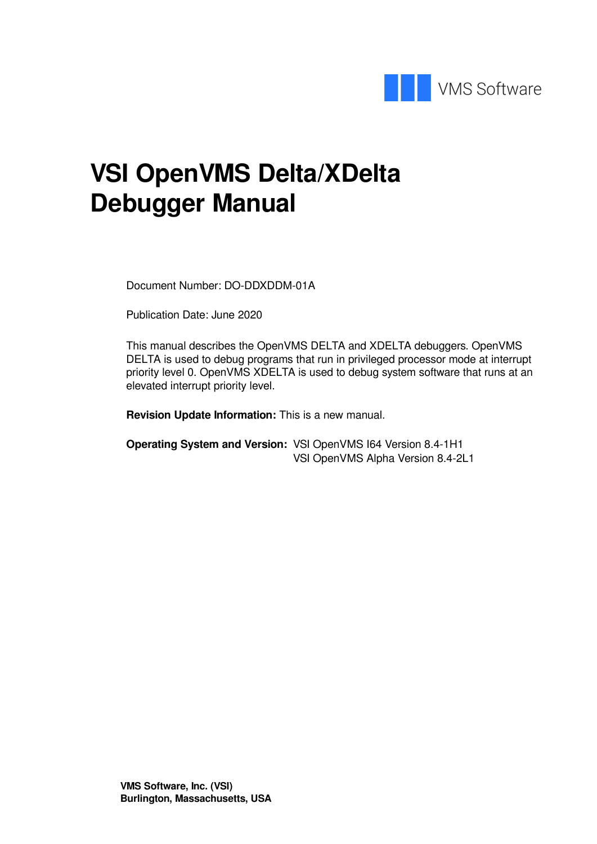

# **VSI OpenVMS Delta/XDelta Debugger Manual**

Document Number: DO-DDXDDM-01A

Publication Date: June 2020

This manual describes the OpenVMS DELTA and XDELTA debuggers. OpenVMS DELTA is used to debug programs that run in privileged processor mode at interrupt priority level 0. OpenVMS XDELTA is used to debug system software that runs at an elevated interrupt priority level.

**Revision Update Information:** This is a new manual.

**Operating System and Version:** VSI OpenVMS I64 Version 8.4-1H1 VSI OpenVMS Alpha Version 8.4-2L1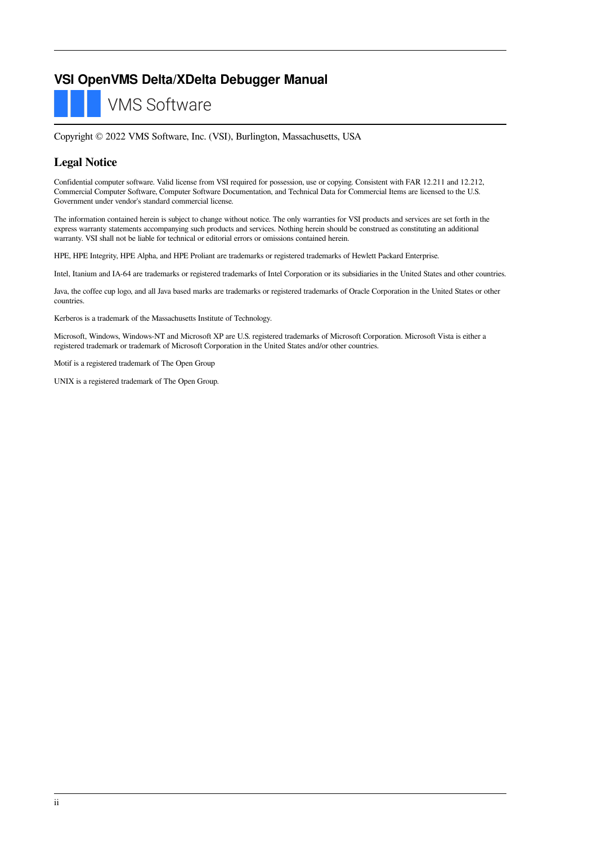#### **VSI OpenVMS Delta/XDelta Debugger Manual**

**VMS Software** 

Copyright © 2022 VMS Software, Inc. (VSI), Burlington, Massachusetts, USA

#### **Legal Notice**

Confidential computer software. Valid license from VSI required for possession, use or copying. Consistent with FAR 12.211 and 12.212, Commercial Computer Software, Computer Software Documentation, and Technical Data for Commercial Items are licensed to the U.S. Government under vendor's standard commercial license.

The information contained herein is subject to change without notice. The only warranties for VSI products and services are set forth in the express warranty statements accompanying such products and services. Nothing herein should be construed as constituting an additional warranty. VSI shall not be liable for technical or editorial errors or omissions contained herein.

HPE, HPE Integrity, HPE Alpha, and HPE Proliant are trademarks or registered trademarks of Hewlett Packard Enterprise.

Intel, Itanium and IA-64 are trademarks or registered trademarks of Intel Corporation or its subsidiaries in the United States and other countries.

Java, the coffee cup logo, and all Java based marks are trademarks or registered trademarks of Oracle Corporation in the United States or other countries.

Kerberos is a trademark of the Massachusetts Institute of Technology.

Microsoft, Windows, Windows-NT and Microsoft XP are U.S. registered trademarks of Microsoft Corporation. Microsoft Vista is either a registered trademark or trademark of Microsoft Corporation in the United States and/or other countries.

Motif is a registered trademark of The Open Group

UNIX is a registered trademark of The Open Group.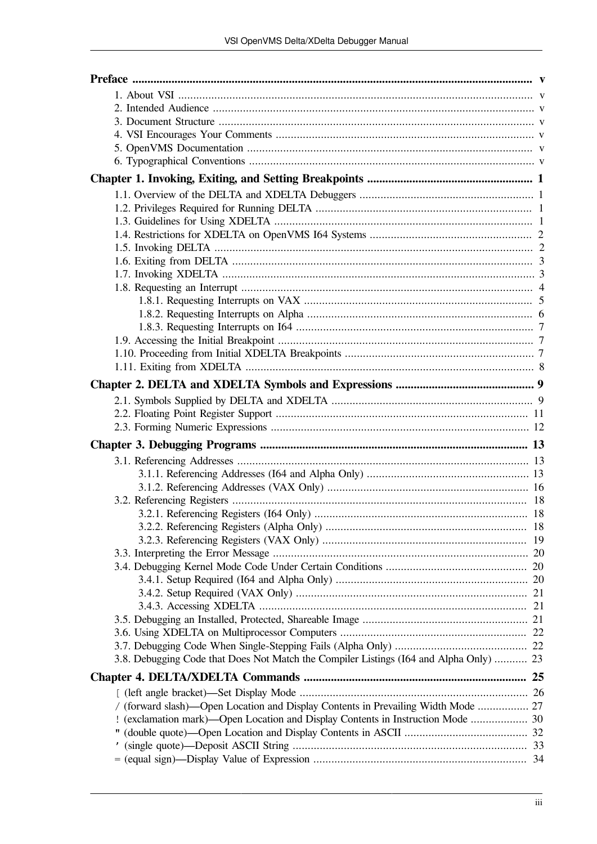| 3.8. Debugging Code that Does Not Match the Compiler Listings (I64 and Alpha Only)  23 |  |
|----------------------------------------------------------------------------------------|--|
|                                                                                        |  |
|                                                                                        |  |
|                                                                                        |  |
| / (forward slash)-Open Location and Display Contents in Prevailing Width Mode  27      |  |
| ! (exclamation mark)—Open Location and Display Contents in Instruction Mode  30        |  |
|                                                                                        |  |
|                                                                                        |  |
|                                                                                        |  |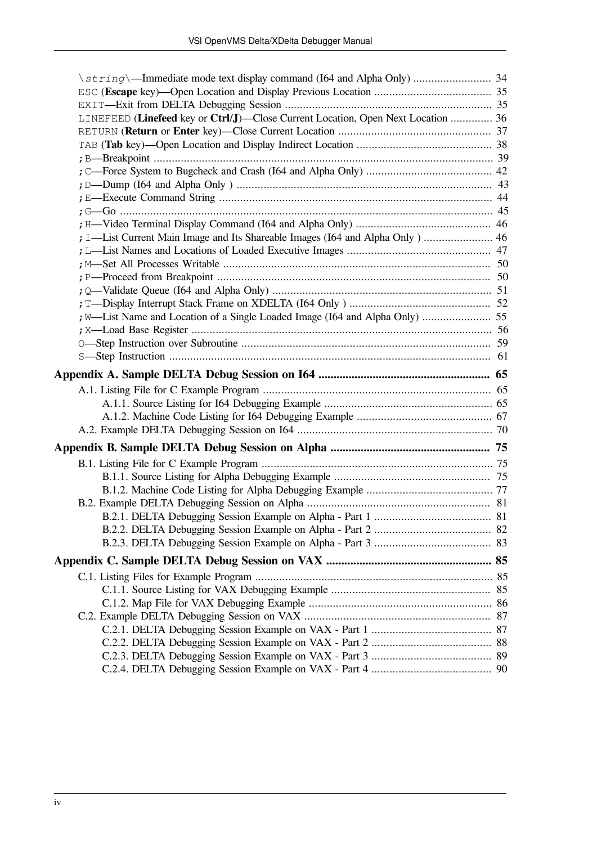| \string\-Immediate mode text display command (I64 and Alpha Only)  34            |  |
|----------------------------------------------------------------------------------|--|
|                                                                                  |  |
|                                                                                  |  |
| LINEFEED (Linefeed key or Ctrl/J)-Close Current Location, Open Next Location  36 |  |
|                                                                                  |  |
|                                                                                  |  |
|                                                                                  |  |
|                                                                                  |  |
|                                                                                  |  |
|                                                                                  |  |
|                                                                                  |  |
|                                                                                  |  |
| ; I-List Current Main Image and Its Shareable Images (I64 and Alpha Only)  46    |  |
|                                                                                  |  |
|                                                                                  |  |
|                                                                                  |  |
|                                                                                  |  |
|                                                                                  |  |
|                                                                                  |  |
|                                                                                  |  |
|                                                                                  |  |
|                                                                                  |  |
|                                                                                  |  |
|                                                                                  |  |
|                                                                                  |  |
|                                                                                  |  |
|                                                                                  |  |
|                                                                                  |  |
|                                                                                  |  |
|                                                                                  |  |
|                                                                                  |  |
|                                                                                  |  |
|                                                                                  |  |
|                                                                                  |  |
|                                                                                  |  |
|                                                                                  |  |
|                                                                                  |  |
|                                                                                  |  |
|                                                                                  |  |
|                                                                                  |  |
|                                                                                  |  |
|                                                                                  |  |
|                                                                                  |  |
|                                                                                  |  |
|                                                                                  |  |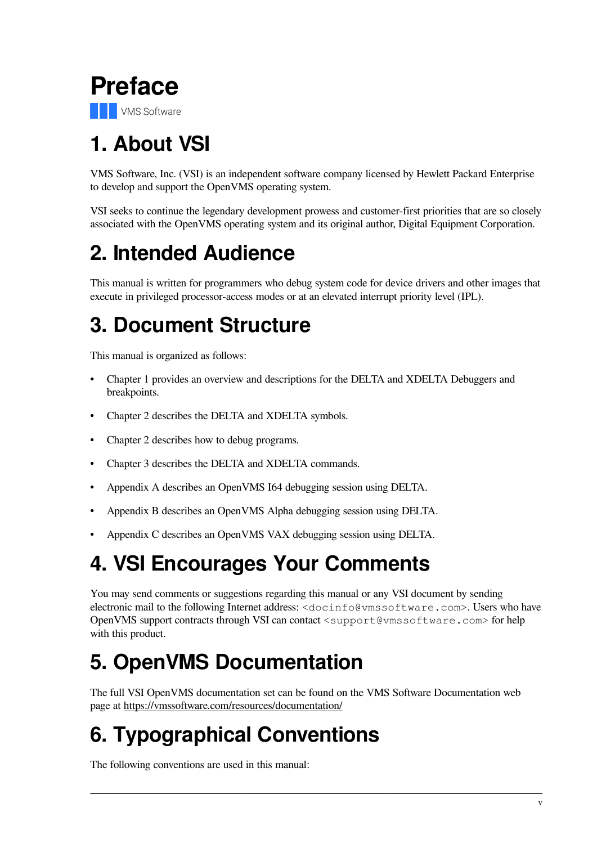<span id="page-4-0"></span>

# <span id="page-4-1"></span>**1. About VSI**

VMS Software, Inc. (VSI) is an independent software company licensed by Hewlett Packard Enterprise to develop and support the OpenVMS operating system.

VSI seeks to continue the legendary development prowess and customer-first priorities that are so closely associated with the OpenVMS operating system and its original author, Digital Equipment Corporation.

# <span id="page-4-2"></span>**2. Intended Audience**

This manual is written for programmers who debug system code for device drivers and other images that execute in privileged processor-access modes or at an elevated interrupt priority level (IPL).

# <span id="page-4-3"></span>**3. Document Structure**

This manual is organized as follows:

- [Chapter](#page-6-0) 1 provides an overview and descriptions for the DELTA and XDELTA Debuggers and breakpoints.
- [Chapter](#page-14-0) 2 describes the DELTA and XDELTA symbols.
- [Chapter](#page-14-0) 2 describes how to debug programs.
- [Chapter](#page-18-0) 3 describes the DELTA and XDELTA commands.
- [Appendix](#page-70-0) A describes an OpenVMS I64 debugging session using DELTA.
- [Appendix](#page-80-0) B describes an OpenVMS Alpha debugging session using DELTA.
- [Appendix](#page-90-0) C describes an OpenVMS VAX debugging session using DELTA.

# <span id="page-4-4"></span>**4. VSI Encourages Your Comments**

You may send comments or suggestions regarding this manual or any VSI document by sending electronic mail to the following Internet address: <docinfo@vmssoftware.com>. Users who have OpenVMS support contracts through VSI can contact <support@vmssoftware.com> for help with this product.

# <span id="page-4-5"></span>**5. OpenVMS Documentation**

The full VSI OpenVMS documentation set can be found on the VMS Software Documentation web page at https://vmssoftware.com/resources/documentation/

# <span id="page-4-6"></span>**6. Typographical Conventions**

The following conventions are used in this manual: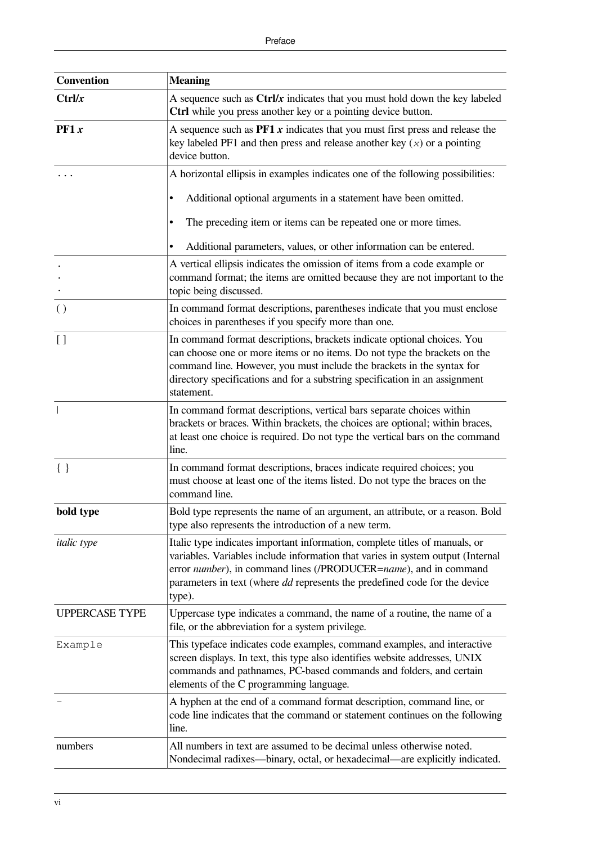| <b>Convention</b>     | <b>Meaning</b>                                                                                                                                                                                                                                                                                                                    |  |  |  |
|-----------------------|-----------------------------------------------------------------------------------------------------------------------------------------------------------------------------------------------------------------------------------------------------------------------------------------------------------------------------------|--|--|--|
| Ctrl/x                | A sequence such as $\text{Ctrl}/x$ indicates that you must hold down the key labeled<br>Ctrl while you press another key or a pointing device button.                                                                                                                                                                             |  |  |  |
| P F 1 x               | A sequence such as $PFT x$ indicates that you must first press and release the<br>key labeled PF1 and then press and release another key $(x)$ or a pointing<br>device button.                                                                                                                                                    |  |  |  |
|                       | A horizontal ellipsis in examples indicates one of the following possibilities:                                                                                                                                                                                                                                                   |  |  |  |
|                       | Additional optional arguments in a statement have been omitted.<br>٠                                                                                                                                                                                                                                                              |  |  |  |
|                       | The preceding item or items can be repeated one or more times.                                                                                                                                                                                                                                                                    |  |  |  |
|                       | Additional parameters, values, or other information can be entered.                                                                                                                                                                                                                                                               |  |  |  |
|                       | A vertical ellipsis indicates the omission of items from a code example or<br>command format; the items are omitted because they are not important to the<br>topic being discussed.                                                                                                                                               |  |  |  |
| $\left( \right)$      | In command format descriptions, parentheses indicate that you must enclose<br>choices in parentheses if you specify more than one.                                                                                                                                                                                                |  |  |  |
| $\left[\right]$       | In command format descriptions, brackets indicate optional choices. You<br>can choose one or more items or no items. Do not type the brackets on the<br>command line. However, you must include the brackets in the syntax for<br>directory specifications and for a substring specification in an assignment<br>statement.       |  |  |  |
|                       | In command format descriptions, vertical bars separate choices within<br>brackets or braces. Within brackets, the choices are optional; within braces,<br>at least one choice is required. Do not type the vertical bars on the command<br>line.                                                                                  |  |  |  |
| $\{\ \}$              | In command format descriptions, braces indicate required choices; you<br>must choose at least one of the items listed. Do not type the braces on the<br>command line.                                                                                                                                                             |  |  |  |
| bold type             | Bold type represents the name of an argument, an attribute, or a reason. Bold<br>type also represents the introduction of a new term.                                                                                                                                                                                             |  |  |  |
| <i>italic</i> type    | Italic type indicates important information, complete titles of manuals, or<br>variables. Variables include information that varies in system output (Internal<br>error number), in command lines (/PRODUCER=name), and in command<br>parameters in text (where <i>dd</i> represents the predefined code for the device<br>type). |  |  |  |
| <b>UPPERCASE TYPE</b> | Uppercase type indicates a command, the name of a routine, the name of a<br>file, or the abbreviation for a system privilege.                                                                                                                                                                                                     |  |  |  |
| Example               | This typeface indicates code examples, command examples, and interactive<br>screen displays. In text, this type also identifies website addresses, UNIX<br>commands and pathnames, PC-based commands and folders, and certain<br>elements of the C programming language.                                                          |  |  |  |
|                       | A hyphen at the end of a command format description, command line, or<br>code line indicates that the command or statement continues on the following<br>line.                                                                                                                                                                    |  |  |  |
| numbers               | All numbers in text are assumed to be decimal unless otherwise noted.<br>Nondecimal radixes—binary, octal, or hexadecimal—are explicitly indicated.                                                                                                                                                                               |  |  |  |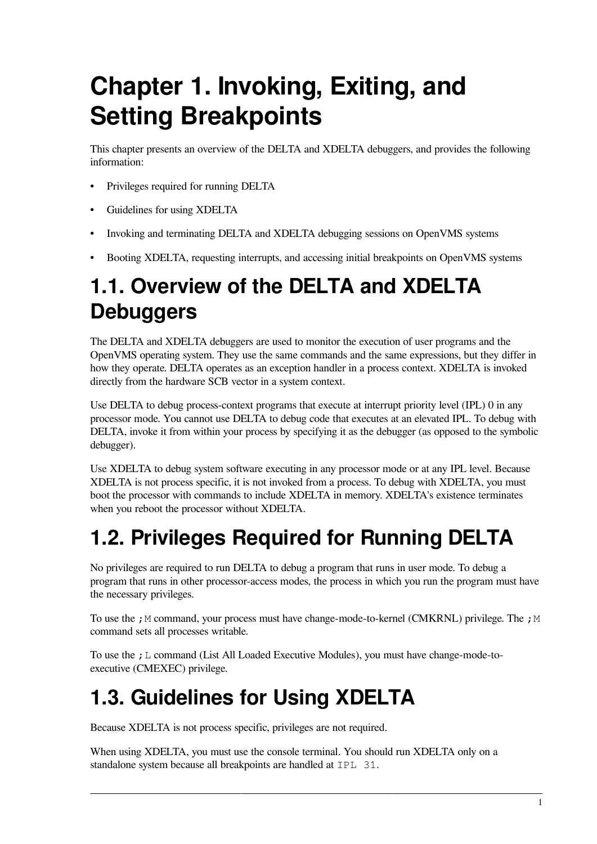# <span id="page-6-0"></span>**Chapter 1. Invoking, Exiting, and Setting Breakpoints**

This chapter presents an overview of the DELTA and XDELTA debuggers, and provides the following information:

- Privileges required for running DELTA
- Guidelines for using XDELTA
- Invoking and terminating DELTA and XDELTA debugging sessions on OpenVMS systems
- Booting XDELTA, requesting interrupts, and accessing initial breakpoints on OpenVMS systems

# <span id="page-6-1"></span>**1.1. Overview of the DELTA and XDELTA Debuggers**

The DELTA and XDELTA debuggers are used to monitor the execution of user programs and the OpenVMS operating system. They use the same commands and the same expressions, but they differ in how they operate. DELTA operates as an exception handler in a process context. XDELTA is invoked directly from the hardware SCB vector in a system context.

Use DELTA to debug process-context programs that execute at interrupt priority level (IPL) 0 in any processor mode. You cannot use DELTA to debug code that executes at an elevated IPL. To debug with DELTA, invoke it from within your process by specifying it as the debugger (as opposed to the symbolic debugger).

Use XDELTA to debug system software executing in any processor mode or at any IPL level. Because XDELTA is not process specific, it is not invoked from a process. To debug with XDELTA, you must boot the processor with commands to include XDELTA in memory. XDELTA's existence terminates when you reboot the processor without XDELTA.

# <span id="page-6-2"></span>**1.2. Privileges Required for Running DELTA**

No privileges are required to run DELTA to debug a program that runs in user mode. To debug a program that runs in other processor-access modes, the process in which you run the program must have the necessary privileges.

To use the ; M command, your process must have change-mode-to-kernel (CMKRNL) privilege. The ; M command sets all processes writable.

To use the ;L command (List All Loaded Executive Modules), you must have change-mode-toexecutive (CMEXEC) privilege.

# <span id="page-6-3"></span>**1.3. Guidelines for Using XDELTA**

Because XDELTA is not process specific, privileges are not required.

When using XDELTA, you must use the console terminal. You should run XDELTA only on a standalone system because all breakpoints are handled at IPL 31.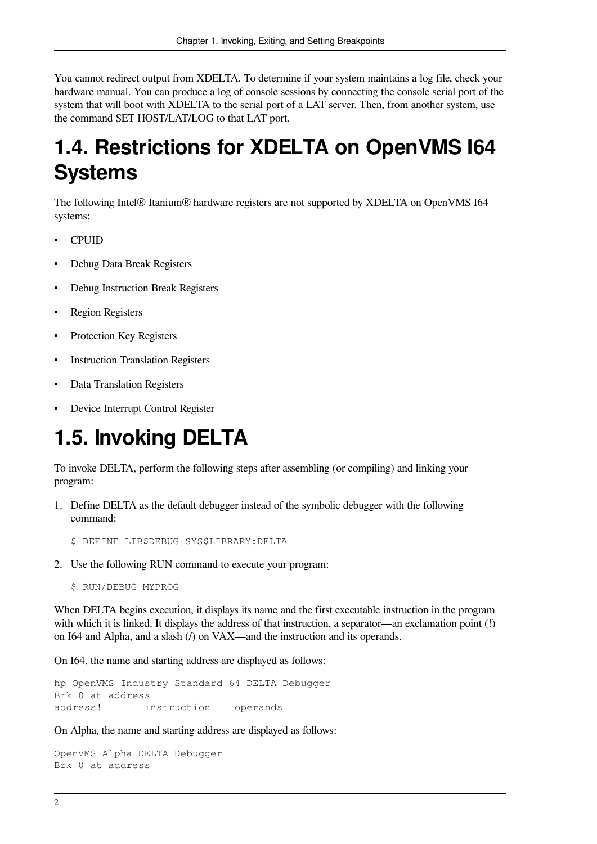You cannot redirect output from XDELTA. To determine if your system maintains a log file, check your hardware manual. You can produce a log of console sessions by connecting the console serial port of the system that will boot with XDELTA to the serial port of a LAT server. Then, from another system, use the command SET HOST/LAT/LOG to that LAT port.

# <span id="page-7-0"></span>**1.4. Restrictions for XDELTA on OpenVMS I64 Systems**

The following Intel® Itanium® hardware registers are not supported by XDELTA on OpenVMS I64 systems:

- CPUID
- Debug Data Break Registers
- Debug Instruction Break Registers
- Region Registers
- Protection Key Registers
- **Instruction Translation Registers**
- Data Translation Registers
- Device Interrupt Control Register

# <span id="page-7-1"></span>**1.5. Invoking DELTA**

To invoke DELTA, perform the following steps after assembling (or compiling) and linking your program:

1. Define DELTA as the default debugger instead of the symbolic debugger with the following command:

\$ DEFINE LIB\$DEBUG SYS\$LIBRARY:DELTA

2. Use the following RUN command to execute your program:

\$ RUN/DEBUG MYPROG

When DELTA begins execution, it displays its name and the first executable instruction in the program with which it is linked. It displays the address of that instruction, a separator—an exclamation point (!) on I64 and Alpha, and a slash (/) on VAX—and the instruction and its operands.

On I64, the name and starting address are displayed as follows:

hp OpenVMS Industry Standard 64 DELTA Debugger Brk 0 at address address! instruction operands

On Alpha, the name and starting address are displayed as follows:

OpenVMS Alpha DELTA Debugger Brk 0 at address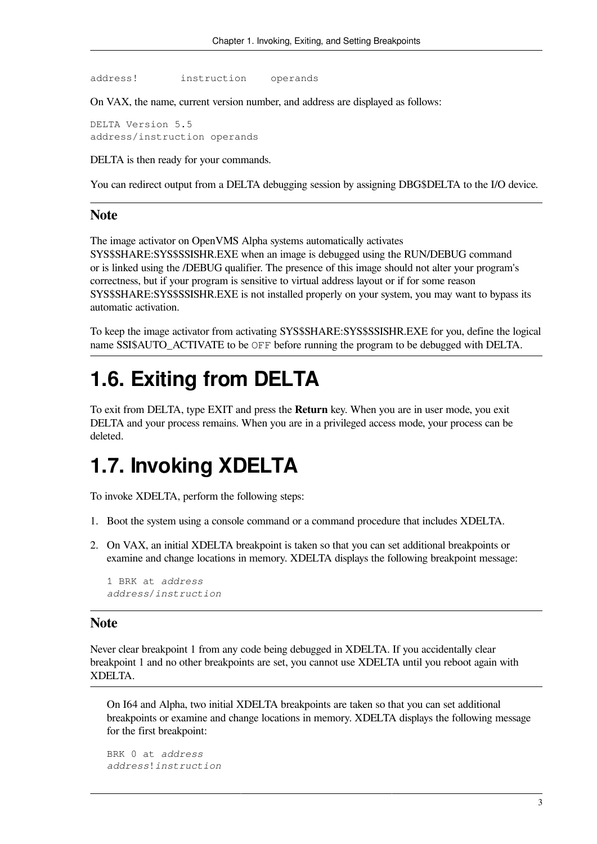address! instruction operands

On VAX, the name, current version number, and address are displayed as follows:

DELTA Version 5.5 address/instruction operands

DELTA is then ready for your commands.

You can redirect output from a DELTA debugging session by assigning DBG\$DELTA to the I/O device.

#### **Note**

The image activator on OpenVMS Alpha systems automatically activates SYS\$SHARE:SYS\$SSISHR.EXE when an image is debugged using the RUN/DEBUG command or is linked using the /DEBUG qualifier. The presence of this image should not alter your program's correctness, but if your program is sensitive to virtual address layout or if for some reason SYS\$SHARE:SYS\$SSISHR.EXE is not installed properly on your system, you may want to bypass its automatic activation.

To keep the image activator from activating SYS\$SHARE:SYS\$SSISHR.EXE for you, define the logical name SSI\$AUTO\_ACTIVATE to be OFF before running the program to be debugged with DELTA.

### <span id="page-8-0"></span>**1.6. Exiting from DELTA**

To exit from DELTA, type EXIT and press the **Return** key. When you are in user mode, you exit DELTA and your process remains. When you are in a privileged access mode, your process can be deleted.

### <span id="page-8-1"></span>**1.7. Invoking XDELTA**

To invoke XDELTA, perform the following steps:

- 1. Boot the system using a console command or a command procedure that includes XDELTA.
- 2. On VAX, an initial XDELTA breakpoint is taken so that you can set additional breakpoints or examine and change locations in memory. XDELTA displays the following breakpoint message:

```
1 BRK at address
address/instruction
```
#### **Note**

Never clear breakpoint 1 from any code being debugged in XDELTA. If you accidentally clear breakpoint 1 and no other breakpoints are set, you cannot use XDELTA until you reboot again with XDELTA.

On I64 and Alpha, two initial XDELTA breakpoints are taken so that you can set additional breakpoints or examine and change locations in memory. XDELTA displays the following message for the first breakpoint:

```
BRK 0 at address
address!instruction
```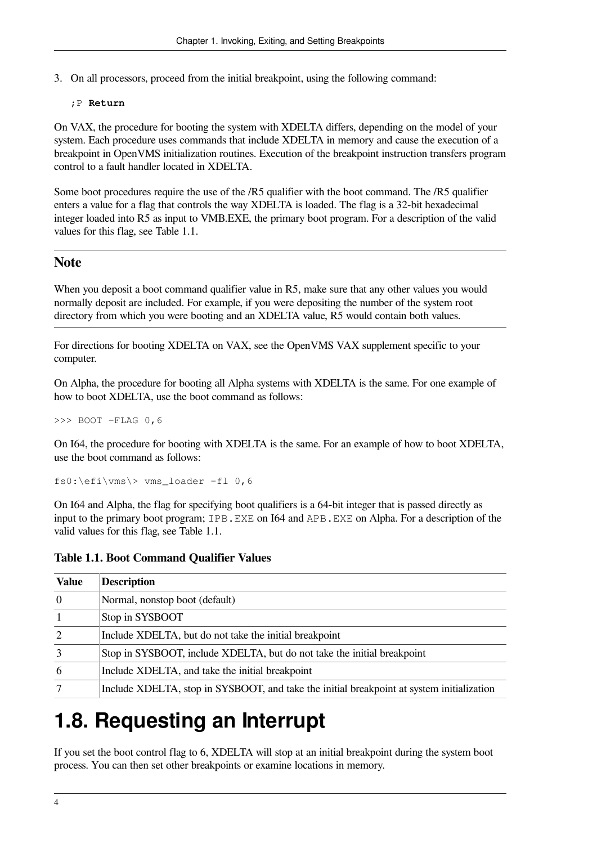3. On all processors, proceed from the initial breakpoint, using the following command:

#### ;P **Return**

On VAX, the procedure for booting the system with XDELTA differs, depending on the model of your system. Each procedure uses commands that include XDELTA in memory and cause the execution of a breakpoint in OpenVMS initialization routines. Execution of the breakpoint instruction transfers program control to a fault handler located in XDELTA.

Some boot procedures require the use of the /R5 qualifier with the boot command. The /R5 qualifier enters a value for a flag that controls the way XDELTA is loaded. The flag is a 32-bit hexadecimal integer loaded into R5 as input to VMB.EXE, the primary boot program. For a description of the valid values for this flag, see [Table](#page-9-1) 1.1.

#### **Note**

When you deposit a boot command qualifier value in R5, make sure that any other values you would normally deposit are included. For example, if you were depositing the number of the system root directory from which you were booting and an XDELTA value, R5 would contain both values.

For directions for booting XDELTA on VAX, see the OpenVMS VAX supplement specific to your computer.

On Alpha, the procedure for booting all Alpha systems with XDELTA is the same. For one example of how to boot XDELTA, use the boot command as follows:

>>> BOOT -FLAG 0,6

On I64, the procedure for booting with XDELTA is the same. For an example of how to boot XDELTA, use the boot command as follows:

 $f s0:\left\langle \forall s \right\rangle > \text{vms}$  loader -fl 0,6

On I64 and Alpha, the flag for specifying boot qualifiers is a 64-bit integer that is passed directly as input to the primary boot program; IPB.EXE on I64 and APB.EXE on Alpha. For a description of the valid values for this flag, see [Table](#page-9-1) 1.1.

<span id="page-9-1"></span>

| <b>Table 1.1. Boot Command Qualifier Values</b> |  |  |
|-------------------------------------------------|--|--|
|-------------------------------------------------|--|--|

| <b>Value</b> | <b>Description</b>                                                                        |
|--------------|-------------------------------------------------------------------------------------------|
| 10           | Normal, nonstop boot (default)                                                            |
|              | Stop in SYSBOOT                                                                           |
| $ 2 \>$      | Include XDELTA, but do not take the initial breakpoint                                    |
| 3            | Stop in SYSBOOT, include XDELTA, but do not take the initial breakpoint                   |
| 6            | Include XDELTA, and take the initial breakpoint                                           |
|              | Include XDELTA, stop in SYSBOOT, and take the initial breakpoint at system initialization |

# <span id="page-9-0"></span>**1.8. Requesting an Interrupt**

If you set the boot control flag to 6, XDELTA will stop at an initial breakpoint during the system boot process. You can then set other breakpoints or examine locations in memory.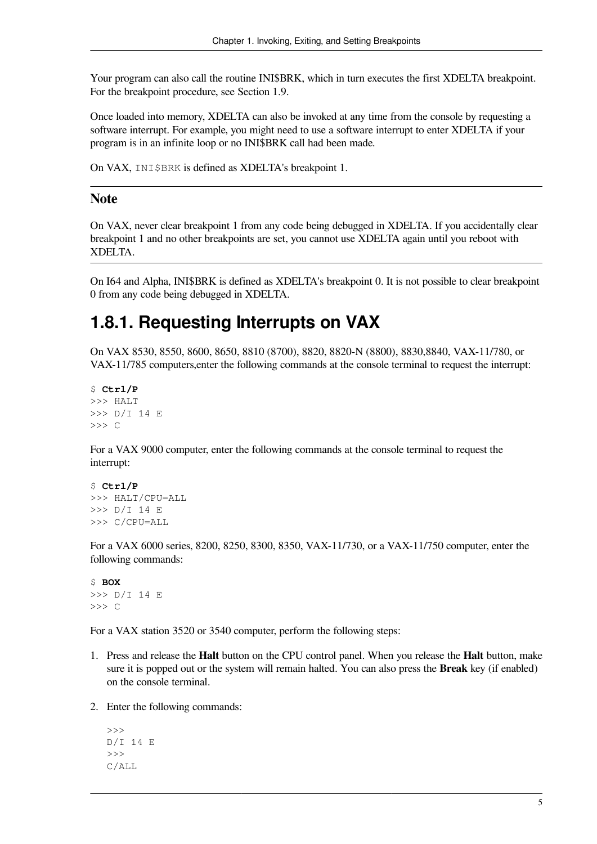Your program can also call the routine INI\$BRK, which in turn executes the first XDELTA breakpoint. For the breakpoint procedure, see [Section](#page-12-1) 1.9.

Once loaded into memory, XDELTA can also be invoked at any time from the console by requesting a software interrupt. For example, you might need to use a software interrupt to enter XDELTA if your program is in an infinite loop or no INI\$BRK call had been made.

On VAX, INI\$BRK is defined as XDELTA's breakpoint 1.

#### **Note**

On VAX, never clear breakpoint 1 from any code being debugged in XDELTA. If you accidentally clear breakpoint 1 and no other breakpoints are set, you cannot use XDELTA again until you reboot with XDELTA.

On I64 and Alpha, INI\$BRK is defined as XDELTA's breakpoint 0. It is not possible to clear breakpoint 0 from any code being debugged in XDELTA.

#### <span id="page-10-0"></span>**1.8.1. Requesting Interrupts on VAX**

On VAX 8530, 8550, 8600, 8650, 8810 (8700), 8820, 8820-N (8800), 8830,8840, VAX-11/780, or VAX-11/785 computers,enter the following commands at the console terminal to request the interrupt:

```
$ Ctrl/P
>>> HALT
>>> D/I 14 E
>>> C
```
For a VAX 9000 computer, enter the following commands at the console terminal to request the interrupt:

```
$ Ctrl/P
>>> HALT/CPU=ALL
>>> D/I 14 E
>>> C/CPU=ALL
```
For a VAX 6000 series, 8200, 8250, 8300, 8350, VAX-11/730, or a VAX-11/750 computer, enter the following commands:

```
$ BOX
>>> D/I 14 E
>>> C
```
For a VAX station 3520 or 3540 computer, perform the following steps:

- 1. Press and release the **Halt** button on the CPU control panel. When you release the **Halt** button, make sure it is popped out or the system will remain halted. You can also press the **Break** key (if enabled) on the console terminal.
- 2. Enter the following commands:

```
\rightarrowD/I 14 E
\rightarrowC/ALL
```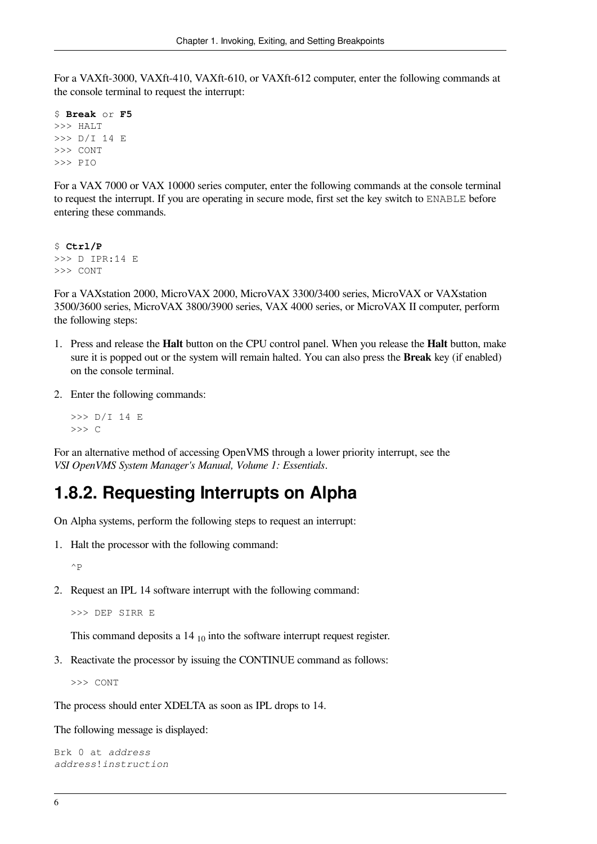For a VAXft-3000, VAXft-410, VAXft-610, or VAXft-612 computer, enter the following commands at the console terminal to request the interrupt:

```
$ Break or F5
>>> HALT
>>> D/I 14 E
>>> CONT
>>> PIO
```
For a VAX 7000 or VAX 10000 series computer, enter the following commands at the console terminal to request the interrupt. If you are operating in secure mode, first set the key switch to ENABLE before entering these commands.

\$ **Ctrl/P** >>> D IPR:14 E >>> CONT

For a VAXstation 2000, MicroVAX 2000, MicroVAX 3300/3400 series, MicroVAX or VAXstation 3500/3600 series, MicroVAX 3800/3900 series, VAX 4000 series, or MicroVAX II computer, perform the following steps:

- 1. Press and release the **Halt** button on the CPU control panel. When you release the **Halt** button, make sure it is popped out or the system will remain halted. You can also press the **Break** key (if enabled) on the console terminal.
- 2. Enter the following commands:

```
>>> D/I 14 E
>>> C
```
For an alternative method of accessing OpenVMS through a lower priority interrupt, see the *VSI OpenVMS System Manager's Manual, Volume 1: Essentials*.

#### <span id="page-11-0"></span>**1.8.2. Requesting Interrupts on Alpha**

On Alpha systems, perform the following steps to request an interrupt:

1. Halt the processor with the following command:

 $\wedge$  p

2. Request an IPL 14 software interrupt with the following command:

>>> DEP SIRR E

This command deposits a  $14_{10}$  into the software interrupt request register.

3. Reactivate the processor by issuing the CONTINUE command as follows:

>>> CONT

The process should enter XDELTA as soon as IPL drops to 14.

The following message is displayed:

Brk 0 at *address address*!*instruction*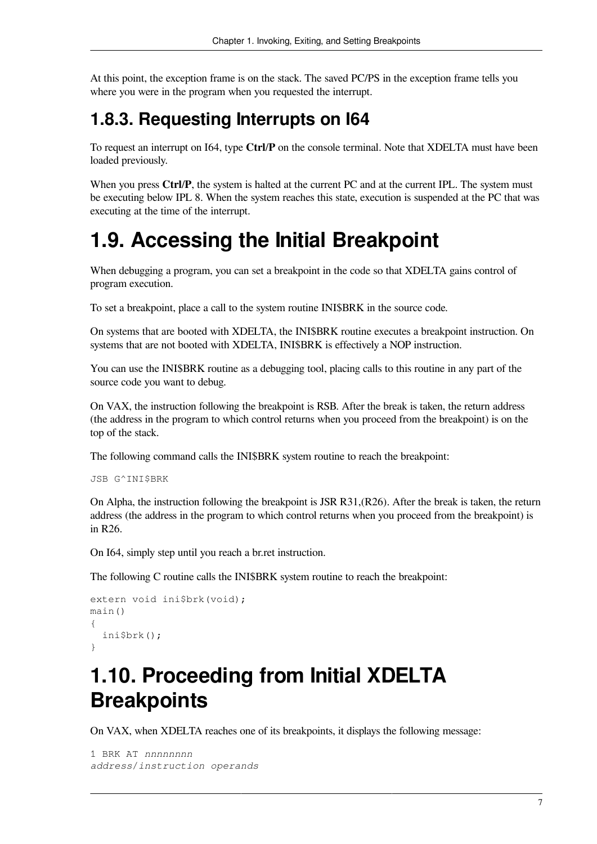At this point, the exception frame is on the stack. The saved PC/PS in the exception frame tells you where you were in the program when you requested the interrupt.

#### <span id="page-12-0"></span>**1.8.3. Requesting Interrupts on I64**

To request an interrupt on I64, type **Ctrl**/**P** on the console terminal. Note that XDELTA must have been loaded previously.

When you press Ctrl/P, the system is halted at the current PC and at the current IPL. The system must be executing below IPL 8. When the system reaches this state, execution is suspended at the PC that was executing at the time of the interrupt.

## <span id="page-12-1"></span>**1.9. Accessing the Initial Breakpoint**

When debugging a program, you can set a breakpoint in the code so that XDELTA gains control of program execution.

To set a breakpoint, place a call to the system routine INI\$BRK in the source code.

On systems that are booted with XDELTA, the INI\$BRK routine executes a breakpoint instruction. On systems that are not booted with XDELTA, INI\$BRK is effectively a NOP instruction.

You can use the INI\$BRK routine as a debugging tool, placing calls to this routine in any part of the source code you want to debug.

On VAX, the instruction following the breakpoint is RSB. After the break is taken, the return address (the address in the program to which control returns when you proceed from the breakpoint) is on the top of the stack.

The following command calls the INI\$BRK system routine to reach the breakpoint:

```
JSB G^INI$BRK
```
On Alpha, the instruction following the breakpoint is JSR R31,(R26). After the break is taken, the return address (the address in the program to which control returns when you proceed from the breakpoint) is in R26.

On I64, simply step until you reach a br.ret instruction.

The following C routine calls the INI\$BRK system routine to reach the breakpoint:

```
extern void ini$brk(void);
main()
{
   ini$brk();
}
```
### <span id="page-12-2"></span>**1.10. Proceeding from Initial XDELTA Breakpoints**

On VAX, when XDELTA reaches one of its breakpoints, it displays the following message:

```
1 BRK AT nnnnnnnn
address/instruction operands
```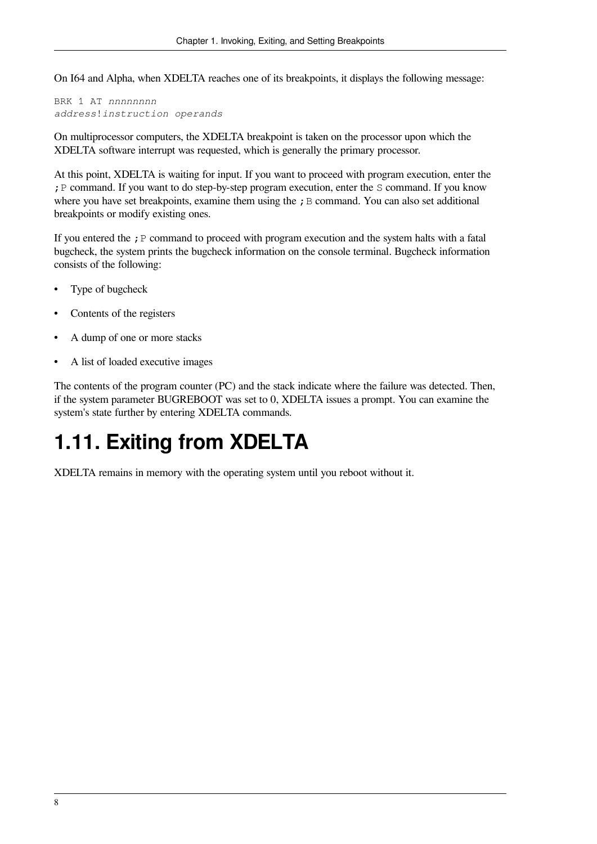On I64 and Alpha, when XDELTA reaches one of its breakpoints, it displays the following message:

BRK 1 AT *nnnnnnnn address*!*instruction operands*

On multiprocessor computers, the XDELTA breakpoint is taken on the processor upon which the XDELTA software interrupt was requested, which is generally the primary processor.

At this point, XDELTA is waiting for input. If you want to proceed with program execution, enter the ;P command. If you want to do step-by-step program execution, enter the S command. If you know where you have set breakpoints, examine them using the  $\chi$  B command. You can also set additional breakpoints or modify existing ones.

If you entered the  $\chi$  P command to proceed with program execution and the system halts with a fatal bugcheck, the system prints the bugcheck information on the console terminal. Bugcheck information consists of the following:

- Type of bugcheck
- Contents of the registers
- A dump of one or more stacks
- A list of loaded executive images

The contents of the program counter (PC) and the stack indicate where the failure was detected. Then, if the system parameter BUGREBOOT was set to 0, XDELTA issues a prompt. You can examine the system's state further by entering XDELTA commands.

# <span id="page-13-0"></span>**1.11. Exiting from XDELTA**

XDELTA remains in memory with the operating system until you reboot without it.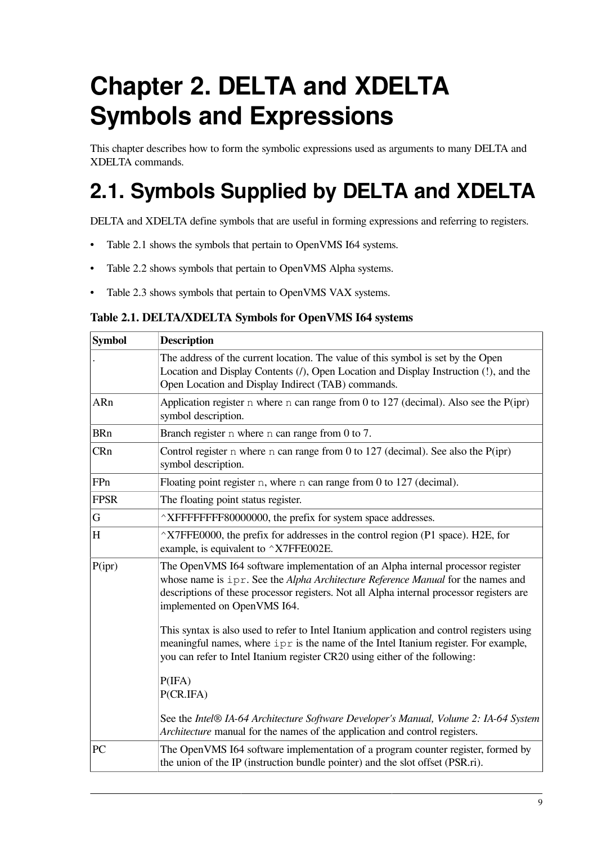# <span id="page-14-0"></span>**Chapter 2. DELTA and XDELTA Symbols and Expressions**

This chapter describes how to form the symbolic expressions used as arguments to many DELTA and XDELTA commands.

# <span id="page-14-1"></span>**2.1. Symbols Supplied by DELTA and XDELTA**

DELTA and XDELTA define symbols that are useful in forming expressions and referring to registers.

- [Table](#page-14-2) 2.1 shows the symbols that pertain to OpenVMS I64 systems.
- [Table](#page-15-0) 2.2 shows symbols that pertain to OpenVMS Alpha systems.
- [Table](#page-16-1) 2.3 shows symbols that pertain to OpenVMS VAX systems.

#### <span id="page-14-2"></span>**Table 2.1. DELTA/XDELTA Symbols for OpenVMS I64 systems**

| <b>Symbol</b>                                                                                                                                                                                                                                                                                             | <b>Description</b>                                                                                                                                                                                                                                               |  |  |  |
|-----------------------------------------------------------------------------------------------------------------------------------------------------------------------------------------------------------------------------------------------------------------------------------------------------------|------------------------------------------------------------------------------------------------------------------------------------------------------------------------------------------------------------------------------------------------------------------|--|--|--|
|                                                                                                                                                                                                                                                                                                           | The address of the current location. The value of this symbol is set by the Open<br>Location and Display Contents (/), Open Location and Display Instruction (!), and the<br>Open Location and Display Indirect (TAB) commands.                                  |  |  |  |
| ARn                                                                                                                                                                                                                                                                                                       | Application register n where n can range from 0 to 127 (decimal). Also see the $P(ipr)$<br>symbol description.                                                                                                                                                   |  |  |  |
| <b>BRn</b>                                                                                                                                                                                                                                                                                                | Branch register $n$ where $n$ can range from 0 to 7.                                                                                                                                                                                                             |  |  |  |
| CRn                                                                                                                                                                                                                                                                                                       | Control register $n$ where $n$ can range from 0 to 127 (decimal). See also the P(ipr)<br>symbol description.                                                                                                                                                     |  |  |  |
| FPn                                                                                                                                                                                                                                                                                                       | Floating point register $n$ , where $n$ can range from 0 to 127 (decimal).                                                                                                                                                                                       |  |  |  |
| <b>FPSR</b>                                                                                                                                                                                                                                                                                               | The floating point status register.                                                                                                                                                                                                                              |  |  |  |
| G                                                                                                                                                                                                                                                                                                         | ^XFFFFFFFF80000000, the prefix for system space addresses.                                                                                                                                                                                                       |  |  |  |
| H                                                                                                                                                                                                                                                                                                         | ^X7FFE0000, the prefix for addresses in the control region (P1 space). H2E, for<br>example, is equivalent to ^X7FFE002E.                                                                                                                                         |  |  |  |
| P(ipr)<br>The OpenVMS I64 software implementation of an Alpha internal processor register<br>whose name is ipr. See the Alpha Architecture Reference Manual for the names and<br>descriptions of these processor registers. Not all Alpha internal processor registers are<br>implemented on OpenVMS I64. |                                                                                                                                                                                                                                                                  |  |  |  |
|                                                                                                                                                                                                                                                                                                           | This syntax is also used to refer to Intel Itanium application and control registers using<br>meaningful names, where ipr is the name of the Intel Itanium register. For example,<br>you can refer to Intel Itanium register CR20 using either of the following: |  |  |  |
|                                                                                                                                                                                                                                                                                                           | P(IFA)<br>P(CR.IFA)                                                                                                                                                                                                                                              |  |  |  |
|                                                                                                                                                                                                                                                                                                           | See the Intel® IA-64 Architecture Software Developer's Manual, Volume 2: IA-64 System<br>Architecture manual for the names of the application and control registers.                                                                                             |  |  |  |
| PC                                                                                                                                                                                                                                                                                                        | The OpenVMS I64 software implementation of a program counter register, formed by<br>the union of the IP (instruction bundle pointer) and the slot offset (PSR.ri).                                                                                               |  |  |  |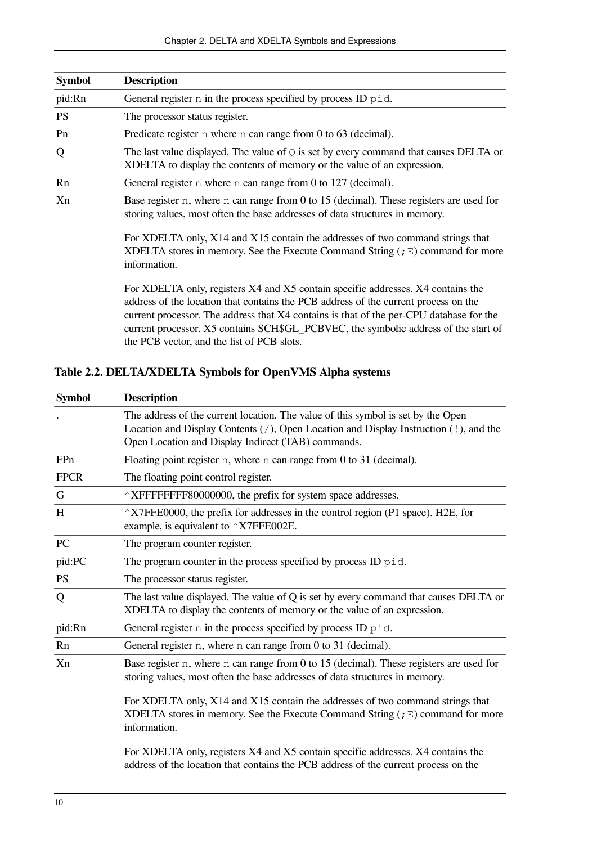| <b>Symbol</b> | <b>Description</b>                                                                                                                                                                                                                                                                                                                                                                                      |  |  |  |
|---------------|---------------------------------------------------------------------------------------------------------------------------------------------------------------------------------------------------------------------------------------------------------------------------------------------------------------------------------------------------------------------------------------------------------|--|--|--|
| pid:Rn        | General register n in the process specified by process ID pid.                                                                                                                                                                                                                                                                                                                                          |  |  |  |
| <b>PS</b>     | The processor status register.                                                                                                                                                                                                                                                                                                                                                                          |  |  |  |
| Pn            | Predicate register n where n can range from 0 to 63 (decimal).                                                                                                                                                                                                                                                                                                                                          |  |  |  |
| Q             | The last value displayed. The value of $Q$ is set by every command that causes DELTA or<br>XDELTA to display the contents of memory or the value of an expression.                                                                                                                                                                                                                                      |  |  |  |
| Rn            | General register n where n can range from 0 to 127 (decimal).                                                                                                                                                                                                                                                                                                                                           |  |  |  |
| Xn            | Base register n, where n can range from 0 to 15 (decimal). These registers are used for<br>storing values, most often the base addresses of data structures in memory.<br>For XDELTA only, X14 and X15 contain the addresses of two command strings that                                                                                                                                                |  |  |  |
|               | XDELTA stores in memory. See the Execute Command String $($ ; $E)$ command for more<br>information.                                                                                                                                                                                                                                                                                                     |  |  |  |
|               | For XDELTA only, registers X4 and X5 contain specific addresses. X4 contains the<br>address of the location that contains the PCB address of the current process on the<br>current processor. The address that X4 contains is that of the per-CPU database for the<br>current processor. X5 contains SCH\$GL_PCBVEC, the symbolic address of the start of<br>the PCB vector, and the list of PCB slots. |  |  |  |

#### <span id="page-15-0"></span>**Table 2.2. DELTA/XDELTA Symbols for OpenVMS Alpha systems**

| <b>Symbol</b> | <b>Description</b>                                                                                                                                                                                                                        |  |  |  |
|---------------|-------------------------------------------------------------------------------------------------------------------------------------------------------------------------------------------------------------------------------------------|--|--|--|
|               | The address of the current location. The value of this symbol is set by the Open<br>Location and Display Contents $( / )$ , Open Location and Display Instruction $( ! )$ , and the<br>Open Location and Display Indirect (TAB) commands. |  |  |  |
| FPn           | Floating point register n, where n can range from 0 to 31 (decimal).                                                                                                                                                                      |  |  |  |
| <b>FPCR</b>   | The floating point control register.                                                                                                                                                                                                      |  |  |  |
| G             | $\wedge$ XFFFFFFFF80000000, the prefix for system space addresses.                                                                                                                                                                        |  |  |  |
| $H_{\rm}$     | $\gamma$ X7FFE0000, the prefix for addresses in the control region (P1 space). H2E, for<br>example, is equivalent to $\triangle$ X7FFE002E.                                                                                               |  |  |  |
| PC            | The program counter register.                                                                                                                                                                                                             |  |  |  |
| pid:PC        | The program counter in the process specified by process ID pid.                                                                                                                                                                           |  |  |  |
| PS            | The processor status register.                                                                                                                                                                                                            |  |  |  |
| Q             | The last value displayed. The value of Q is set by every command that causes DELTA or<br>XDELTA to display the contents of memory or the value of an expression.                                                                          |  |  |  |
| pid:Rn        | General register n in the process specified by process ID pid.                                                                                                                                                                            |  |  |  |
| Rn            | General register n, where n can range from 0 to 31 (decimal).                                                                                                                                                                             |  |  |  |
| Xn            | Base register n, where n can range from 0 to 15 (decimal). These registers are used for<br>storing values, most often the base addresses of data structures in memory.                                                                    |  |  |  |
|               | For XDELTA only, X14 and X15 contain the addresses of two command strings that<br>XDELTA stores in memory. See the Execute Command String $($ ; E) command for more<br>information.                                                       |  |  |  |
|               | For XDELTA only, registers X4 and X5 contain specific addresses. X4 contains the<br>address of the location that contains the PCB address of the current process on the                                                                   |  |  |  |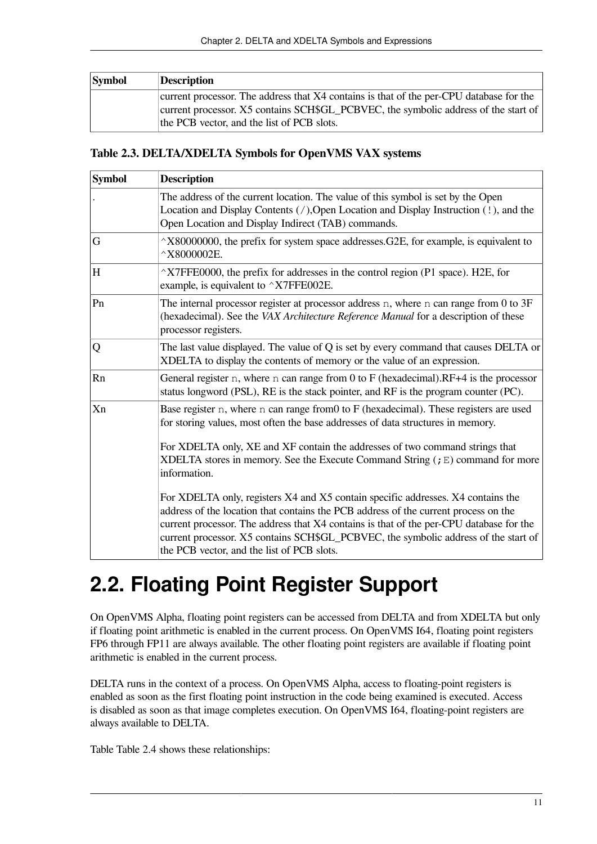| <b>Symbol</b> | <b>Description</b>                                                                      |
|---------------|-----------------------------------------------------------------------------------------|
|               | current processor. The address that X4 contains is that of the per-CPU database for the |
|               | current processor. X5 contains SCH\$GL_PCBVEC, the symbolic address of the start of     |
|               | the PCB vector, and the list of PCB slots.                                              |

#### <span id="page-16-1"></span>**Table 2.3. DELTA/XDELTA Symbols for OpenVMS VAX systems**

| <b>Symbol</b> | <b>Description</b>                                                                                                                                                                                                                                                                                                                                                                                      |  |  |  |  |
|---------------|---------------------------------------------------------------------------------------------------------------------------------------------------------------------------------------------------------------------------------------------------------------------------------------------------------------------------------------------------------------------------------------------------------|--|--|--|--|
|               | The address of the current location. The value of this symbol is set by the Open<br>Location and Display Contents (/), Open Location and Display Instruction (!), and the<br>Open Location and Display Indirect (TAB) commands.                                                                                                                                                                         |  |  |  |  |
| G             | $\hat{X}$ 80000000, the prefix for system space addresses. G2E, for example, is equivalent to<br>$^{\wedge}$ X8000002E.                                                                                                                                                                                                                                                                                 |  |  |  |  |
| H             | $\gamma$ X7FFE0000, the prefix for addresses in the control region (P1 space). H2E, for<br>example, is equivalent to $\gamma$ X7FFE002E.                                                                                                                                                                                                                                                                |  |  |  |  |
| Pn            | The internal processor register at processor address $n$ , where $n$ can range from 0 to 3F<br>(hexadecimal). See the VAX Architecture Reference Manual for a description of these<br>processor registers.                                                                                                                                                                                              |  |  |  |  |
| Q             | The last value displayed. The value of Q is set by every command that causes DELTA or<br>XDELTA to display the contents of memory or the value of an expression.                                                                                                                                                                                                                                        |  |  |  |  |
| Rn            | General register $n$ , where $n$ can range from 0 to F (hexadecimal). RF+4 is the processor<br>status longword (PSL), RE is the stack pointer, and RF is the program counter (PC).                                                                                                                                                                                                                      |  |  |  |  |
| Xn            | Base register n, where n can range from0 to F (hexadecimal). These registers are used<br>for storing values, most often the base addresses of data structures in memory.<br>For XDELTA only, XE and XF contain the addresses of two command strings that<br>XDELTA stores in memory. See the Execute Command String $(jE)$ command for more<br>information.                                             |  |  |  |  |
|               | For XDELTA only, registers X4 and X5 contain specific addresses. X4 contains the<br>address of the location that contains the PCB address of the current process on the<br>current processor. The address that X4 contains is that of the per-CPU database for the<br>current processor. X5 contains SCH\$GL_PCBVEC, the symbolic address of the start of<br>the PCB vector, and the list of PCB slots. |  |  |  |  |

# <span id="page-16-0"></span>**2.2. Floating Point Register Support**

On OpenVMS Alpha, floating point registers can be accessed from DELTA and from XDELTA but only if floating point arithmetic is enabled in the current process. On OpenVMS I64, floating point registers FP6 through FP11 are always available. The other floating point registers are available if floating point arithmetic is enabled in the current process.

DELTA runs in the context of a process. On OpenVMS Alpha, access to floating-point registers is enabled as soon as the first floating point instruction in the code being examined is executed. Access is disabled as soon as that image completes execution. On OpenVMS I64, floating-point registers are always available to DELTA.

Table [Table](#page-17-1) 2.4 shows these relationships: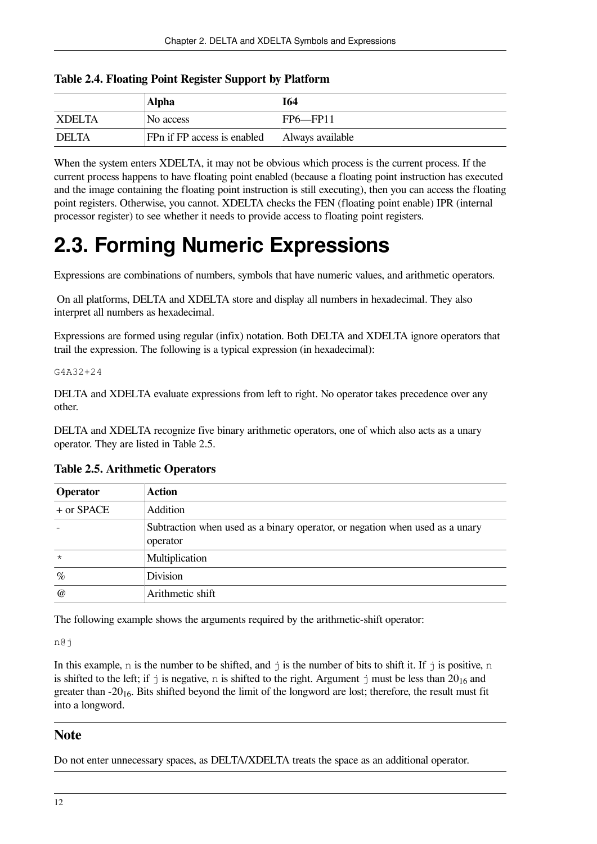<span id="page-17-1"></span>

| <b>Table 2.4. Floating Point Register Support by Platform</b> |  |  |  |  |  |  |
|---------------------------------------------------------------|--|--|--|--|--|--|
|---------------------------------------------------------------|--|--|--|--|--|--|

|               | Alpha                       | <b>I64</b>       |
|---------------|-----------------------------|------------------|
| <b>XDELTA</b> | No access                   | FP6—FP11         |
| <b>DELTA</b>  | FPn if FP access is enabled | Always available |

When the system enters XDELTA, it may not be obvious which process is the current process. If the current process happens to have floating point enabled (because a floating point instruction has executed and the image containing the floating point instruction is still executing), then you can access the floating point registers. Otherwise, you cannot. XDELTA checks the FEN (floating point enable) IPR (internal processor register) to see whether it needs to provide access to floating point registers.

# <span id="page-17-0"></span>**2.3. Forming Numeric Expressions**

Expressions are combinations of numbers, symbols that have numeric values, and arithmetic operators.

On all platforms, DELTA and XDELTA store and display all numbers in hexadecimal. They also interpret all numbers as hexadecimal.

Expressions are formed using regular (infix) notation. Both DELTA and XDELTA ignore operators that trail the expression. The following is a typical expression (in hexadecimal):

#### G4A32+24

DELTA and XDELTA evaluate expressions from left to right. No operator takes precedence over any other.

DELTA and XDELTA recognize five binary arithmetic operators, one of which also acts as a unary operator. They are listed in [Table](#page-17-2) 2.5.

| <b>Operator</b> | <b>Action</b>                                                                            |
|-----------------|------------------------------------------------------------------------------------------|
| $+$ or SPACE    | Addition                                                                                 |
|                 | Subtraction when used as a binary operator, or negation when used as a unary<br>operator |
| $\star$         | Multiplication                                                                           |
| $\%$            | Division                                                                                 |
| $\omega$        | Arithmetic shift                                                                         |

#### <span id="page-17-2"></span>**Table 2.5. Arithmetic Operators**

The following example shows the arguments required by the arithmetic-shift operator:

n@j

In this example, n is the number to be shifted, and  $\dot{\uparrow}$  is the number of bits to shift it. If  $\dot{\uparrow}$  is positive, n is shifted to the left; if  $\dot{\rm j}$  is negative, n is shifted to the right. Argument  $\dot{\rm j}$  must be less than 20<sub>16</sub> and greater than  $-20_{16}$ . Bits shifted beyond the limit of the longword are lost; therefore, the result must fit into a longword.

#### **Note**

Do not enter unnecessary spaces, as DELTA/XDELTA treats the space as an additional operator.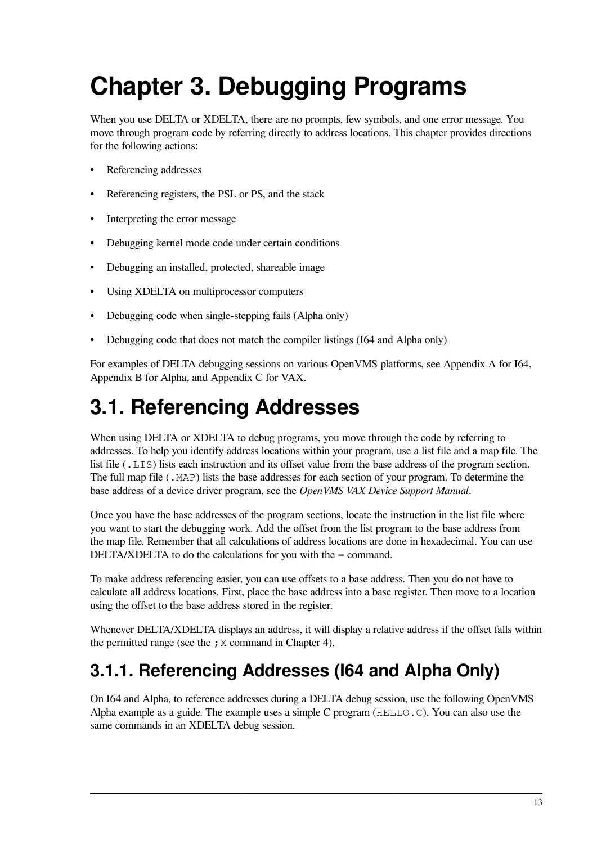# <span id="page-18-0"></span>**Chapter 3. Debugging Programs**

When you use DELTA or XDELTA, there are no prompts, few symbols, and one error message. You move through program code by referring directly to address locations. This chapter provides directions for the following actions:

- Referencing addresses
- Referencing registers, the PSL or PS, and the stack
- Interpreting the error message
- Debugging kernel mode code under certain conditions
- Debugging an installed, protected, shareable image
- Using XDELTA on multiprocessor computers
- Debugging code when single-stepping fails (Alpha only)
- Debugging code that does not match the compiler listings (164 and Alpha only)

For examples of DELTA debugging sessions on various OpenVMS platforms, see [Appendix](#page-70-0) A for I64, [Appendix](#page-80-0) B for Alpha, and [Appendix](#page-90-0) C for VAX.

# <span id="page-18-1"></span>**3.1. Referencing Addresses**

When using DELTA or XDELTA to debug programs, you move through the code by referring to addresses. To help you identify address locations within your program, use a list file and a map file. The list file (.LIS) lists each instruction and its offset value from the base address of the program section. The full map file (.MAP) lists the base addresses for each section of your program. To determine the base address of a device driver program, see the *OpenVMS VAX Device Support Manual*.

Once you have the base addresses of the program sections, locate the instruction in the list file where you want to start the debugging work. Add the offset from the list program to the base address from the map file. Remember that all calculations of address locations are done in hexadecimal. You can use DELTA/XDELTA to do the calculations for you with the = command.

To make address referencing easier, you can use offsets to a base address. Then you do not have to calculate all address locations. First, place the base address into a base register. Then move to a location using the offset to the base address stored in the register.

Whenever DELTA/XDELTA displays an address, it will display a relative address if the offset falls within the permitted range (see the  $;X$  command in [Chapter](#page-30-0) 4).

#### <span id="page-18-2"></span>**3.1.1. Referencing Addresses (I64 and Alpha Only)**

On I64 and Alpha, to reference addresses during a DELTA debug session, use the following OpenVMS Alpha example as a guide. The example uses a simple C program ( $HELLO.C$ ). You can also use the same commands in an XDELTA debug session.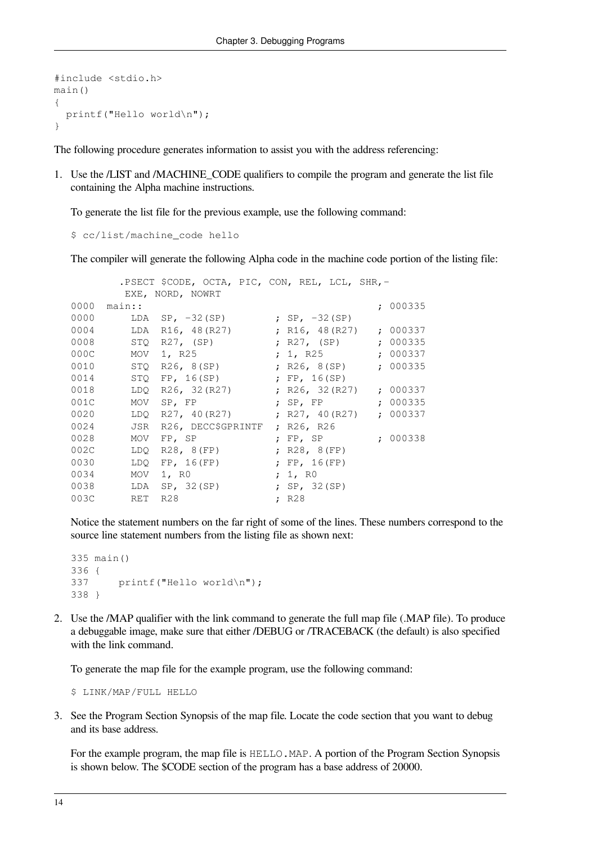```
#include <stdio.h>
main()
{
   printf("Hello world\n");
}
```
The following procedure generates information to assist you with the address referencing:

1. Use the /LIST and /MACHINE\_CODE qualifiers to compile the program and generate the list file containing the Alpha machine instructions.

To generate the list file for the previous example, use the following command:

\$ cc/list/machine\_code hello

The compiler will generate the following Alpha code in the machine code portion of the listing file:

```
 .PSECT $CODE, OCTA, PIC, CON, REL, LCL, SHR,-
       EXE, NORD, NOWRT
0000 main:: ; 000335
0000 LDA SP, -32(SP) ; SP, -32(SP)
0004 LDA R16, 48(R27) ; R16, 48(R27) ; 000337
0008 STQ R27, (SP) ; R27, (SP) ; 000335
000C MOV 1, R25 ; 1, R25 ; 000337
0010 STQ R26, 8(SP) ; R26, 8(SP) ; 000335
0014 STQ FP, 16(SP) ; FP, 16(SP)
0018 LDQ R26, 32 (R27) ; R26, 32 (R27) ; 000337
001C MOV SP, FP ; SP, FP ; 000335
0020 LDQ R27, 40(R27)
0024 JSR R26, DECC$GPRINTF ; R26, R26<br>0028 MOV FP, SP ; FP, SP
0028 MOV FP, SP ; FP, SP ; 000338<br>002C LDQ R28, 8(FP) ; R28, 8(FP)
002C LDQ R28, 8(FP)
0030 LDQ FP, 16(FP) ; FP, 16(FP)
0034 MOV 1, RO ; 1, RO
0038 LDA SP, 32(SP) ; SP, 32(SP)
003C RET R28 ; R28
```
Notice the statement numbers on the far right of some of the lines. These numbers correspond to the source line statement numbers from the listing file as shown next:

```
335 main()
336 {
337 printf("Hello world\n");
338 }
```
2. Use the /MAP qualifier with the link command to generate the full map file (.MAP file). To produce a debuggable image, make sure that either /DEBUG or /TRACEBACK (the default) is also specified with the link command.

To generate the map file for the example program, use the following command:

\$ LINK/MAP/FULL HELLO

3. See the Program Section Synopsis of the map file. Locate the code section that you want to debug and its base address.

For the example program, the map file is HELLO.MAP. A portion of the Program Section Synopsis is shown below. The \$CODE section of the program has a base address of 20000.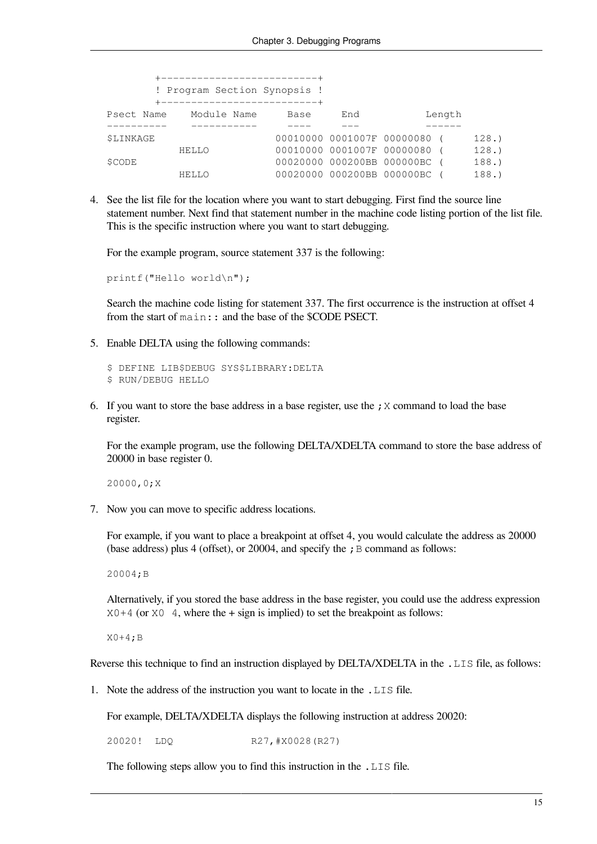|                  | ------------------------------ |      |     |                              |        |      |
|------------------|--------------------------------|------|-----|------------------------------|--------|------|
|                  | ! Program Section Synopsis !   |      |     |                              |        |      |
|                  | +----------------------------  |      |     |                              |        |      |
|                  | Psect Name Module Name         | Base | End |                              | Length |      |
|                  |                                |      |     |                              |        |      |
| <b>\$LINKAGE</b> |                                |      |     | 00010000 0001007F 00000080 ( |        | 128. |
|                  | HELLO                          |      |     | 00010000 0001007F 00000080 ( |        | 128. |
| SCODE            |                                |      |     | 00020000 000200BB 000000BC ( |        | 188. |
|                  | HELLO                          |      |     | 00020000 000200BB 000000BC ( |        | 188. |

4. See the list file for the location where you want to start debugging. First find the source line statement number. Next find that statement number in the machine code listing portion of the list file. This is the specific instruction where you want to start debugging.

For the example program, source statement 337 is the following:

printf("Hello world\n");

Search the machine code listing for statement 337. The first occurrence is the instruction at offset 4 from the start of main:: and the base of the \$CODE PSECT.

5. Enable DELTA using the following commands:

```
$ DEFINE LIB$DEBUG SYS$LIBRARY:DELTA
$ RUN/DEBUG HELLO
```
6. If you want to store the base address in a base register, use the ; X command to load the base register.

For the example program, use the following DELTA/XDELTA command to store the base address of 20000 in base register 0.

20000,0;X

7. Now you can move to specific address locations.

For example, if you want to place a breakpoint at offset 4, you would calculate the address as 20000 (base address) plus 4 (offset), or 20004, and specify the  $\chi$  B command as follows:

20004;B

Alternatively, if you stored the base address in the base register, you could use the address expression  $X0+4$  (or  $X0-4$ , where the + sign is implied) to set the breakpoint as follows:

X0+4;B

Reverse this technique to find an instruction displayed by DELTA/XDELTA in the . LIS file, as follows:

1. Note the address of the instruction you want to locate in the .LIS file.

For example, DELTA/XDELTA displays the following instruction at address 20020:

20020! LDQ R27,#X0028(R27)

The following steps allow you to find this instruction in the .LIS file.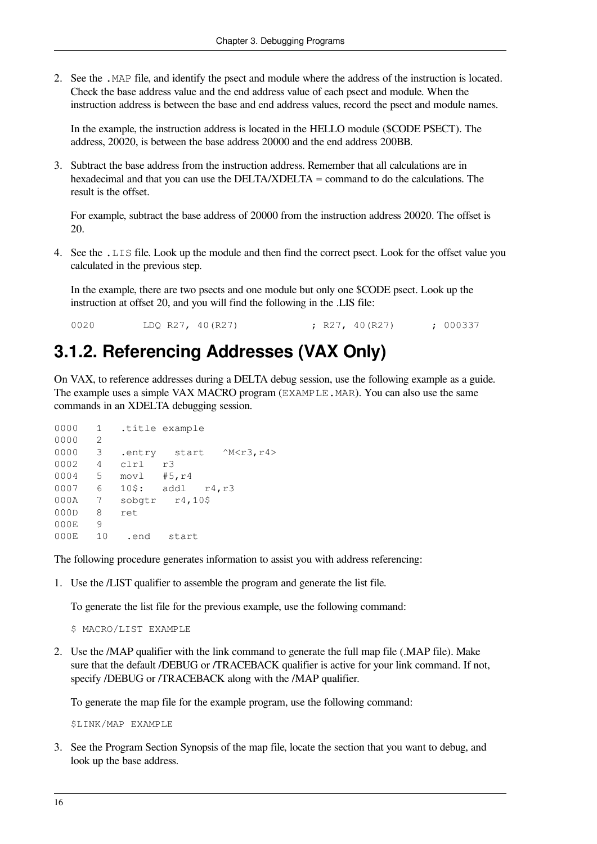2. See the .MAP file, and identify the psect and module where the address of the instruction is located. Check the base address value and the end address value of each psect and module. When the instruction address is between the base and end address values, record the psect and module names.

In the example, the instruction address is located in the HELLO module (\$CODE PSECT). The address, 20020, is between the base address 20000 and the end address 200BB.

3. Subtract the base address from the instruction address. Remember that all calculations are in hexadecimal and that you can use the DELTA/XDELTA = command to do the calculations. The result is the offset.

For example, subtract the base address of 20000 from the instruction address 20020. The offset is 20.

4. See the .LIS file. Look up the module and then find the correct psect. Look for the offset value you calculated in the previous step.

In the example, there are two psects and one module but only one \$CODE psect. Look up the instruction at offset 20, and you will find the following in the .LIS file:

0020 LDQ R27, 40 (R27) ; R27, 40 (R27) ; 000337

#### <span id="page-21-0"></span>**3.1.2. Referencing Addresses (VAX Only)**

On VAX, to reference addresses during a DELTA debug session, use the following example as a guide. The example uses a simple VAX MACRO program (EXAMPLE, MAR). You can also use the same commands in an XDELTA debugging session.

```
0000 1 .title example
0000 2
0000 3 .entry start ^M<r3,r4>
0002 4 clrl r3
0004 5 movl #5,r4
0007 6 10$: addl r4,r3
000A 7 sobgtr r4,10$
000D 8 ret
0.00E 9
000E 10 .end start
```
The following procedure generates information to assist you with address referencing:

1. Use the /LIST qualifier to assemble the program and generate the list file.

To generate the list file for the previous example, use the following command:

\$ MACRO/LIST EXAMPLE

2. Use the /MAP qualifier with the link command to generate the full map file (.MAP file). Make sure that the default /DEBUG or /TRACEBACK qualifier is active for your link command. If not, specify */DEBUG* or */TRACEBACK* along with the */MAP* qualifier.

To generate the map file for the example program, use the following command:

\$LINK/MAP EXAMPLE

3. See the Program Section Synopsis of the map file, locate the section that you want to debug, and look up the base address.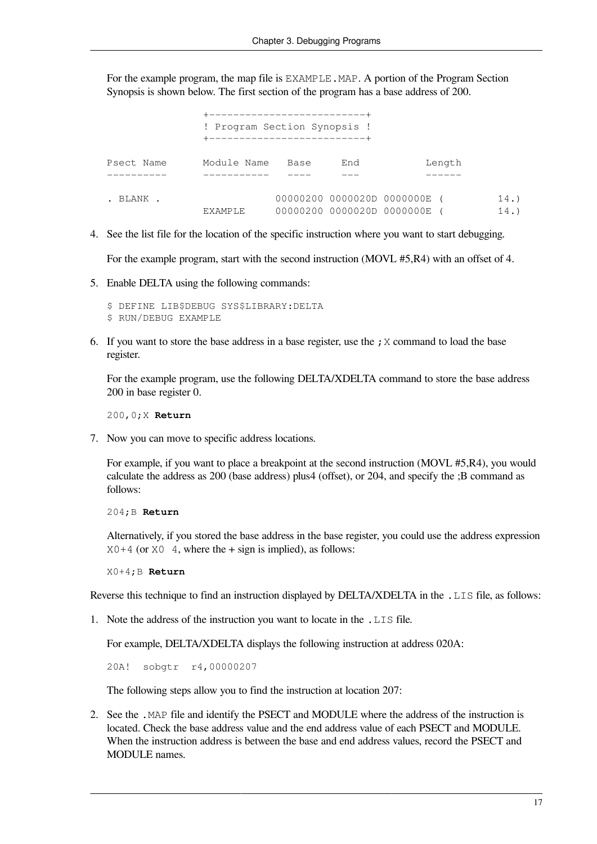For the example program, the map file is EXAMPLE. MAP. A portion of the Program Section Synopsis is shown below. The first section of the program has a base address of 200.

|            | ----------------------------<br>! Program Section Synopsis !<br>+----------------------------- |      |     |                                                          |        |            |
|------------|------------------------------------------------------------------------------------------------|------|-----|----------------------------------------------------------|--------|------------|
| Psect Name | Module Name                                                                                    | Base | End |                                                          | Length |            |
| . BLANK .  | EXAMPLE                                                                                        |      |     | 00000200 0000020D 0000000E<br>00000200 0000020D 0000000E |        | 14.<br>14. |

4. See the list file for the location of the specific instruction where you want to start debugging.

For the example program, start with the second instruction (MOVL #5,R4) with an offset of 4.

5. Enable DELTA using the following commands:

\$ DEFINE LIB\$DEBUG SYS\$LIBRARY:DELTA \$ RUN/DEBUG EXAMPLE

6. If you want to store the base address in a base register, use the  $\chi$  command to load the base register.

For the example program, use the following DELTA/XDELTA command to store the base address 200 in base register 0.

200,0;X **Return**

7. Now you can move to specific address locations.

For example, if you want to place a breakpoint at the second instruction (MOVL #5,R4), you would calculate the address as 200 (base address) plus4 (offset), or 204, and specify the ;B command as follows:

204;B **Return**

Alternatively, if you stored the base address in the base register, you could use the address expression  $X0+4$  (or  $X0 \quad 4$ , where the  $+$  sign is implied), as follows:

X0+4;B **Return**

Reverse this technique to find an instruction displayed by DELTA/XDELTA in the . LIS file, as follows:

1. Note the address of the instruction you want to locate in the .LIS file.

For example, DELTA/XDELTA displays the following instruction at address 020A:

20A! sobgtr r4,00000207

The following steps allow you to find the instruction at location 207:

2. See the .MAP file and identify the PSECT and MODULE where the address of the instruction is located. Check the base address value and the end address value of each PSECT and MODULE. When the instruction address is between the base and end address values, record the PSECT and MODULE names.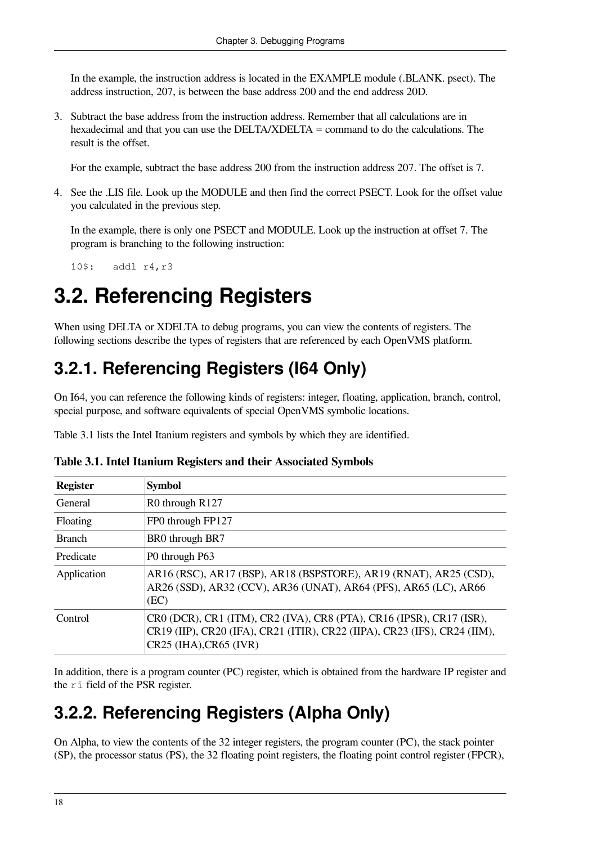In the example, the instruction address is located in the EXAMPLE module (.BLANK. psect). The address instruction, 207, is between the base address 200 and the end address 20D.

3. Subtract the base address from the instruction address. Remember that all calculations are in hexadecimal and that you can use the DELTA/XDELTA = command to do the calculations. The result is the offset.

For the example, subtract the base address 200 from the instruction address 207. The offset is 7.

4. See the .LIS file. Look up the MODULE and then find the correct PSECT. Look for the offset value you calculated in the previous step.

In the example, there is only one PSECT and MODULE. Look up the instruction at offset 7. The program is branching to the following instruction:

10\$: addl r4,r3

## <span id="page-23-0"></span>**3.2. Referencing Registers**

When using DELTA or XDELTA to debug programs, you can view the contents of registers. The following sections describe the types of registers that are referenced by each OpenVMS platform.

### <span id="page-23-1"></span>**3.2.1. Referencing Registers (I64 Only)**

On I64, you can reference the following kinds of registers: integer, floating, application, branch, control, special purpose, and software equivalents of special OpenVMS symbolic locations.

<span id="page-23-3"></span>[Table](#page-23-3) 3.1 lists the Intel Itanium registers and symbols by which they are identified.

| <b>Register</b> | <b>Symbol</b>                                                                                                                                                               |
|-----------------|-----------------------------------------------------------------------------------------------------------------------------------------------------------------------------|
| General         | R0 through R127                                                                                                                                                             |
| Floating        | FP0 through FP127                                                                                                                                                           |
| <b>Branch</b>   | BR0 through BR7                                                                                                                                                             |
| Predicate       | P0 through P63                                                                                                                                                              |
| Application     | AR16 (RSC), AR17 (BSP), AR18 (BSPSTORE), AR19 (RNAT), AR25 (CSD),<br>AR26 (SSD), AR32 (CCV), AR36 (UNAT), AR64 (PFS), AR65 (LC), AR66<br>(EC)                               |
| Control         | CR0 (DCR), CR1 (ITM), CR2 (IVA), CR8 (PTA), CR16 (IPSR), CR17 (ISR),<br>CR19 (IIP), CR20 (IFA), CR21 (ITIR), CR22 (IIPA), CR23 (IFS), CR24 (IIM),<br>CR25 (IHA), CR65 (IVR) |

**Table 3.1. Intel Itanium Registers and their Associated Symbols**

In addition, there is a program counter (PC) register, which is obtained from the hardware IP register and the ri field of the PSR register.

#### <span id="page-23-2"></span>**3.2.2. Referencing Registers (Alpha Only)**

On Alpha, to view the contents of the 32 integer registers, the program counter (PC), the stack pointer (SP), the processor status (PS), the 32 floating point registers, the floating point control register (FPCR),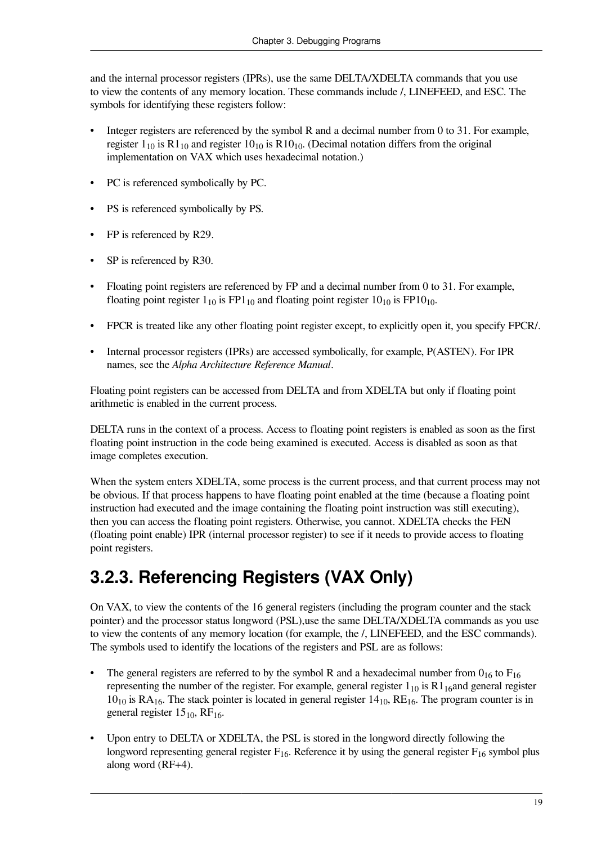and the internal processor registers (IPRs), use the same DELTA/XDELTA commands that you use to view the contents of any memory location. These commands include /, LINEFEED, and ESC. The symbols for identifying these registers follow:

- Integer registers are referenced by the symbol R and a decimal number from 0 to 31. For example, register  $1_{10}$  is R $1_{10}$  and register  $10_{10}$  is R $10_{10}$ . (Decimal notation differs from the original implementation on VAX which uses hexadecimal notation.)
- PC is referenced symbolically by PC.
- PS is referenced symbolically by PS.
- FP is referenced by R29.
- SP is referenced by R30.
- Floating point registers are referenced by FP and a decimal number from 0 to 31. For example, floating point register  $1_{10}$  is FP1<sub>10</sub> and floating point register  $10_{10}$  is FP10<sub>10</sub>.
- FPCR is treated like any other floating point register except, to explicitly open it, you specify FPCR.
- Internal processor registers (IPRs) are accessed symbolically, for example, P(ASTEN). For IPR names, see the *Alpha Architecture Reference Manual*.

Floating point registers can be accessed from DELTA and from XDELTA but only if floating point arithmetic is enabled in the current process.

DELTA runs in the context of a process. Access to floating point registers is enabled as soon as the first floating point instruction in the code being examined is executed. Access is disabled as soon as that image completes execution.

When the system enters XDELTA, some process is the current process, and that current process may not be obvious. If that process happens to have floating point enabled at the time (because a floating point instruction had executed and the image containing the floating point instruction was still executing), then you can access the floating point registers. Otherwise, you cannot. XDELTA checks the FEN (floating point enable) IPR (internal processor register) to see if it needs to provide access to floating point registers.

### <span id="page-24-0"></span>**3.2.3. Referencing Registers (VAX Only)**

On VAX, to view the contents of the 16 general registers (including the program counter and the stack pointer) and the processor status longword (PSL),use the same DELTA/XDELTA commands as you use to view the contents of any memory location (for example, the /, LINEFEED, and the ESC commands). The symbols used to identify the locations of the registers and PSL are as follows:

- The general registers are referred to by the symbol R and a hexadecimal number from  $0_{16}$  to  $F_{16}$ representing the number of the register. For example, general register  $1_{10}$  is R $1_{16}$ and general register  $10_{10}$  is RA<sub>16</sub>. The stack pointer is located in general register  $14_{10}$ , RE<sub>16</sub>. The program counter is in general register  $15_{10}$ , RF<sub>16</sub>.
- Upon entry to DELTA or XDELTA, the PSL is stored in the longword directly following the longword representing general register  $F_{16}$ . Reference it by using the general register  $F_{16}$  symbol plus along word (RF+4).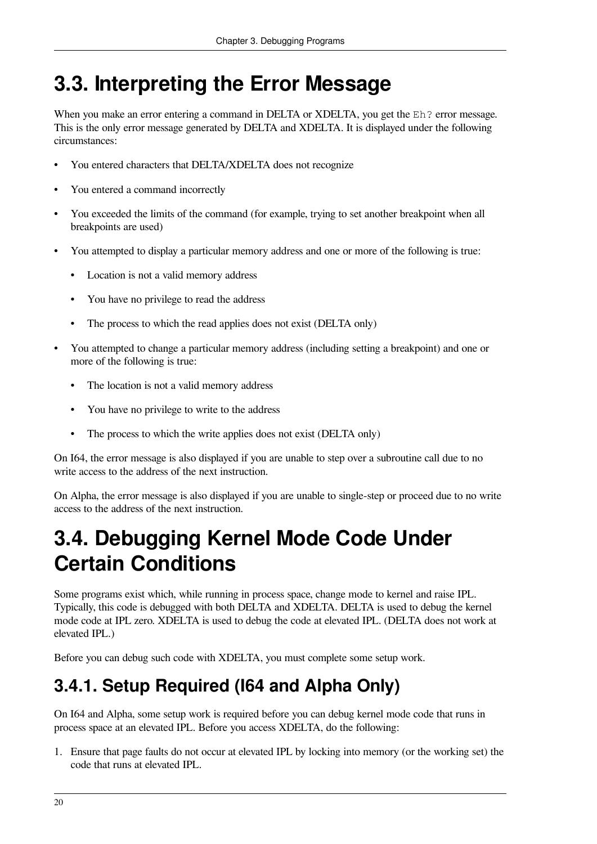# <span id="page-25-0"></span>**3.3. Interpreting the Error Message**

When you make an error entering a command in DELTA or XDELTA, you get the Eh? error message. This is the only error message generated by DELTA and XDELTA. It is displayed under the following circumstances:

- You entered characters that DELTA/XDELTA does not recognize
- You entered a command incorrectly
- You exceeded the limits of the command (for example, trying to set another breakpoint when all breakpoints are used)
- You attempted to display a particular memory address and one or more of the following is true:
	- Location is not a valid memory address
	- You have no privilege to read the address
	- The process to which the read applies does not exist (DELTA only)
- You attempted to change a particular memory address (including setting a breakpoint) and one or more of the following is true:
	- The location is not a valid memory address
	- You have no privilege to write to the address
	- The process to which the write applies does not exist (DELTA only)

On I64, the error message is also displayed if you are unable to step over a subroutine call due to no write access to the address of the next instruction.

On Alpha, the error message is also displayed if you are unable to single-step or proceed due to no write access to the address of the next instruction.

# <span id="page-25-1"></span>**3.4. Debugging Kernel Mode Code Under Certain Conditions**

Some programs exist which, while running in process space, change mode to kernel and raise IPL. Typically, this code is debugged with both DELTA and XDELTA. DELTA is used to debug the kernel mode code at IPL zero. XDELTA is used to debug the code at elevated IPL. (DELTA does not work at elevated IPL.)

Before you can debug such code with XDELTA, you must complete some setup work.

### <span id="page-25-2"></span>**3.4.1. Setup Required (I64 and Alpha Only)**

On I64 and Alpha, some setup work is required before you can debug kernel mode code that runs in process space at an elevated IPL. Before you access XDELTA, do the following:

1. Ensure that page faults do not occur at elevated IPL by locking into memory (or the working set) the code that runs at elevated IPL.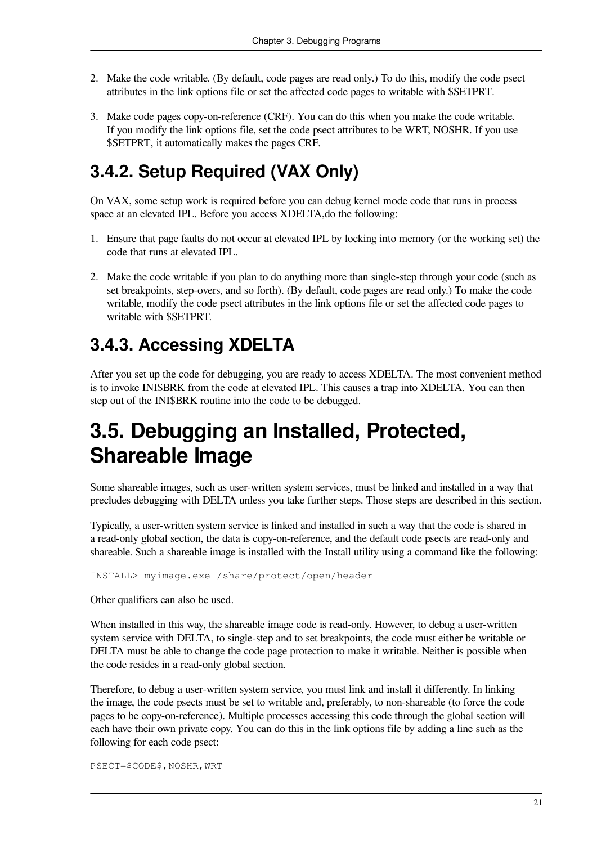- 2. Make the code writable. (By default, code pages are read only.) To do this, modify the code psect attributes in the link options file or set the affected code pages to writable with \$SETPRT.
- 3. Make code pages copy-on-reference (CRF). You can do this when you make the code writable. If you modify the link options file, set the code psect attributes to be WRT, NOSHR. If you use \$SETPRT, it automatically makes the pages CRF.

### <span id="page-26-0"></span>**3.4.2. Setup Required (VAX Only)**

On VAX, some setup work is required before you can debug kernel mode code that runs in process space at an elevated IPL. Before you access XDELTA,do the following:

- 1. Ensure that page faults do not occur at elevated IPL by locking into memory (or the working set) the code that runs at elevated IPL.
- 2. Make the code writable if you plan to do anything more than single-step through your code (such as set breakpoints, step-overs, and so forth). (By default, code pages are read only.) To make the code writable, modify the code psect attributes in the link options file or set the affected code pages to writable with \$SETPRT.

#### <span id="page-26-1"></span>**3.4.3. Accessing XDELTA**

After you set up the code for debugging, you are ready to access XDELTA. The most convenient method is to invoke INI\$BRK from the code at elevated IPL. This causes a trap into XDELTA. You can then step out of the INI\$BRK routine into the code to be debugged.

## <span id="page-26-2"></span>**3.5. Debugging an Installed, Protected, Shareable Image**

Some shareable images, such as user-written system services, must be linked and installed in a way that precludes debugging with DELTA unless you take further steps. Those steps are described in this section.

Typically, a user-written system service is linked and installed in such a way that the code is shared in a read-only global section, the data is copy-on-reference, and the default code psects are read-only and shareable. Such a shareable image is installed with the Install utility using a command like the following:

INSTALL> myimage.exe /share/protect/open/header

Other qualifiers can also be used.

When installed in this way, the shareable image code is read-only. However, to debug a user-written system service with DELTA, to single-step and to set breakpoints, the code must either be writable or DELTA must be able to change the code page protection to make it writable. Neither is possible when the code resides in a read-only global section.

Therefore, to debug a user-written system service, you must link and install it differently. In linking the image, the code psects must be set to writable and, preferably, to non-shareable (to force the code pages to be copy-on-reference). Multiple processes accessing this code through the global section will each have their own private copy. You can do this in the link options file by adding a line such as the following for each code psect:

PSECT=\$CODE\$, NOSHR, WRT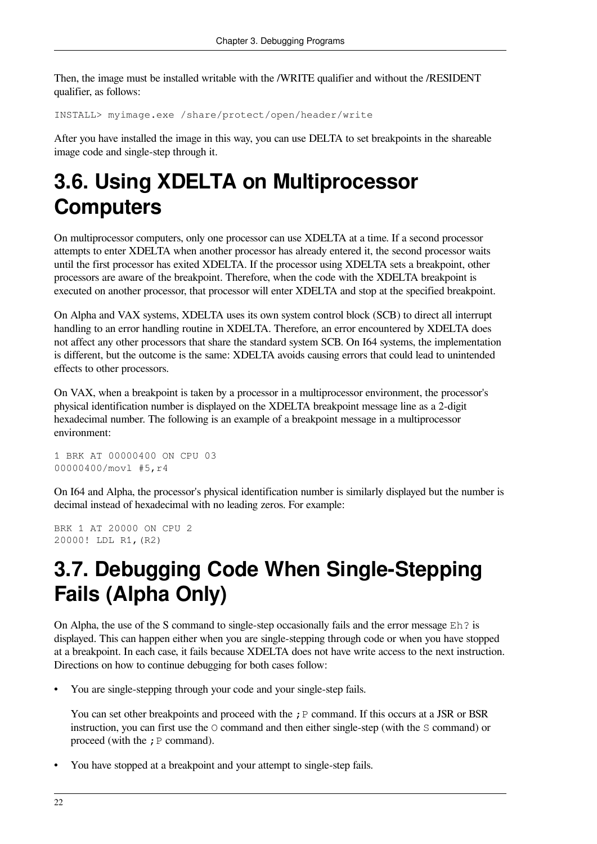Then, the image must be installed writable with the /WRITE qualifier and without the /RESIDENT qualifier, as follows:

INSTALL> myimage.exe /share/protect/open/header/write

After you have installed the image in this way, you can use DELTA to set breakpoints in the shareable image code and single-step through it.

# <span id="page-27-0"></span>**3.6. Using XDELTA on Multiprocessor Computers**

On multiprocessor computers, only one processor can use XDELTA at a time. If a second processor attempts to enter XDELTA when another processor has already entered it, the second processor waits until the first processor has exited XDELTA. If the processor using XDELTA sets a breakpoint, other processors are aware of the breakpoint. Therefore, when the code with the XDELTA breakpoint is executed on another processor, that processor will enter XDELTA and stop at the specified breakpoint.

On Alpha and VAX systems, XDELTA uses its own system control block (SCB) to direct all interrupt handling to an error handling routine in XDELTA. Therefore, an error encountered by XDELTA does not affect any other processors that share the standard system SCB. On I64 systems, the implementation is different, but the outcome is the same: XDELTA avoids causing errors that could lead to unintended effects to other processors.

On VAX, when a breakpoint is taken by a processor in a multiprocessor environment, the processor's physical identification number is displayed on the XDELTA breakpoint message line as a 2-digit hexadecimal number. The following is an example of a breakpoint message in a multiprocessor environment:

1 BRK AT 00000400 ON CPU 03 00000400/movl #5,r4

On I64 and Alpha, the processor's physical identification number is similarly displayed but the number is decimal instead of hexadecimal with no leading zeros. For example:

BRK 1 AT 20000 ON CPU 2 20000! LDL R1,(R2)

# <span id="page-27-1"></span>**3.7. Debugging Code When Single-Stepping Fails (Alpha Only)**

On Alpha, the use of the S command to single-step occasionally fails and the error message  $E h$ ? is displayed. This can happen either when you are single-stepping through code or when you have stopped at a breakpoint. In each case, it fails because XDELTA does not have write access to the next instruction. Directions on how to continue debugging for both cases follow:

• You are single-stepping through your code and your single-step fails.

You can set other breakpoints and proceed with the  $;P$  command. If this occurs at a JSR or BSR instruction, you can first use the O command and then either single-step (with the S command) or proceed (with the  $;P$  command).

• You have stopped at a breakpoint and your attempt to single-step fails.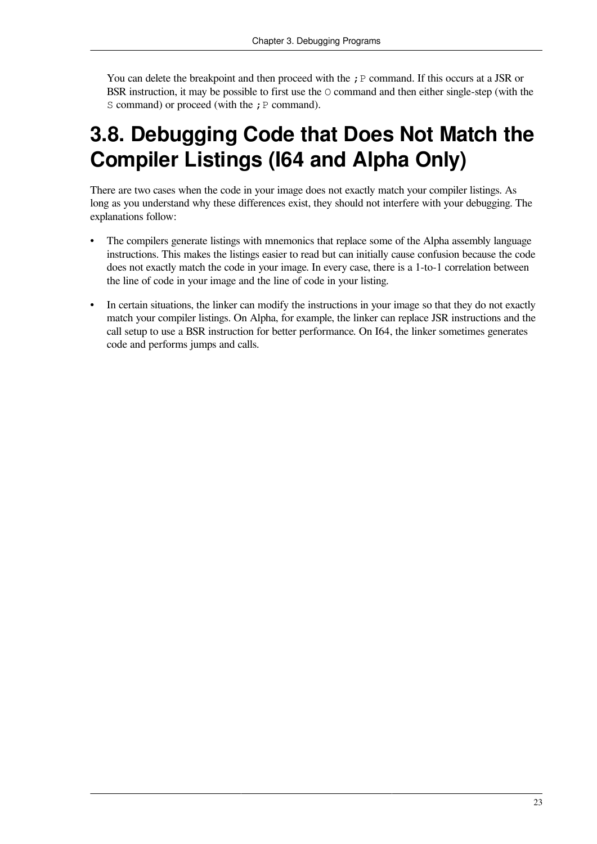You can delete the breakpoint and then proceed with the  $;P$  command. If this occurs at a JSR or BSR instruction, it may be possible to first use the O command and then either single-step (with the S command) or proceed (with the ; P command).

## <span id="page-28-0"></span>**3.8. Debugging Code that Does Not Match the Compiler Listings (I64 and Alpha Only)**

There are two cases when the code in your image does not exactly match your compiler listings. As long as you understand why these differences exist, they should not interfere with your debugging. The explanations follow:

- The compilers generate listings with mnemonics that replace some of the Alpha assembly language instructions. This makes the listings easier to read but can initially cause confusion because the code does not exactly match the code in your image. In every case, there is a 1-to-1 correlation between the line of code in your image and the line of code in your listing.
- In certain situations, the linker can modify the instructions in your image so that they do not exactly match your compiler listings. On Alpha, for example, the linker can replace JSR instructions and the call setup to use a BSR instruction for better performance. On I64, the linker sometimes generates code and performs jumps and calls.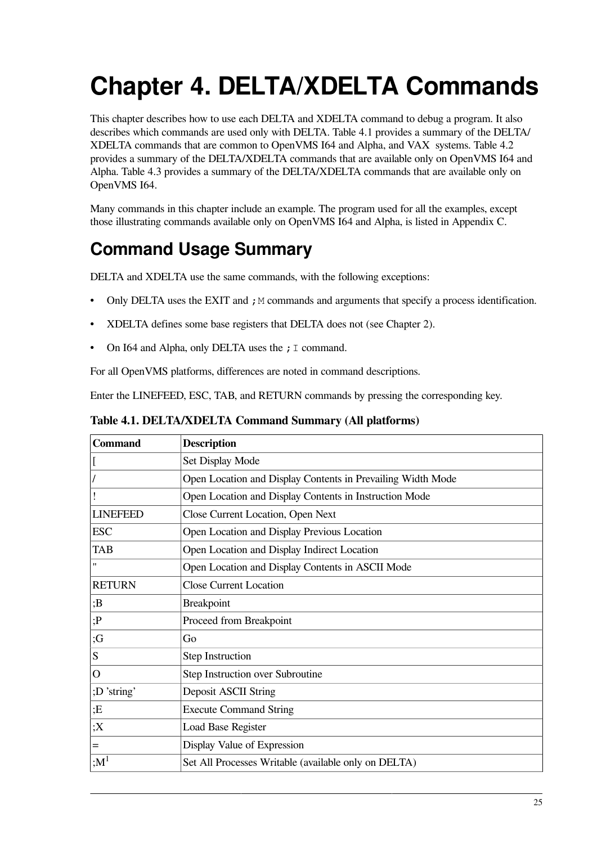# <span id="page-30-0"></span>**Chapter 4. DELTA/XDELTA Commands**

This chapter describes how to use each DELTA and XDELTA command to debug a program. It also describes which commands are used only with DELTA. [Table](#page-30-1) 4.1 provides a summary of the DELTA/ XDELTA commands that are common to OpenVMS I64 and Alpha, and VAX systems. [Table](#page-31-1) 4.2 provides a summary of the DELTA/XDELTA commands that are available only on OpenVMS I64 and Alpha. [Table](#page-31-2) 4.3 provides a summary of the DELTA/XDELTA commands that are available only on OpenVMS I64.

Many commands in this chapter include an example. The program used for all the examples, except those illustrating commands available only on OpenVMS I64 and Alpha, is listed in [Appendix](#page-90-0) C.

### **Command Usage Summary**

DELTA and XDELTA use the same commands, with the following exceptions:

- Only DELTA uses the EXIT and ; M commands and arguments that specify a process identification.
- XDELTA defines some base registers that DELTA does not (see [Chapter](#page-14-0) 2).
- On I64 and Alpha, only DELTA uses the  $; I$  command.

For all OpenVMS platforms, differences are noted in command descriptions.

<span id="page-30-1"></span>Enter the LINEFEED, ESC, TAB, and RETURN commands by pressing the corresponding key.

| <b>Command</b>  | <b>Description</b>                                          |
|-----------------|-------------------------------------------------------------|
| $\Gamma$        | Set Display Mode                                            |
|                 | Open Location and Display Contents in Prevailing Width Mode |
|                 | Open Location and Display Contents in Instruction Mode      |
| <b>LINEFEED</b> | Close Current Location, Open Next                           |
| <b>ESC</b>      | Open Location and Display Previous Location                 |
| <b>TAB</b>      | Open Location and Display Indirect Location                 |
| $^{\dagger}$    | Open Location and Display Contents in ASCII Mode            |
| <b>RETURN</b>   | <b>Close Current Location</b>                               |
| ;B              | <b>Breakpoint</b>                                           |
| ;P              | Proceed from Breakpoint                                     |
| ;G              | Go                                                          |
| S               | <b>Step Instruction</b>                                     |
| $\mathbf{O}$    | Step Instruction over Subroutine                            |
| ;D'string'      | Deposit ASCII String                                        |
| E               | <b>Execute Command String</b>                               |
| ;X              | <b>Load Base Register</b>                                   |
| $=$             | Display Value of Expression                                 |
| :M <sup>1</sup> | Set All Processes Writable (available only on DELTA)        |

**Table 4.1. DELTA/XDELTA Command Summary (All platforms)**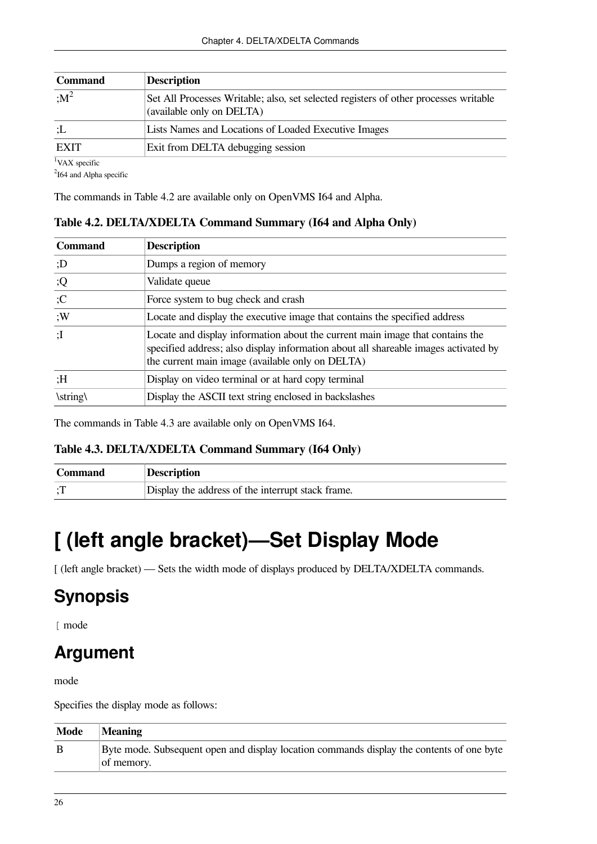| <b>Command</b> | <b>Description</b>                                                                                                |
|----------------|-------------------------------------------------------------------------------------------------------------------|
| $\cdot M^2$    | Set All Processes Writable; also, set selected registers of other processes writable<br>(available only on DELTA) |
| ±∪             | Lists Names and Locations of Loaded Executive Images                                                              |
| <b>EXIT</b>    | Exit from DELTA debugging session                                                                                 |
| l <del>.</del> |                                                                                                                   |

VAX specific

 $2$ I64 and Alpha specific

<span id="page-31-1"></span>The commands in [Table](#page-31-1) 4.2 are available only on OpenVMS I64 and Alpha.

**Table 4.2. DELTA/XDELTA Command Summary (I64 and Alpha Only)**

| <b>Command</b>     | <b>Description</b>                                                                                                                                                                                                       |
|--------------------|--------------------------------------------------------------------------------------------------------------------------------------------------------------------------------------------------------------------------|
| : D                | Dumps a region of memory                                                                                                                                                                                                 |
| ;Q                 | Validate queue                                                                                                                                                                                                           |
| ;C                 | Force system to bug check and crash                                                                                                                                                                                      |
| :W                 | Locate and display the executive image that contains the specified address                                                                                                                                               |
| $:$ $\overline{I}$ | Locate and display information about the current main image that contains the<br>specified address; also display information about all shareable images activated by<br>the current main image (available only on DELTA) |
| H:                 | Display on video terminal or at hard copy terminal                                                                                                                                                                       |
| \string\           | Display the ASCII text string enclosed in backslashes                                                                                                                                                                    |

<span id="page-31-2"></span>The commands in [Table](#page-31-2) 4.3 are available only on OpenVMS I64.

#### **Table 4.3. DELTA/XDELTA Command Summary (I64 Only)**

| Command        | Description                                       |
|----------------|---------------------------------------------------|
| $\blacksquare$ | Display the address of the interrupt stack frame. |

# <span id="page-31-0"></span>**[ (left angle bracket)—Set Display Mode**

[ (left angle bracket) — Sets the width mode of displays produced by DELTA/XDELTA commands.

### **Synopsis**

[ mode

#### **Argument**

mode

Specifies the display mode as follows:

| <b>Mode</b> | <b>Meaning</b>                                                                                          |
|-------------|---------------------------------------------------------------------------------------------------------|
|             | Byte mode. Subsequent open and display location commands display the contents of one byte<br>of memory. |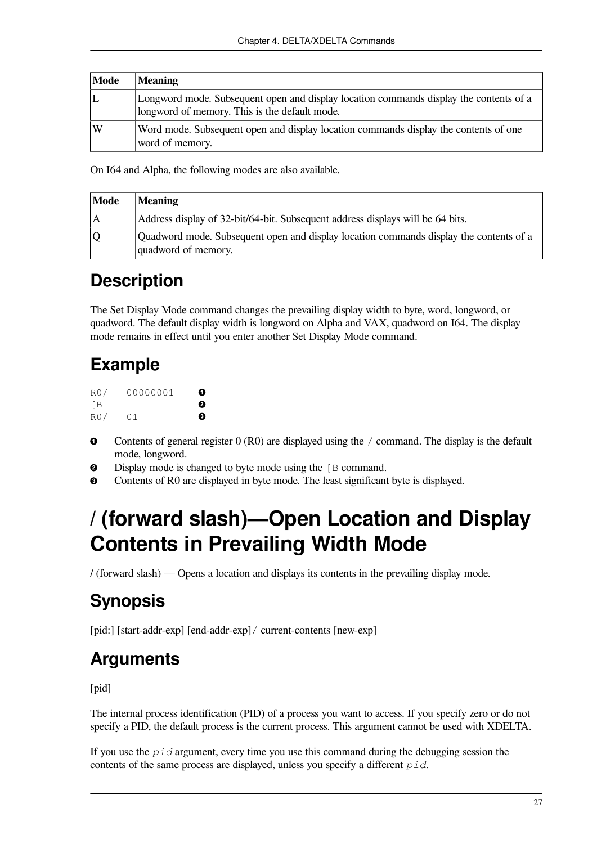| Mode | <b>Meaning</b>                                                                                                                          |
|------|-----------------------------------------------------------------------------------------------------------------------------------------|
|      | Longword mode. Subsequent open and display location commands display the contents of a<br>longword of memory. This is the default mode. |
| W    | Word mode. Subsequent open and display location commands display the contents of one<br>word of memory.                                 |

On I64 and Alpha, the following modes are also available.

| Mode         | <b>Meaning</b>                                                                                                |
|--------------|---------------------------------------------------------------------------------------------------------------|
| $\mathsf{A}$ | Address display of 32-bit/64-bit. Subsequent address displays will be 64 bits.                                |
| O            | Quadword mode. Subsequent open and display location commands display the contents of a<br>quadword of memory. |

#### **Description**

The Set Display Mode command changes the prevailing display width to byte, word, longword, or quadword. The default display width is longword on Alpha and VAX, quadword on I64. The display mode remains in effect until you enter another Set Display Mode command.

### **Example**

| RO/   | 00000001 | o |
|-------|----------|---|
| - F B |          | ø |
| R0/   | 01       | ❸ |

- $\bullet$ Contents of general register 0 (R0) are displayed using the / command. The display is the default mode, longword.
- Display mode is changed to byte mode using the [B command.]  $\bullet$
- <span id="page-32-0"></span> $\bullet$ Contents of R0 are displayed in byte mode. The least significant byte is displayed.

## **/ (forward slash)—Open Location and Display Contents in Prevailing Width Mode**

/ (forward slash) — Opens a location and displays its contents in the prevailing display mode.

### **Synopsis**

[pid:] [start-addr-exp] [end-addr-exp]/ current-contents [new-exp]

#### **Arguments**

[pid]

The internal process identification (PID) of a process you want to access. If you specify zero or do not specify a PID, the default process is the current process. This argument cannot be used with XDELTA.

If you use the *pid* argument, every time you use this command during the debugging session the contents of the same process are displayed, unless you specify a different *pid*.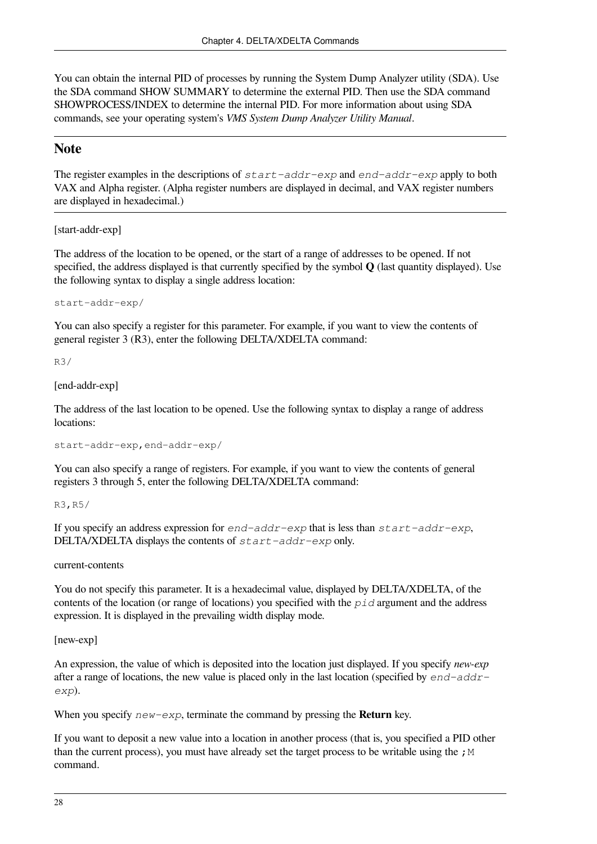You can obtain the internal PID of processes by running the System Dump Analyzer utility (SDA). Use the SDA command SHOW SUMMARY to determine the external PID. Then use the SDA command SHOWPROCESS/INDEX to determine the internal PID. For more information about using SDA commands, see your operating system's *VMS System Dump Analyzer Utility Manual*.

#### **Note**

The register examples in the descriptions of *start-addr-exp* and *end-addr-exp* apply to both VAX and Alpha register. (Alpha register numbers are displayed in decimal, and VAX register numbers are displayed in hexadecimal.)

[start-addr-exp]

The address of the location to be opened, or the start of a range of addresses to be opened. If not specified, the address displayed is that currently specified by the symbol **Q** (last quantity displayed). Use the following syntax to display a single address location:

start-addr-exp/

You can also specify a register for this parameter. For example, if you want to view the contents of general register 3 (R3), enter the following DELTA/XDELTA command:

R3/

[end-addr-exp]

The address of the last location to be opened. Use the following syntax to display a range of address locations:

start-addr-exp,end-addr-exp/

You can also specify a range of registers. For example, if you want to view the contents of general registers 3 through 5, enter the following DELTA/XDELTA command:

R3,R5/

If you specify an address expression for *end-addr-exp* that is less than *start-addr-exp*, DELTA/XDELTA displays the contents of *start-addr-exp* only.

current-contents

You do not specify this parameter. It is a hexadecimal value, displayed by DELTA/XDELTA, of the contents of the location (or range of locations) you specified with the *pid* argument and the address expression. It is displayed in the prevailing width display mode.

[new-exp]

An expression, the value of which is deposited into the location just displayed. If you specify *new-exp* after a range of locations, the new value is placed only in the last location (specified by *end-addrexp*).

When you specify *new-exp*, terminate the command by pressing the **Return** key.

If you want to deposit a new value into a location in another process (that is, you specified a PID other than the current process), you must have already set the target process to be writable using the  $\chi$ M command.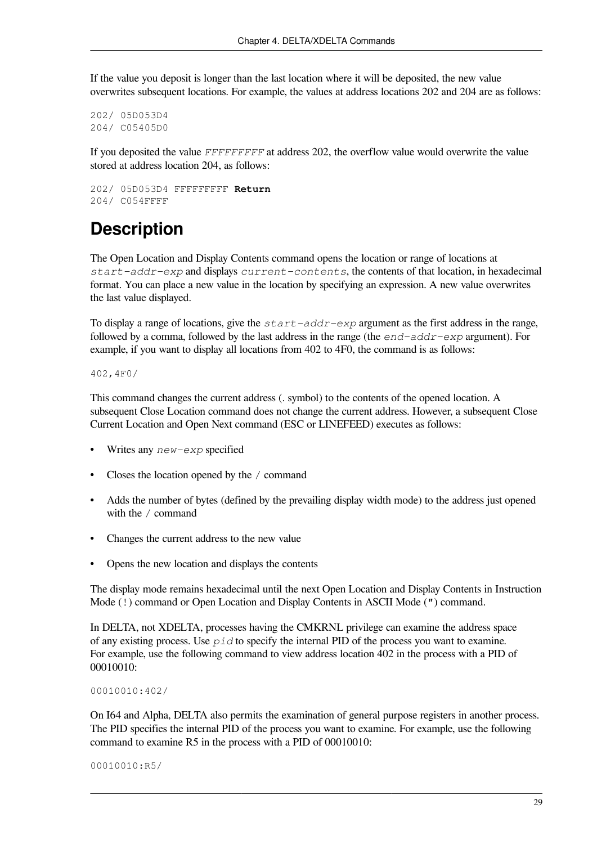If the value you deposit is longer than the last location where it will be deposited, the new value overwrites subsequent locations. For example, the values at address locations 202 and 204 are as follows:

```
202/ 05D053D4
204/ C05405D0
```
If you deposited the value *FFFFFFFFF* at address 202, the overflow value would overwrite the value stored at address location 204, as follows:

202/ 05D053D4 FFFFFFFFF **Return** 204/ C054FFFF

#### **Description**

The Open Location and Display Contents command opens the location or range of locations at *start-addr-exp* and displays *current-contents*, the contents of that location, in hexadecimal format. You can place a new value in the location by specifying an expression. A new value overwrites the last value displayed.

To display a range of locations, give the *start-addr-exp* argument as the first address in the range, followed by a comma, followed by the last address in the range (the *end-addr-exp* argument). For example, if you want to display all locations from 402 to 4F0, the command is as follows:

402,4F0/

This command changes the current address (. symbol) to the contents of the opened location. A subsequent Close Location command does not change the current address. However, a subsequent Close Current Location and Open Next command (ESC or LINEFEED) executes as follows:

- Writes any *new-exp* specified
- Closes the location opened by the / command
- Adds the number of bytes (defined by the prevailing display width mode) to the address just opened with the / command
- Changes the current address to the new value
- Opens the new location and displays the contents

The display mode remains hexadecimal until the next Open Location and Display Contents in Instruction Mode (!) command or Open Location and Display Contents in ASCII Mode (") command.

In DELTA, not XDELTA, processes having the CMKRNL privilege can examine the address space of any existing process. Use *pid* to specify the internal PID of the process you want to examine. For example, use the following command to view address location 402 in the process with a PID of 00010010:

```
00010010:402/
```
On I64 and Alpha, DELTA also permits the examination of general purpose registers in another process. The PID specifies the internal PID of the process you want to examine. For example, use the following command to examine R5 in the process with a PID of 00010010:

```
00010010:R5/
```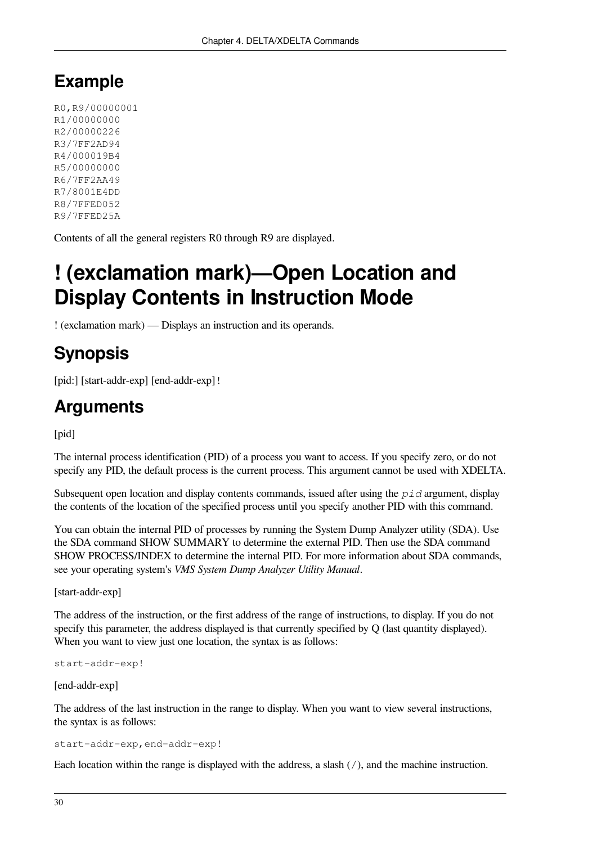#### **Example**

R0,R9/00000001 R1/00000000 R2/00000226 R3/7FF2AD94 R4/000019B4 R5/00000000 R6/7FF2AA49 R7/8001E4DD R8/7FFED052 R9/7FFED25A

<span id="page-35-0"></span>Contents of all the general registers R0 through R9 are displayed.

# **! (exclamation mark)—Open Location and Display Contents in Instruction Mode**

! (exclamation mark) — Displays an instruction and its operands.

### **Synopsis**

[pid:] [start-addr-exp] [end-addr-exp] !

#### **Arguments**

[pid]

The internal process identification (PID) of a process you want to access. If you specify zero, or do not specify any PID, the default process is the current process. This argument cannot be used with XDELTA.

Subsequent open location and display contents commands, issued after using the *pid* argument, display the contents of the location of the specified process until you specify another PID with this command.

You can obtain the internal PID of processes by running the System Dump Analyzer utility (SDA). Use the SDA command SHOW SUMMARY to determine the external PID. Then use the SDA command SHOW PROCESS/INDEX to determine the internal PID. For more information about SDA commands, see your operating system's *VMS System Dump Analyzer Utility Manual*.

[start-addr-exp]

The address of the instruction, or the first address of the range of instructions, to display. If you do not specify this parameter, the address displayed is that currently specified by Q (last quantity displayed). When you want to view just one location, the syntax is as follows:

start-addr-exp!

[end-addr-exp]

The address of the last instruction in the range to display. When you want to view several instructions, the syntax is as follows:

start-addr-exp,end-addr-exp!

Each location within the range is displayed with the address, a slash  $\left(\frac{\ }{\right)}$ , and the machine instruction.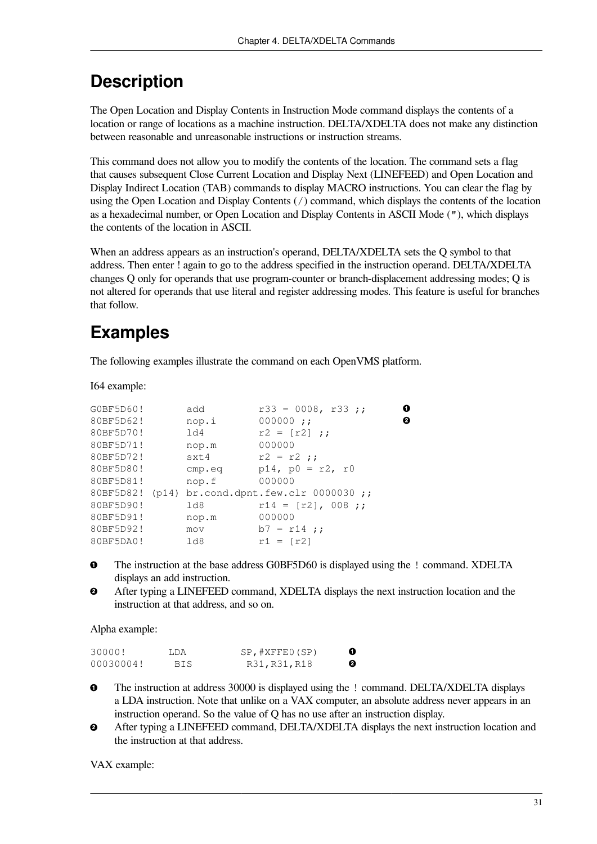The Open Location and Display Contents in Instruction Mode command displays the contents of a location or range of locations as a machine instruction. DELTA/XDELTA does not make any distinction between reasonable and unreasonable instructions or instruction streams.

This command does not allow you to modify the contents of the location. The command sets a flag that causes subsequent Close Current Location and Display Next (LINEFEED) and Open Location and Display Indirect Location (TAB) commands to display MACRO instructions. You can clear the flag by using the Open Location and Display Contents (/) command, which displays the contents of the location as a hexadecimal number, or Open Location and Display Contents in ASCII Mode ("), which displays the contents of the location in ASCII.

When an address appears as an instruction's operand, DELTA/XDELTA sets the Q symbol to that address. Then enter ! again to go to the address specified in the instruction operand. DELTA/XDELTA changes Q only for operands that use program-counter or branch-displacement addressing modes; Q is not altered for operands that use literal and register addressing modes. This feature is useful for branches that follow.

## **Examples**

The following examples illustrate the command on each OpenVMS platform.

I64 example:

| G0BF5D60! | add    | $r33 = 0008, r33;$                              | 0 |
|-----------|--------|-------------------------------------------------|---|
| 80BF5D62! | nop.i  | $000000$ ::                                     | 0 |
| 80BF5D70! | 1d4    | $r2 = [r2]$ ;                                   |   |
| 80BF5D71! | nop.m  | 000000                                          |   |
| 80BF5D72! | sxt4   | $r2 = r2$ ;                                     |   |
| 80BF5D80! | cmp.eq | $p14$ , $p0 = r2$ , r0                          |   |
| 80BF5D81! | nop.f  | 000000                                          |   |
|           |        | 80BF5D82! (p14) br.cond.dpnt.few.clr 0000030 ;; |   |
| 80BF5D90! | 1d8    | $r14 = [r2]$ , 008;;                            |   |
| 80BF5D91! | nop.m  | 000000                                          |   |
| 80BF5D92! | mov    | $b7 = r14$ ;                                    |   |
| 80BF5DA0! | 1d8    | $r1 = [r2]$                                     |   |

 $\bullet$ The instruction at the base address G0BF5D60 is displayed using the ! command. XDELTA displays an add instruction.

After typing a LINEFEED command, XDELTA displays the next instruction location and the  $\boldsymbol{e}$ instruction at that address, and so on.

Alpha example:

| 30000!    | LDA | SP,#XFFE0(SP) | ➊ |
|-----------|-----|---------------|---|
| 00030004! | BIS | R31, R31, R18 | ❷ |

- $\bullet$ The instruction at address 30000 is displayed using the ! command. DELTA/XDELTA displays a LDA instruction. Note that unlike on a VAX computer, an absolute address never appears in an instruction operand. So the value of Q has no use after an instruction display.
- $\boldsymbol{\Theta}$ After typing a LINEFEED command, DELTA/XDELTA displays the next instruction location and the instruction at that address.

VAX example: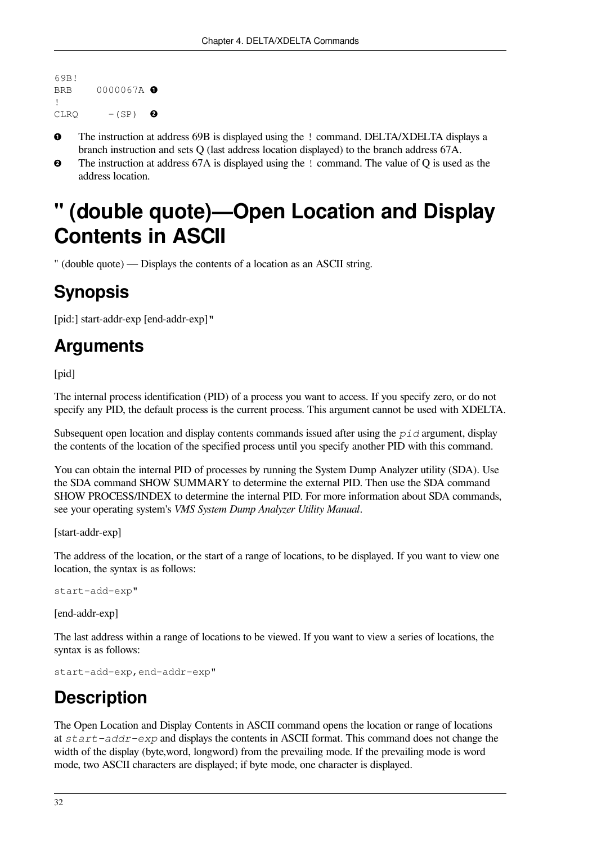```
69B!
BRB 0000067A O
!
CLRQ - (SP)\boldsymbol{\Omega}
```
- The instruction at address 69B is displayed using the ! command. DELTA/XDELTA displays a  $\Omega$ branch instruction and sets Q (last address location displayed) to the branch address 67A.
- $\boldsymbol{e}$ The instruction at address 67A is displayed using the ! command. The value of Q is used as the address location.

## **" (double quote)—Open Location and Display Contents in ASCII**

" (double quote) — Displays the contents of a location as an ASCII string.

## **Synopsis**

[pid:] start-addr-exp [end-addr-exp]"

### **Arguments**

[pid]

The internal process identification (PID) of a process you want to access. If you specify zero, or do not specify any PID, the default process is the current process. This argument cannot be used with XDELTA.

Subsequent open location and display contents commands issued after using the *pid* argument, display the contents of the location of the specified process until you specify another PID with this command.

You can obtain the internal PID of processes by running the System Dump Analyzer utility (SDA). Use the SDA command SHOW SUMMARY to determine the external PID. Then use the SDA command SHOW PROCESS/INDEX to determine the internal PID. For more information about SDA commands, see your operating system's *VMS System Dump Analyzer Utility Manual*.

[start-addr-exp]

The address of the location, or the start of a range of locations, to be displayed. If you want to view one location, the syntax is as follows:

```
start-add-exp"
```
[end-addr-exp]

The last address within a range of locations to be viewed. If you want to view a series of locations, the syntax is as follows:

```
start-add-exp,end-addr-exp"
```
### **Description**

The Open Location and Display Contents in ASCII command opens the location or range of locations at *start-addr-exp* and displays the contents in ASCII format. This command does not change the width of the display (byte,word, longword) from the prevailing mode. If the prevailing mode is word mode, two ASCII characters are displayed; if byte mode, one character is displayed.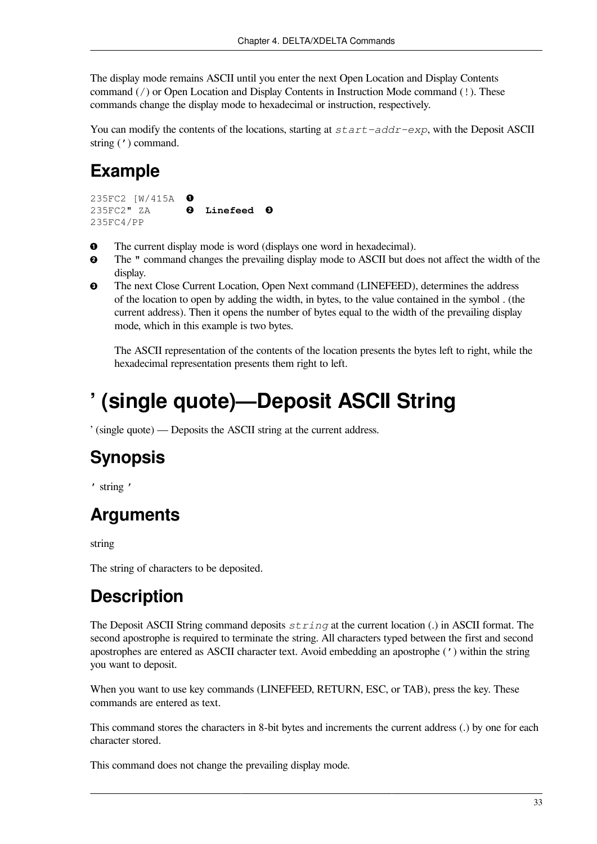The display mode remains ASCII until you enter the next Open Location and Display Contents command (/) or Open Location and Display Contents in Instruction Mode command (!). These commands change the display mode to hexadecimal or instruction, respectively.

You can modify the contents of the locations, starting at *start-addr-exp*, with the Deposit ASCII string (') command.

## **Example**

```
235FC2 [W/415A 
               \bullet235FC2" ZA @ Linefeed @
235FC4/PP
```
- $\bullet$ The current display mode is word (displays one word in hexadecimal).
- The " command changes the prevailing display mode to ASCII but does not affect the width of the  $\boldsymbol{\Theta}$ display.
- $\bullet$ The next Close Current Location, Open Next command (LINEFEED), determines the address of the location to open by adding the width, in bytes, to the value contained in the symbol . (the current address). Then it opens the number of bytes equal to the width of the prevailing display mode, which in this example is two bytes.

The ASCII representation of the contents of the location presents the bytes left to right, while the hexadecimal representation presents them right to left.

## <span id="page-38-0"></span>**' (single quote)—Deposit ASCII String**

' (single quote) — Deposits the ASCII string at the current address.

## **Synopsis**

' string '

## **Arguments**

string

The string of characters to be deposited.

## **Description**

The Deposit ASCII String command deposits *string* at the current location (.) in ASCII format. The second apostrophe is required to terminate the string. All characters typed between the first and second apostrophes are entered as ASCII character text. Avoid embedding an apostrophe (') within the string you want to deposit.

When you want to use key commands (LINEFEED, RETURN, ESC, or TAB), press the key. These commands are entered as text.

This command stores the characters in 8-bit bytes and increments the current address (.) by one for each character stored.

This command does not change the prevailing display mode.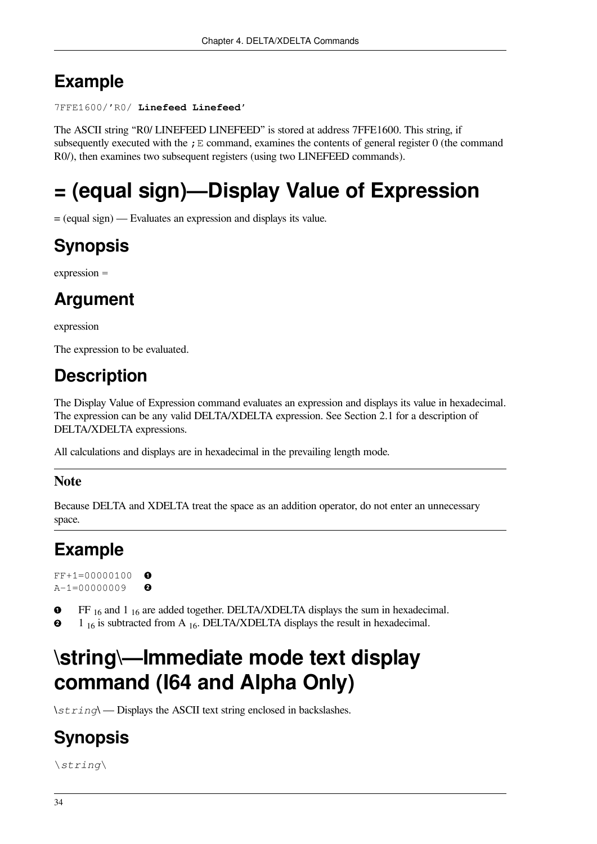## **Example**

```
7FFE1600/'R0/ Linefeed Linefeed'
```
The ASCII string "R0/ LINEFEED LINEFEED" is stored at address 7FFE1600. This string, if subsequently executed with the  $;E$  command, examines the contents of general register 0 (the command R0/), then examines two subsequent registers (using two LINEFEED commands).

# **= (equal sign)—Display Value of Expression**

= (equal sign) — Evaluates an expression and displays its value.

## **Synopsis**

expression =

## **Argument**

expression

The expression to be evaluated.

## **Description**

The Display Value of Expression command evaluates an expression and displays its value in hexadecimal. The expression can be any valid DELTA/XDELTA expression. See [Section](#page-14-0) 2.1 for a description of DELTA/XDELTA expressions.

All calculations and displays are in hexadecimal in the prevailing length mode.

#### **Note**

Because DELTA and XDELTA treat the space as an addition operator, do not enter an unnecessary space.

## **Example**

FF+1=00000100  $\Omega$ A-1=00000009  $\boldsymbol{\Omega}$ 

FF 16 and 1 16 are added together. DELTA/XDELTA displays the sum in hexadecimal.  $\mathbf o$ 

 $\boldsymbol{\Omega}$ 1  $_{16}$  is subtracted from A  $_{16}$ . DELTA/XDELTA displays the result in hexadecimal.

# **\string\—Immediate mode text display command (I64 and Alpha Only)**

\*string*\ — Displays the ASCII text string enclosed in backslashes.

## **Synopsis**

\*string*\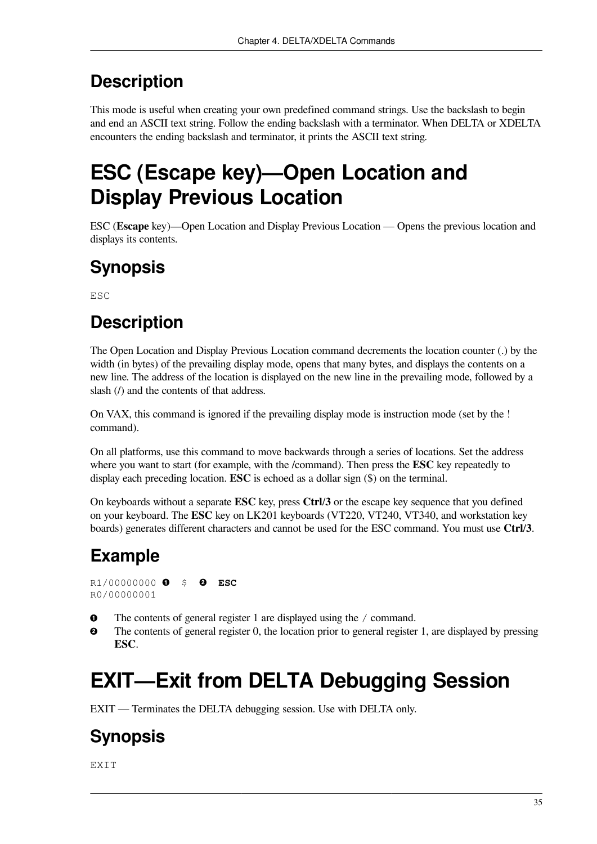This mode is useful when creating your own predefined command strings. Use the backslash to begin and end an ASCII text string. Follow the ending backslash with a terminator. When DELTA or XDELTA encounters the ending backslash and terminator, it prints the ASCII text string.

# **ESC (Escape key)—Open Location and Display Previous Location**

ESC (**Escape** key)—Open Location and Display Previous Location — Opens the previous location and displays its contents.

## **Synopsis**

**ESC** 

## **Description**

The Open Location and Display Previous Location command decrements the location counter (.) by the width (in bytes) of the prevailing display mode, opens that many bytes, and displays the contents on a new line. The address of the location is displayed on the new line in the prevailing mode, followed by a slash ( $\ell$ ) and the contents of that address.

On VAX, this command is ignored if the prevailing display mode is instruction mode (set by the ! command).

On all platforms, use this command to move backwards through a series of locations. Set the address where you want to start (for example, with the /command). Then press the **ESC** key repeatedly to display each preceding location. **ESC** is echoed as a dollar sign (\$) on the terminal.

On keyboards without a separate **ESC** key, press **Ctrl**/**3** or the escape key sequence that you defined on your keyboard. The **ESC** key on LK201 keyboards (VT220, VT240, VT340, and workstation key boards) generates different characters and cannot be used for the ESC command. You must use **Ctrl**/**3**.

## **Example**

R1/00000000 \$ **ESC** R0/00000001

- $\bullet$ The contents of general register 1 are displayed using the / command.
- $\mathbf{e}$ The contents of general register 0, the location prior to general register 1, are displayed by pressing **ESC**.

# **EXIT—Exit from DELTA Debugging Session**

EXIT — Terminates the DELTA debugging session. Use with DELTA only.

## **Synopsis**

EXIT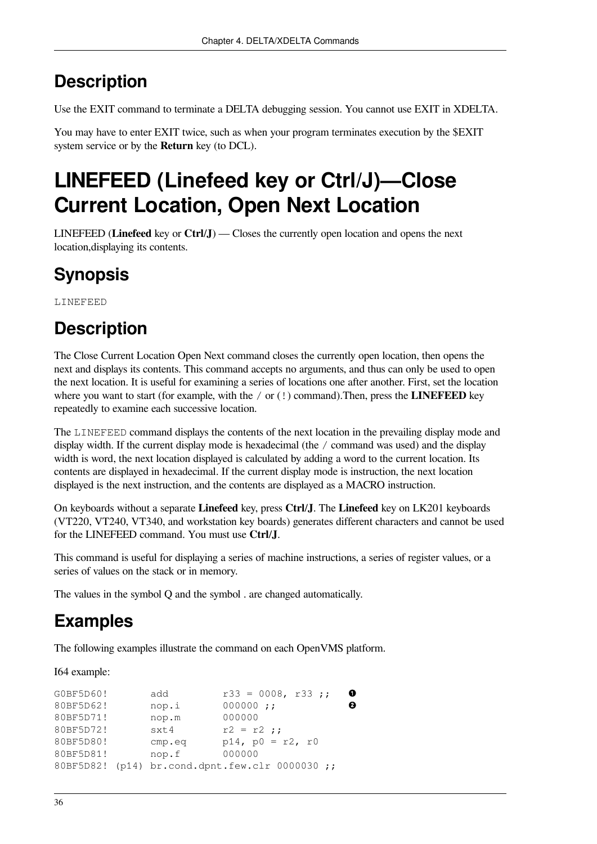Use the EXIT command to terminate a DELTA debugging session. You cannot use EXIT in XDELTA.

You may have to enter EXIT twice, such as when your program terminates execution by the \$EXIT system service or by the **Return** key (to DCL).

## **LINEFEED (Linefeed key or Ctrl/J)—Close Current Location, Open Next Location**

LINEFEED (**Linefeed** key or **Ctrl**/**J**) — Closes the currently open location and opens the next location,displaying its contents.

## **Synopsis**

LINEFEED

## **Description**

The Close Current Location Open Next command closes the currently open location, then opens the next and displays its contents. This command accepts no arguments, and thus can only be used to open the next location. It is useful for examining a series of locations one after another. First, set the location where you want to start (for example, with the / or (!) command). Then, press the **LINEFEED** key repeatedly to examine each successive location.

The LINEFEED command displays the contents of the next location in the prevailing display mode and display width. If the current display mode is hexadecimal (the / command was used) and the display width is word, the next location displayed is calculated by adding a word to the current location. Its contents are displayed in hexadecimal. If the current display mode is instruction, the next location displayed is the next instruction, and the contents are displayed as a MACRO instruction.

On keyboards without a separate **Linefeed** key, press **Ctrl**/**J**. The **Linefeed** key on LK201 keyboards (VT220, VT240, VT340, and workstation key boards) generates different characters and cannot be used for the LINEFEED command. You must use **Ctrl**/**J**.

This command is useful for displaying a series of machine instructions, a series of register values, or a series of values on the stack or in memory.

The values in the symbol Q and the symbol . are changed automatically.

## **Examples**

The following examples illustrate the command on each OpenVMS platform.

I64 example:

| G0BF5D60! | add    | $r33 = 0008, r33;$                              | ➊ |
|-----------|--------|-------------------------------------------------|---|
| 80BF5D62! | nop.i  | 000000 j;                                       | Ø |
| 80BF5D71! | nop.m  | 000000                                          |   |
| 80BF5D72! | sxt4   | $r2 = r2$ ;                                     |   |
| 80BF5D80! | cmp.eq | p14, $p0 = r2$ , r0                             |   |
| 80BF5D81! | nop.f  | 000000                                          |   |
|           |        | 80BF5D82! (p14) br.cond.dpnt.few.clr 0000030 ;; |   |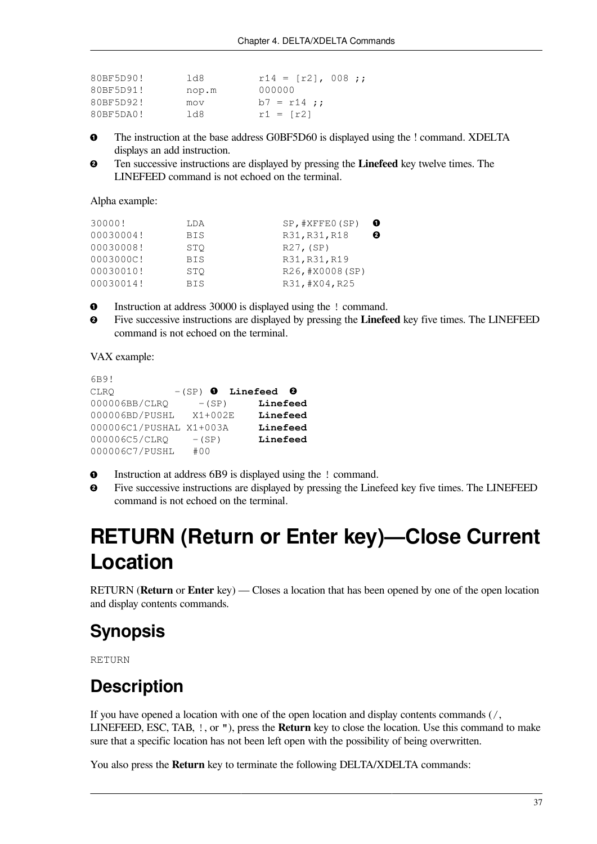| 80BF5D90! | 1d8   | $r14 = [r2], 008$ ; |
|-----------|-------|---------------------|
| 80BF5D91! | nop.m | 000000              |
| 80BF5D92! | mov   | $b7 = r14$ ;        |
| 80BF5DA0! | 1d8   | $r1 = [r2]$         |

- The instruction at the base address G0BF5D60 is displayed using the ! command. XDELTA  $\bullet$ displays an add instruction.
- Ten successive instructions are displayed by pressing the **Linefeed** key twelve times. The  $\boldsymbol{\Theta}$ LINEFEED command is not echoed on the terminal.

Alpha example:

| 30000!    | LDA        | $SP$ , $#XFFE0(SP)$ | O |
|-----------|------------|---------------------|---|
| 00030004! | <b>BIS</b> | R31, R31, R18       | ø |
| 00030008! | STO        | R27, (SP)           |   |
| 0003000C! | <b>BIS</b> | R31, R31, R19       |   |
| 00030010! | STO        | R26, #X0008(SP)     |   |
| 00030014! | <b>BIS</b> | R31, #X04, R25      |   |

 $\bullet$ Instruction at address 30000 is displayed using the ! command.

 $\boldsymbol{\Theta}$ Five successive instructions are displayed by pressing the **Linefeed** key five times. The LINEFEED command is not echoed on the terminal.

VAX example:

```
6B9!
CLRO -(SP) 0 Linefeed 0
000006BB/CLRQ -(SP) Linefeed
000006BD/PUSHL X1+002E Linefeed
000006C1/PUSHAL X1+003A Linefeed
000006C5/CLRQ -(SP) Linefeed
000006C7/PUSHL #00
```
- $\bullet$ Instruction at address 6B9 is displayed using the ! command.
- $\mathbf{e}$ Five successive instructions are displayed by pressing the Linefeed key five times. The LINEFEED command is not echoed on the terminal.

## **RETURN (Return or Enter key)—Close Current Location**

RETURN (**Return** or **Enter** key) — Closes a location that has been opened by one of the open location and display contents commands.

#### **Synopsis**

RETURN

#### **Description**

If you have opened a location with one of the open location and display contents commands (/, LINEFEED, ESC, TAB, !, or "), press the **Return** key to close the location. Use this command to make sure that a specific location has not been left open with the possibility of being overwritten.

You also press the **Return** key to terminate the following DELTA/XDELTA commands: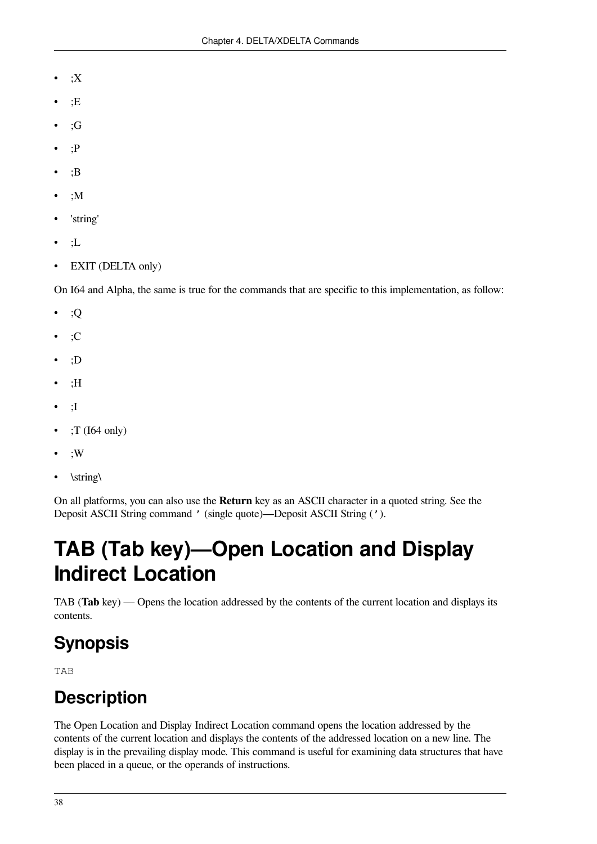- $;X$
- $E$
- ;G
- $\cdot$ P
- $\cdot$ B
- ;M
- 'string'
- ;L
- EXIT (DELTA only)

On I64 and Alpha, the same is true for the commands that are specific to this implementation, as follow:

- ;Q
- $\cdot$ :C
- ;D
- ;H
- ;I
- ;T (I64 only)
- ;W
- \string\

On all platforms, you can also use the **Return** key as an ASCII character in a quoted string. See the Deposit ASCII String command ' (single [quote\)—Deposit](#page-38-0) ASCII String (').

# **TAB (Tab key)—Open Location and Display Indirect Location**

TAB (**Tab** key) — Opens the location addressed by the contents of the current location and displays its contents.

## **Synopsis**

TAB

## **Description**

The Open Location and Display Indirect Location command opens the location addressed by the contents of the current location and displays the contents of the addressed location on a new line. The display is in the prevailing display mode. This command is useful for examining data structures that have been placed in a queue, or the operands of instructions.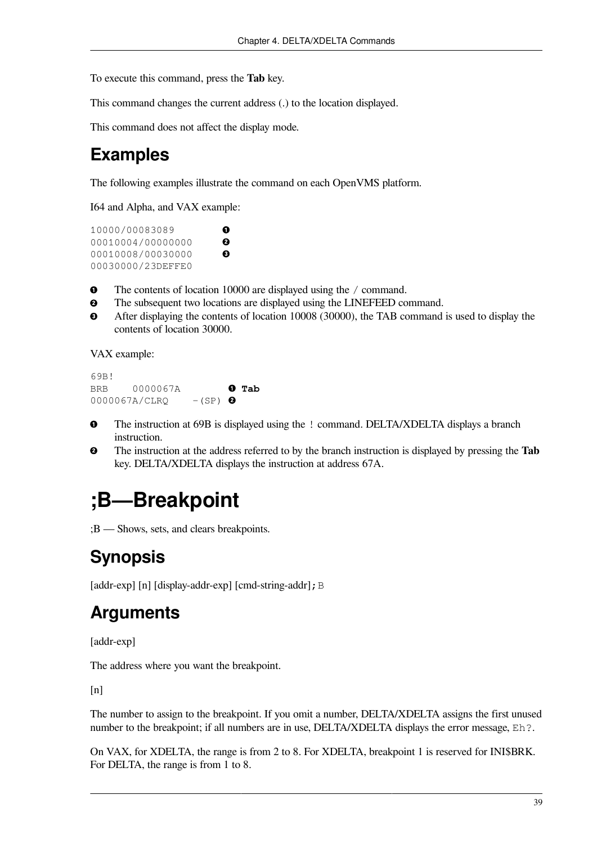To execute this command, press the **Tab** key.

This command changes the current address (.) to the location displayed.

This command does not affect the display mode.

#### **Examples**

The following examples illustrate the command on each OpenVMS platform.

I64 and Alpha, and VAX example:

10000/00083089  $\bullet$ 00010004/00000000  $\boldsymbol{e}$ 00010008/00030000  $\bullet$ 00030000/23DEFFE0

 $\bullet$ The contents of location 10000 are displayed using the / command.

- $\bullet$ The subsequent two locations are displayed using the LINEFEED command.
- $\bullet$ After displaying the contents of location 10008 (30000), the TAB command is used to display the contents of location 30000.

VAX example:

69B! BRB 0000067A **Tab**  $0000067A/CLRQ$  -(SP)  $\bullet$ 

- The instruction at 69B is displayed using the ! command. DELTA/XDELTA displays a branch  $\bullet$ instruction.
- The instruction at the address referred to by the branch instruction is displayed by pressing the **Tab**  $\boldsymbol{\Theta}$ key. DELTA/XDELTA displays the instruction at address 67A.

## **;B—Breakpoint**

;B — Shows, sets, and clears breakpoints.

## **Synopsis**

[addr-exp] [n] [display-addr-exp] [cmd-string-addr]; B

### **Arguments**

[addr-exp]

The address where you want the breakpoint.

 $[n]$ 

The number to assign to the breakpoint. If you omit a number, DELTA/XDELTA assigns the first unused number to the breakpoint; if all numbers are in use, DELTA/XDELTA displays the error message, Eh?.

On VAX, for XDELTA, the range is from 2 to 8. For XDELTA, breakpoint 1 is reserved for INI\$BRK. For DELTA, the range is from 1 to 8.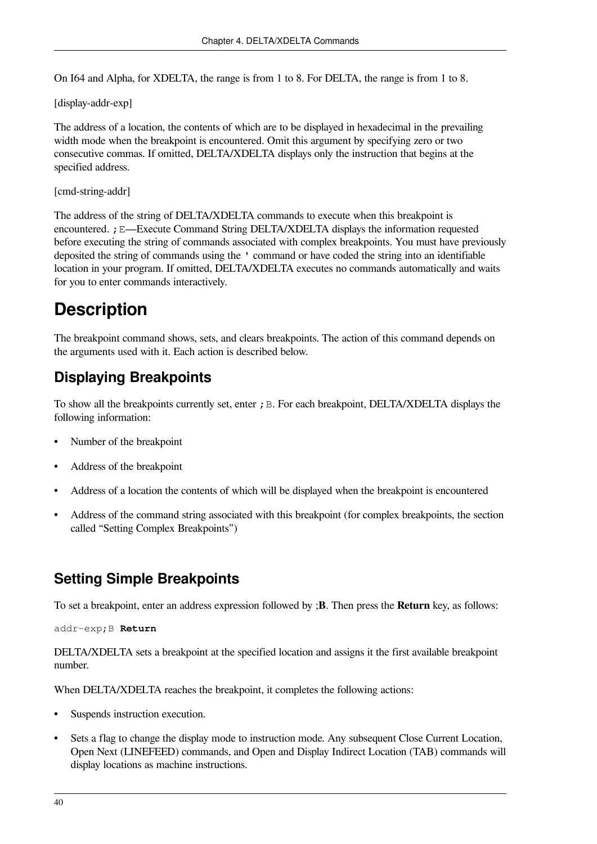On I64 and Alpha, for XDELTA, the range is from 1 to 8. For DELTA, the range is from 1 to 8.

[display-addr-exp]

The address of a location, the contents of which are to be displayed in hexadecimal in the prevailing width mode when the breakpoint is encountered. Omit this argument by specifying zero or two consecutive commas. If omitted, DELTA/XDELTA displays only the instruction that begins at the specified address.

[cmd-string-addr]

The address of the string of DELTA/XDELTA commands to execute when this breakpoint is encountered. ; E[—Execute](#page-49-0) Command String DELTA/XDELTA displays the information requested before executing the string of commands associated with complex breakpoints. You must have previously deposited the string of commands using the ' command or have coded the string into an identifiable location in your program. If omitted, DELTA/XDELTA executes no commands automatically and waits for you to enter commands interactively.

#### **Description**

The breakpoint command shows, sets, and clears breakpoints. The action of this command depends on the arguments used with it. Each action is described below.

#### **Displaying Breakpoints**

To show all the breakpoints currently set, enter  $\chi$  B. For each breakpoint, DELTA/XDELTA displays the following information:

- Number of the breakpoint
- Address of the breakpoint
- Address of a location the contents of which will be displayed when the breakpoint is encountered
- Address of the command string associated with this breakpoint (for complex breakpoints, the [section](#page-46-0) called "Setting Complex [Breakpoints"](#page-46-0))

#### **Setting Simple Breakpoints**

To set a breakpoint, enter an address expression followed by ;**B**. Then press the **Return** key, as follows:

addr-exp;B **Return**

DELTA/XDELTA sets a breakpoint at the specified location and assigns it the first available breakpoint number.

When DELTA/XDELTA reaches the breakpoint, it completes the following actions:

- Suspends instruction execution.
- Sets a flag to change the display mode to instruction mode. Any subsequent Close Current Location, Open Next (LINEFEED) commands, and Open and Display Indirect Location (TAB) commands will display locations as machine instructions.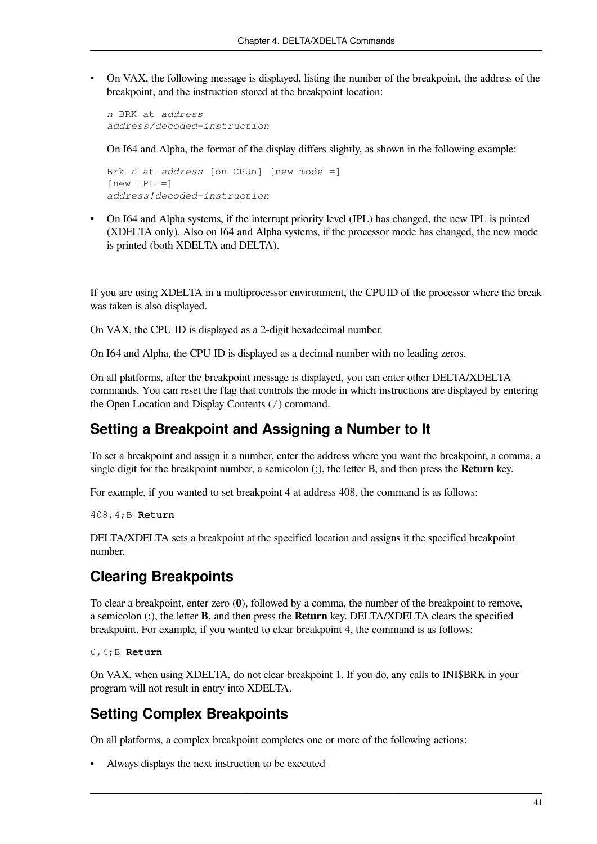• On VAX, the following message is displayed, listing the number of the breakpoint, the address of the breakpoint, and the instruction stored at the breakpoint location:

*n* BRK at *address address/decoded-instruction*

On I64 and Alpha, the format of the display differs slightly, as shown in the following example:

```
Brk n at address [on CPUn] [new mode =]
[new IPL =]address!decoded-instruction
```
• On I64 and Alpha systems, if the interrupt priority level (IPL) has changed, the new IPL is printed (XDELTA only). Also on I64 and Alpha systems, if the processor mode has changed, the new mode is printed (both XDELTA and DELTA).

If you are using XDELTA in a multiprocessor environment, the CPUID of the processor where the break was taken is also displayed.

On VAX, the CPU ID is displayed as a 2-digit hexadecimal number.

On I64 and Alpha, the CPU ID is displayed as a decimal number with no leading zeros.

On all platforms, after the breakpoint message is displayed, you can enter other DELTA/XDELTA commands. You can reset the flag that controls the mode in which instructions are displayed by entering the Open Location and Display Contents (/) command.

#### **Setting a Breakpoint and Assigning a Number to It**

To set a breakpoint and assign it a number, enter the address where you want the breakpoint, a comma, a single digit for the breakpoint number, a semicolon (;), the letter B, and then press the **Return** key.

For example, if you wanted to set breakpoint 4 at address 408, the command is as follows:

408,4;B **Return**

DELTA/XDELTA sets a breakpoint at the specified location and assigns it the specified breakpoint number.

#### **Clearing Breakpoints**

To clear a breakpoint, enter zero (**0**), followed by a comma, the number of the breakpoint to remove, a semicolon (;), the letter **B**, and then press the **Return** key. DELTA/XDELTA clears the specified breakpoint. For example, if you wanted to clear breakpoint 4, the command is as follows:

0,4;B **Return**

On VAX, when using XDELTA, do not clear breakpoint 1. If you do, any calls to INI\$BRK in your program will not result in entry into XDELTA.

#### <span id="page-46-0"></span>**Setting Complex Breakpoints**

On all platforms, a complex breakpoint completes one or more of the following actions:

• Always displays the next instruction to be executed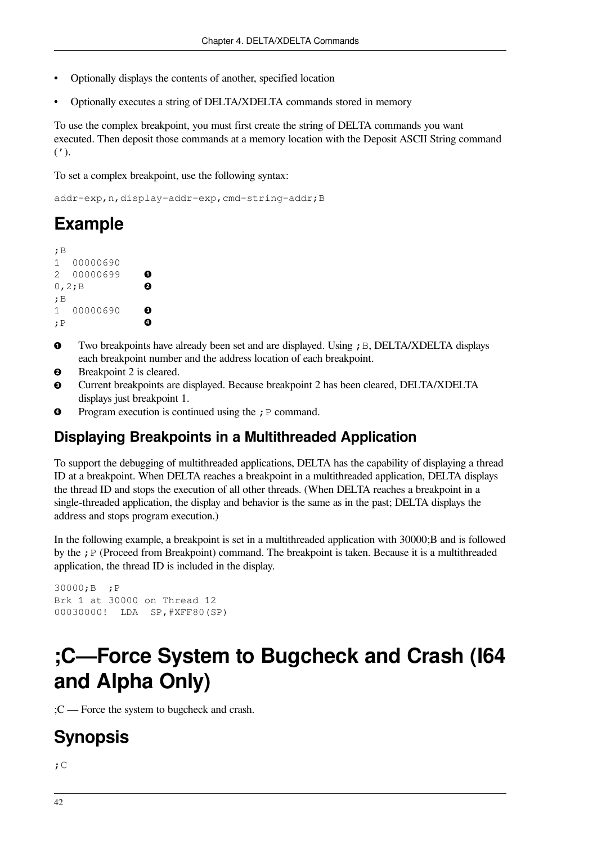- Optionally displays the contents of another, specified location
- Optionally executes a string of DELTA/XDELTA commands stored in memory

To use the complex breakpoint, you must first create the string of DELTA commands you want executed. Then deposit those commands at a memory location with the Deposit ASCII String command  $(')$ .

To set a complex breakpoint, use the following syntax:

addr-exp,n,display-addr-exp,cmd-string-addr;B

#### **Example**

| ; B         |          |   |
|-------------|----------|---|
| 1           | 00000690 |   |
| $2^{\circ}$ | 00000699 |   |
|             | 0, 2; B  | 2 |
| :В          |          |   |
| 1           | 00000690 |   |
| ; P         |          |   |

- $\bullet$ Two breakpoints have already been set and are displayed. Using  $;B$ , DELTA/XDELTA displays each breakpoint number and the address location of each breakpoint.
- $\boldsymbol{\Theta}$ Breakpoint 2 is cleared.
- Current breakpoints are displayed. Because breakpoint 2 has been cleared, DELTA/XDELTA € displays just breakpoint 1.
- $\bullet$ Program execution is continued using the  $;P$  command.

#### **Displaying Breakpoints in a Multithreaded Application**

To support the debugging of multithreaded applications, DELTA has the capability of displaying a thread ID at a breakpoint. When DELTA reaches a breakpoint in a multithreaded application, DELTA displays the thread ID and stops the execution of all other threads. (When DELTA reaches a breakpoint in a single-threaded application, the display and behavior is the same as in the past; DELTA displays the address and stops program execution.)

In the following example, a breakpoint is set in a multithreaded application with 30000;B and is followed by the ; P (Proceed from Breakpoint) command. The breakpoint is taken. Because it is a multithreaded application, the thread ID is included in the display.

```
30000;B ;P
Brk 1 at 30000 on Thread 12
00030000! LDA SP,#XFF80(SP)
```
## **;C—Force System to Bugcheck and Crash (I64 and Alpha Only)**

;C — Force the system to bugcheck and crash.

#### **Synopsis**

 $;C$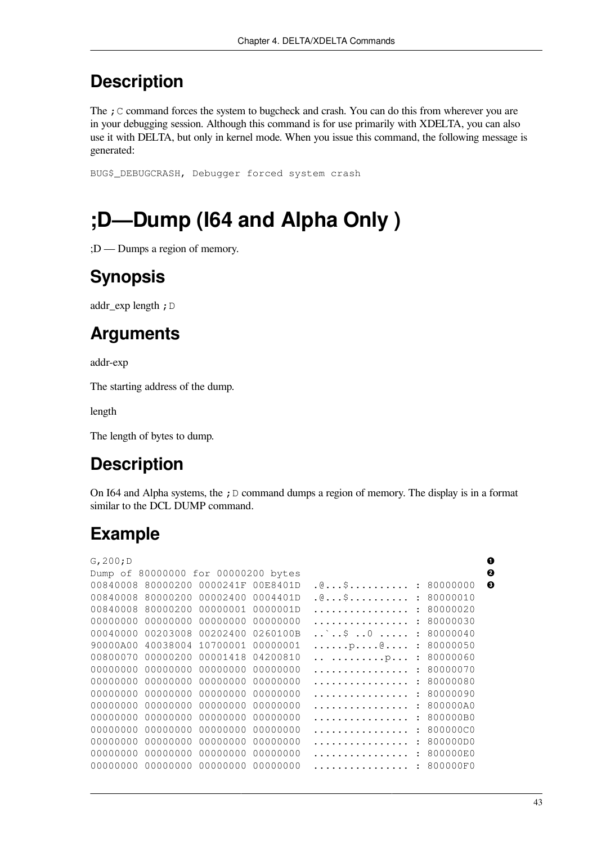The ; C command forces the system to bugcheck and crash. You can do this from wherever you are in your debugging session. Although this command is for use primarily with XDELTA, you can also use it with DELTA, but only in kernel mode. When you issue this command, the following message is generated:

BUG\$\_DEBUGCRASH, Debugger forced system crash

# **;D—Dump (I64 and Alpha Only )**

;D — Dumps a region of memory.

## **Synopsis**

addr\_exp length; D

### **Arguments**

addr-exp

The starting address of the dump.

length

The length of bytes to dump.

## **Description**

On I64 and Alpha systems, the  $\chi$  D command dumps a region of memory. The display is in a format similar to the DCL DUMP command.

### **Example**

| G, 200; D |                                     |          |          |                           |          | 0 |
|-----------|-------------------------------------|----------|----------|---------------------------|----------|---|
|           | Dump of 80000000 for 00000200 bytes |          |          |                           |          | ❷ |
| 00840008  | 80000200                            | 0000241F | 00E8401D | . @ \$<br>$\ddot{\cdot}$  | 80000000 | ❸ |
| 00840008  | 80000200                            | 00002400 | 0004401D | . @ \$                    | 80000010 |   |
| 00840008  | 80000200                            | 00000001 | 0000001D | .                         | 80000020 |   |
| 00000000  | 00000000                            | 00000000 | 00000000 | $\mathbf{L}$<br>.         | 80000030 |   |
| 00040000  | 00203008                            | 00202400 | 0260100B | `\$ 0<br>$\mathbf{L}$     | 80000040 |   |
| 90000A00  | 40038004                            | 10700001 | 00000001 | $\ldots$ $\beta$ $\theta$ | 80000050 |   |
| 00800070  | 00000200                            | 00001418 | 04200810 | p                         | 80000060 |   |
| 00000000  | 00000000                            | 00000000 | 00000000 | .                         | 80000070 |   |
| 00000000  | 00000000                            | 00000000 | 00000000 | .                         | 80000080 |   |
| 00000000  | 00000000                            | 00000000 | 00000000 | .                         | 80000090 |   |
| 00000000  | 00000000                            | 00000000 | 00000000 | .                         | 800000A0 |   |
| 00000000  | 00000000                            | 00000000 | 00000000 | .                         | 800000B0 |   |
| 00000000  | 00000000                            | 00000000 | 00000000 | .                         | 800000C0 |   |
| 00000000  | 00000000                            | 00000000 | 00000000 |                           | 800000D0 |   |
| 00000000  | 00000000                            | 00000000 | 00000000 | .                         | 800000E0 |   |
| 00000000  | 00000000                            | 00000000 | 00000000 |                           | 800000F0 |   |
|           |                                     |          |          |                           |          |   |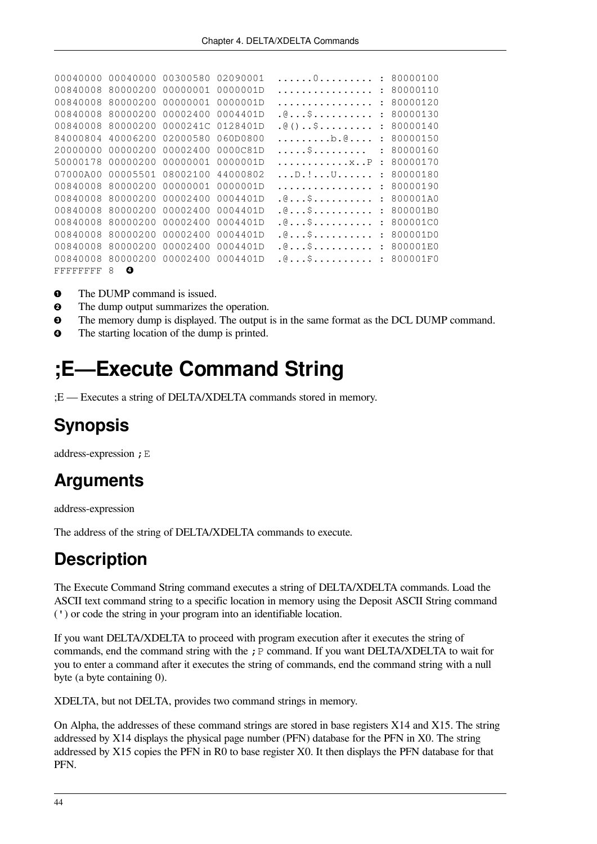```
00040000 00040000 00300580 02090001 ......0.......... : 80000100
00840008 80000200 00000001 0000001D ................ : 80000110
00840008 80000200 00000001 00000001D ................ : 80000120
00840008 80000200 00002400 0004401D . @... $.......... : 80000130
00840008 80000200 0000241C 0128401D .@()..$......... : 80000140
84000804 40006200 02000580 060D0800 .........b.@.... : 80000150
20000000 00000200 00002400 0000C81D .....$......... : 80000160
50000178 00000200 00000001 0000001D
07000A00 00005501 08002100 44000802 ...D.!...U...... : 80000180
00840008 80000200 00000001 00000001D ................ : 80000190
00840008 80000200 00002400 0004401D .@...$.......... : 800001A0
00840008 80000200 00002400 0004401D .@...$.......... : 800001B0
00840008 80000200 00002400 0004401D .@...$.......... : 800001C0
00840008 80000200 00002400 0004401D .@...$.......... : 800001D0
00840008 80000200 00002400 0004401D .@...$.......... : 800001E0
00840008 80000200 00002400 0004401D .@...$.......... : 800001F0
FFFFFFFF 8 <sup>O</sup>
```
- $\bullet$ The DUMP command is issued.
- $\bullet$ The dump output summarizes the operation.
- The memory dump is displayed. The output is in the same format as the DCL DUMP command.  $\bullet$
- <span id="page-49-0"></span> $\bullet$ The starting location of the dump is printed.

## **;E—Execute Command String**

;E — Executes a string of DELTA/XDELTA commands stored in memory.

## **Synopsis**

address-expression ;E

### **Arguments**

address-expression

The address of the string of DELTA/XDELTA commands to execute.

### **Description**

The Execute Command String command executes a string of DELTA/XDELTA commands. Load the ASCII text command string to a specific location in memory using the Deposit ASCII String command (') or code the string in your program into an identifiable location.

If you want DELTA/XDELTA to proceed with program execution after it executes the string of commands, end the command string with the  $;P$  command. If you want DELTA/XDELTA to wait for you to enter a command after it executes the string of commands, end the command string with a null byte (a byte containing 0).

XDELTA, but not DELTA, provides two command strings in memory.

On Alpha, the addresses of these command strings are stored in base registers X14 and X15. The string addressed by X14 displays the physical page number (PFN) database for the PFN in X0. The string addressed by X15 copies the PFN in R0 to base register X0. It then displays the PFN database for that PFN.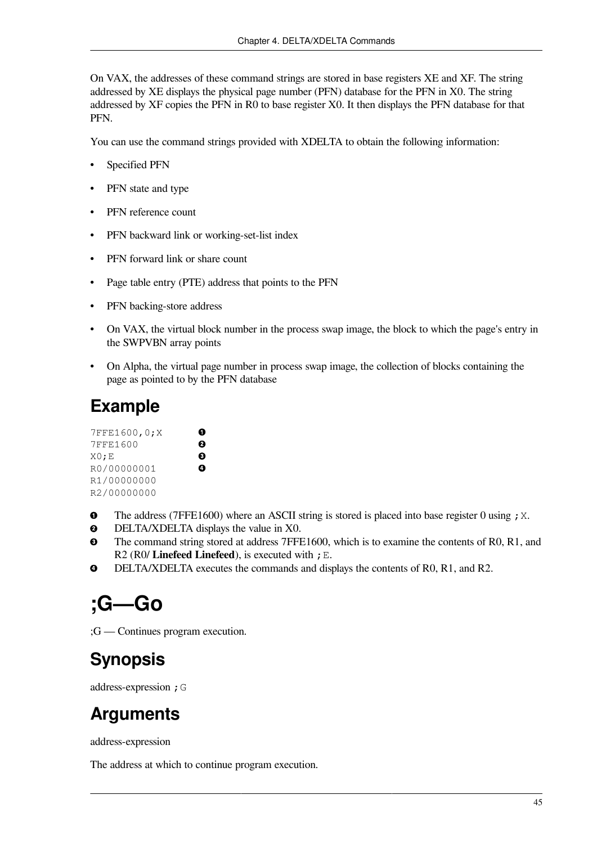On VAX, the addresses of these command strings are stored in base registers XE and XF. The string addressed by XE displays the physical page number (PFN) database for the PFN in X0. The string addressed by XF copies the PFN in R0 to base register X0. It then displays the PFN database for that PFN.

You can use the command strings provided with XDELTA to obtain the following information:

- Specified PFN
- PFN state and type
- PFN reference count
- PFN backward link or working-set-list index
- PFN forward link or share count
- Page table entry (PTE) address that points to the PFN
- PFN backing-store address
- On VAX, the virtual block number in the process swap image, the block to which the page's entry in the SWPVBN array points
- On Alpha, the virtual page number in process swap image, the collection of blocks containing the page as pointed to by the PFN database

#### **Example**

| 7FFE1600,0;X |   |
|--------------|---|
| 7FFE1600     | 0 |
| $X0$ ; E     | ❸ |
| R0/00000001  | ø |
| R1/00000000  |   |
| R2/00000000  |   |

- $\bullet$ The address (7FFE1600) where an ASCII string is stored is placed into base register 0 using  $;X$ .
- DELTA/XDELTA displays the value in X0.  $\boldsymbol{\Theta}$
- $\bullet$ The command string stored at address 7FFE1600, which is to examine the contents of R0, R1, and R2 (R0/ **Linefeed Linefeed**), is executed with ;E.
- $\bullet$ DELTA/XDELTA executes the commands and displays the contents of R0, R1, and R2.

## **;G—Go**

;G — Continues program execution.

### **Synopsis**

address-expression ;G

### **Arguments**

address-expression

The address at which to continue program execution.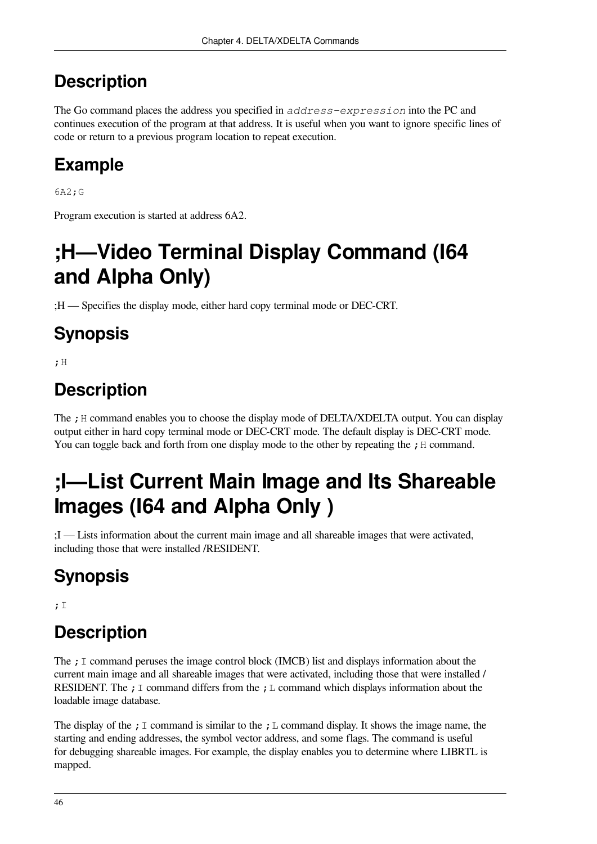The Go command places the address you specified in *address-expression* into the PC and continues execution of the program at that address. It is useful when you want to ignore specific lines of code or return to a previous program location to repeat execution.

## **Example**

6A2;G

Program execution is started at address 6A2.

# **;H—Video Terminal Display Command (I64 and Alpha Only)**

;H — Specifies the display mode, either hard copy terminal mode or DEC-CRT.

## **Synopsis**

;H

## **Description**

The ; H command enables you to choose the display mode of DELTA/XDELTA output. You can display output either in hard copy terminal mode or DEC-CRT mode. The default display is DEC-CRT mode. You can toggle back and forth from one display mode to the other by repeating the  $\cdot$  H command.

# **;I—List Current Main Image and Its Shareable Images (I64 and Alpha Only )**

;I — Lists information about the current main image and all shareable images that were activated, including those that were installed /RESIDENT.

# **Synopsis**

;I

## **Description**

The  $\cdot$  I command peruses the image control block (IMCB) list and displays information about the current main image and all shareable images that were activated, including those that were installed / RESIDENT. The ; I command differs from the ; L command which displays information about the loadable image database.

The display of the ;  $\text{I}$  command is similar to the ;  $\text{L}$  command display. It shows the image name, the starting and ending addresses, the symbol vector address, and some flags. The command is useful for debugging shareable images. For example, the display enables you to determine where LIBRTL is mapped.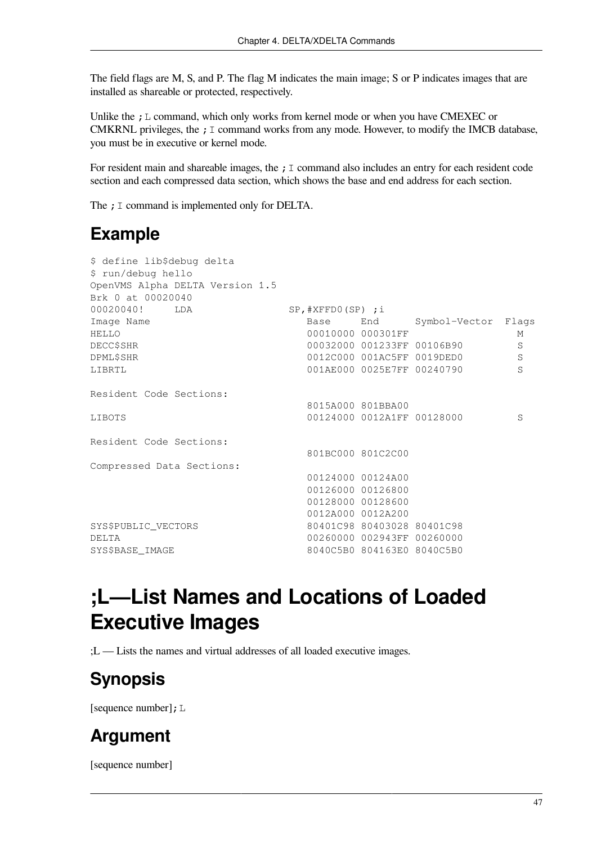The field flags are M, S, and P. The flag M indicates the main image; S or P indicates images that are installed as shareable or protected, respectively.

Unlike the  $;L$  command, which only works from kernel mode or when you have CMEXEC or CMKRNL privileges, the  $; I$  command works from any mode. However, to modify the IMCB database, you must be in executive or kernel mode.

For resident main and shareable images, the ; I command also includes an entry for each resident code section and each compressed data section, which shows the base and end address for each section.

The : I command is implemented only for DELTA.

### **Example**

| \$ define lib\$debug delta      |                       |                            |                            |   |
|---------------------------------|-----------------------|----------------------------|----------------------------|---|
| \$ run/debug hello              |                       |                            |                            |   |
| OpenVMS Alpha DELTA Version 1.5 |                       |                            |                            |   |
| Brk 0 at 00020040               |                       |                            |                            |   |
| 00020040! LDA                   | $SP$ , #XFFD0(SP) ; i |                            |                            |   |
| Image Name                      | Base                  |                            | End Symbol-Vector Flags    |   |
| HELLO                           |                       | 00010000 000301FF          |                            | M |
| <b>DECC\$SHR</b>                |                       |                            | 00032000 001233FF 00106B90 | S |
| <b>DPML\$SHR</b>                |                       |                            | 0012C000 001AC5FF 0019DED0 | S |
| LIBRTL                          |                       |                            | 001AE000 0025E7FF 00240790 | S |
| Resident Code Sections:         |                       |                            |                            |   |
|                                 |                       | 8015A000 801BBA00          |                            |   |
| LIBOTS                          |                       | 00124000 0012A1FF 00128000 |                            | S |
| Resident Code Sections:         |                       |                            |                            |   |
|                                 | 801BC000 801C2C00     |                            |                            |   |
| Compressed Data Sections:       |                       |                            |                            |   |
|                                 |                       | 00124000 00124A00          |                            |   |
|                                 |                       | 00126000 00126800          |                            |   |
|                                 |                       | 00128000 00128600          |                            |   |
|                                 |                       | 0012A000 0012A200          |                            |   |
| SYS\$PUBLIC_VECTORS             |                       | 80401C98 80403028 80401C98 |                            |   |
| DELTA.                          |                       | 00260000 002943FF 00260000 |                            |   |
| SYS\$BASE IMAGE                 |                       | 8040C5B0 804163E0 8040C5B0 |                            |   |

## **;L—List Names and Locations of Loaded Executive Images**

;L — Lists the names and virtual addresses of all loaded executive images.

## **Synopsis**

[sequence number]; L

### **Argument**

[sequence number]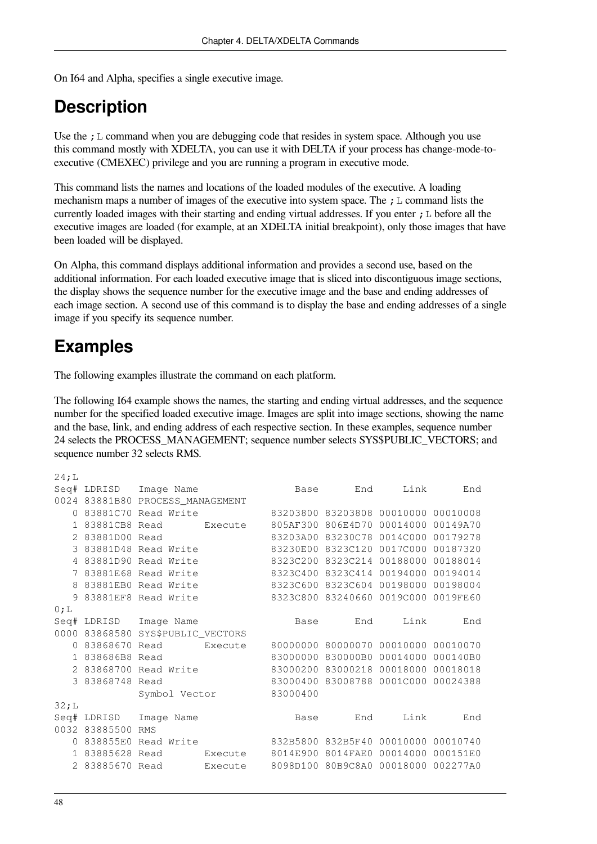On I64 and Alpha, specifies a single executive image.

#### **Description**

Use the  $;L$  command when you are debugging code that resides in system space. Although you use this command mostly with XDELTA, you can use it with DELTA if your process has change-mode-toexecutive (CMEXEC) privilege and you are running a program in executive mode.

This command lists the names and locations of the loaded modules of the executive. A loading mechanism maps a number of images of the executive into system space. The  $\chi$  L command lists the currently loaded images with their starting and ending virtual addresses. If you enter  $;L$  before all the executive images are loaded (for example, at an XDELTA initial breakpoint), only those images that have been loaded will be displayed.

On Alpha, this command displays additional information and provides a second use, based on the additional information. For each loaded executive image that is sliced into discontiguous image sections, the display shows the sequence number for the executive image and the base and ending addresses of each image section. A second use of this command is to display the base and ending addresses of a single image if you specify its sequence number.

#### **Examples**

The following examples illustrate the command on each platform.

The following I64 example shows the names, the starting and ending virtual addresses, and the sequence number for the specified loaded executive image. Images are split into image sections, showing the name and the base, link, and ending address of each respective section. In these examples, sequence number 24 selects the PROCESS\_MANAGEMENT; sequence number selects SYS\$PUBLIC\_VECTORS; and sequence number 32 selects RMS.

| 24;L     |                   |                                   |         |          |                                     |          |          |
|----------|-------------------|-----------------------------------|---------|----------|-------------------------------------|----------|----------|
|          |                   | Seq# LDRISD Image Name            |         | Base     | End                                 | Link     | End      |
|          |                   | 0024 83881B80 PROCESS_MANAGEMENT  |         |          |                                     |          |          |
| $\Omega$ |                   | 83881C70 Read Write               |         |          | 83203800 83203808 00010000 00010008 |          |          |
|          | 1 83881CB8 Read   |                                   | Execute |          | 805AF300 806E4D70                   | 00014000 | 00149A70 |
|          | 2 83881D00 Read   |                                   |         |          | 83203A00 83230C78 0014C000          |          | 00179278 |
|          |                   | 3 83881D48 Read Write             |         |          | 83230E00 8323C120 0017C000 00187320 |          |          |
|          |                   | 4 83881D90 Read Write             |         |          | 8323C200 8323C214 00188000          |          | 00188014 |
|          |                   | 7 83881E68 Read Write             |         |          | 8323C400 8323C414 00194000 00194014 |          |          |
|          |                   | 8 83881EBO Read Write             |         |          | 8323C600 8323C604 00198000          |          | 00198004 |
|          |                   | 9 83881EF8 Read Write             |         |          | 8323C800 83240660 0019C000 0019FE60 |          |          |
| 0;L      |                   |                                   |         |          |                                     |          |          |
|          |                   | Seq# LDRISD Image Name            |         | Base     | End                                 | Link     | End      |
|          |                   | 0000 83868580 SYS\$PUBLIC_VECTORS |         |          |                                     |          |          |
|          |                   | 0 83868670 Read                   | Execute |          | 80000000 80000070 00010000 00010070 |          |          |
|          | 1 838686B8 Read   |                                   |         |          | 83000000 830000B0                   | 00014000 | 000140B0 |
|          |                   | 2 83868700 Read Write             |         |          | 83000200 83000218 00018000          |          | 00018018 |
|          | 3 83868748 Read   |                                   |         |          | 83000400 83008788 0001C000 00024388 |          |          |
|          |                   | Symbol Vector                     |         | 83000400 |                                     |          |          |
| 32;L     |                   |                                   |         |          |                                     |          |          |
|          |                   | Seq# LDRISD Image Name            |         | Base     | End                                 | Link     | End      |
|          | 0032 83885500 RMS |                                   |         |          |                                     |          |          |
| $\Omega$ |                   | 838855E0 Read Write               |         |          | 832B5800 832B5F40 00010000          |          | 00010740 |
|          | 1 83885628 Read   |                                   | Execute | 8014E900 | 8014FAE0                            | 00014000 | 000151E0 |
|          | 2 83885670 Read   |                                   | Execute |          | 8098D100 80B9C8A0 00018000          |          | 002277A0 |
|          |                   |                                   |         |          |                                     |          |          |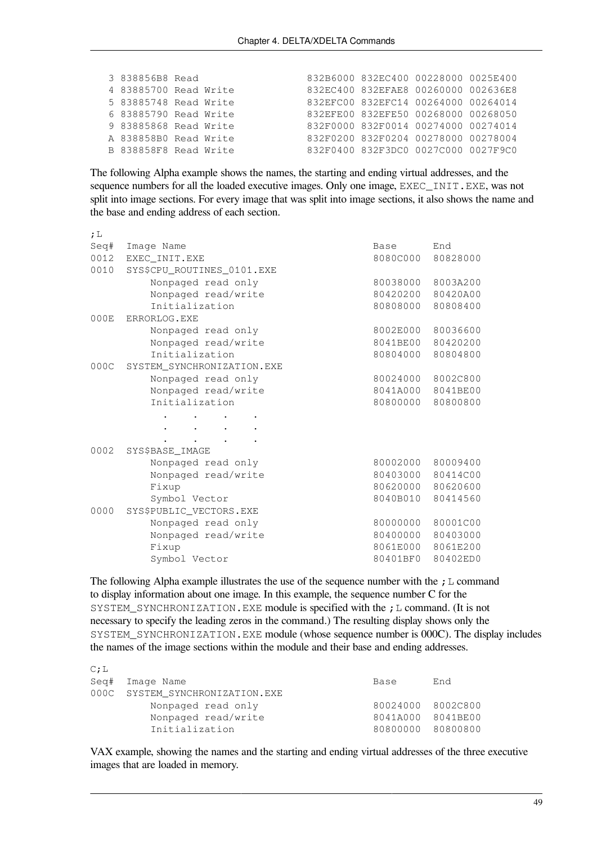| 3 838856B8 Read       |  | 832B6000 832EC400 00228000 0025E400 |  |
|-----------------------|--|-------------------------------------|--|
| 4 83885700 Read Write |  | 832EC400 832EFAE8 00260000 002636E8 |  |
| 5 83885748 Read Write |  | 832EFC00 832EFC14 00264000 00264014 |  |
| 6 83885790 Read Write |  | 832EFE00 832EFE50 00268000 00268050 |  |
| 9 83885868 Read Write |  | 832F0000 832F0014 00274000 00274014 |  |
| A 838858BO Read Write |  | 832F0200 832F0204 00278000 00278004 |  |
| B 838858F8 Read Write |  | 832F0400 832F3DC0 0027C000 0027F9C0 |  |

The following Alpha example shows the names, the starting and ending virtual addresses, and the sequence numbers for all the loaded executive images. Only one image, EXEC\_INIT.EXE, was not split into image sections. For every image that was split into image sections, it also shows the name and the base and ending address of each section.

| ; $\mathbb{L}$ |                            |          |                   |
|----------------|----------------------------|----------|-------------------|
| Seq#           | Image Name                 | Base     | End               |
| 0012           | EXEC INIT.EXE              | 8080C000 | 80828000          |
| 0010           | SYS\$CPU_ROUTINES_0101.EXE |          |                   |
|                | Nonpaged read only         | 80038000 | 8003A200          |
|                | Nonpaged read/write        | 80420200 | 80420A00          |
|                | Initialization             | 80808000 | 80808400          |
| 000E           | ERRORLOG.EXE               |          |                   |
|                | Nonpaged read only         | 8002E000 | 80036600          |
|                | Nonpaged read/write        | 8041BE00 | 80420200          |
|                | Initialization             | 80804000 | 80804800          |
| 000C           | SYSTEM_SYNCHRONIZATION.EXE |          |                   |
|                | Nonpaged read only         |          | 80024000 8002C800 |
|                | Nonpaged read/write        |          | 8041A000 8041BE00 |
|                | Initialization             | 80800000 | 80800800          |
|                |                            |          |                   |
|                |                            |          |                   |
|                |                            |          |                   |
| 0002           | SYS\$BASE IMAGE            |          |                   |
|                | Nonpaged read only         |          | 80002000 80009400 |
|                | Nonpaged read/write        |          | 80403000 80414C00 |
|                | Fixup                      | 80620000 | 80620600          |
|                | Symbol Vector              | 8040B010 | 80414560          |
| 0000           | SYS\$PUBLIC_VECTORS.EXE    |          |                   |
|                | Nonpaged read only         |          | 80000000 80001C00 |
|                | Nonpaged read/write        |          | 80400000 80403000 |
|                | Fixup                      |          | 8061E000 8061E200 |
|                | Symbol Vector              | 80401BF0 | 80402ED0          |

The following Alpha example illustrates the use of the sequence number with the  $;L$  command to display information about one image. In this example, the sequence number C for the SYSTEM SYNCHRONIZATION. EXE module is specified with the ; L command. (It is not necessary to specify the leading zeros in the command.) The resulting display shows only the SYSTEM\_SYNCHRONIZATION.EXE module (whose sequence number is 000C). The display includes the names of the image sections within the module and their base and ending addresses.

| <u>UII</u> |                                 |                   |     |
|------------|---------------------------------|-------------------|-----|
|            | Seg# Image Name                 | Base              | End |
|            | 000C SYSTEM SYNCHRONIZATION.EXE |                   |     |
|            | Nonpaged read only              | 80024000 8002C800 |     |
|            | Nonpaged read/write             | 8041A000 8041BE00 |     |
|            | Initialization                  | 80800000 80800800 |     |
|            |                                 |                   |     |

 $\sim$  T

VAX example, showing the names and the starting and ending virtual addresses of the three executive images that are loaded in memory.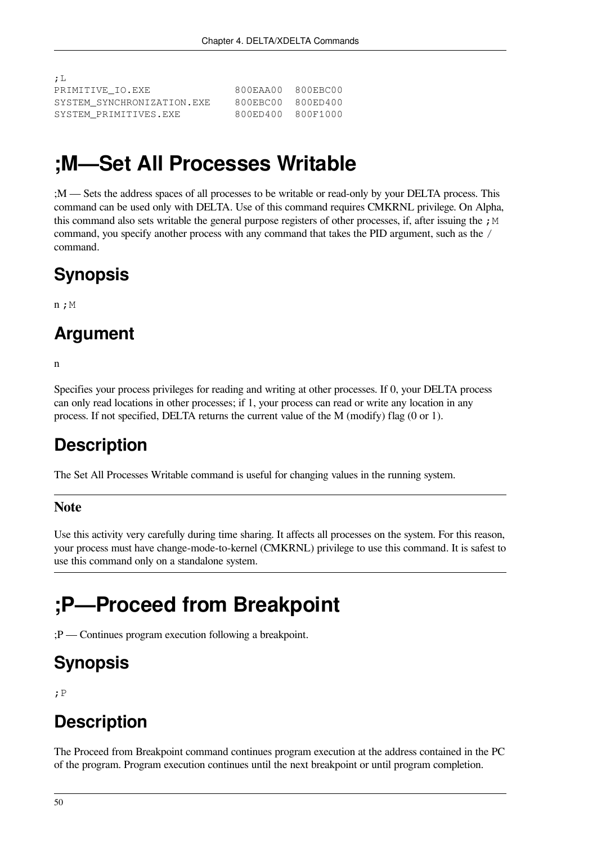| ; L                        |                   |  |
|----------------------------|-------------------|--|
| PRIMITIVE IO.EXE           | 800EAA00 800EBC00 |  |
| SYSTEM SYNCHRONIZATION.EXE | 800EBC00 800ED400 |  |
| SYSTEM PRIMITIVES.EXE      | 800ED400 800F1000 |  |

## **;M—Set All Processes Writable**

;M — Sets the address spaces of all processes to be writable or read-only by your DELTA process. This command can be used only with DELTA. Use of this command requires CMKRNL privilege. On Alpha, this command also sets writable the general purpose registers of other processes, if, after issuing the ;  $M$ command, you specify another process with any command that takes the PID argument, such as the / command.

### **Synopsis**

 $n;M$ 

#### **Argument**

n

Specifies your process privileges for reading and writing at other processes. If 0, your DELTA process can only read locations in other processes; if 1, your process can read or write any location in any process. If not specified, DELTA returns the current value of the M (modify) flag (0 or 1).

## **Description**

The Set All Processes Writable command is useful for changing values in the running system.

#### **Note**

Use this activity very carefully during time sharing. It affects all processes on the system. For this reason, your process must have change-mode-to-kernel (CMKRNL) privilege to use this command. It is safest to use this command only on a standalone system.

## **;P—Proceed from Breakpoint**

;P — Continues program execution following a breakpoint.

## **Synopsis**

;P

## **Description**

The Proceed from Breakpoint command continues program execution at the address contained in the PC of the program. Program execution continues until the next breakpoint or until program completion.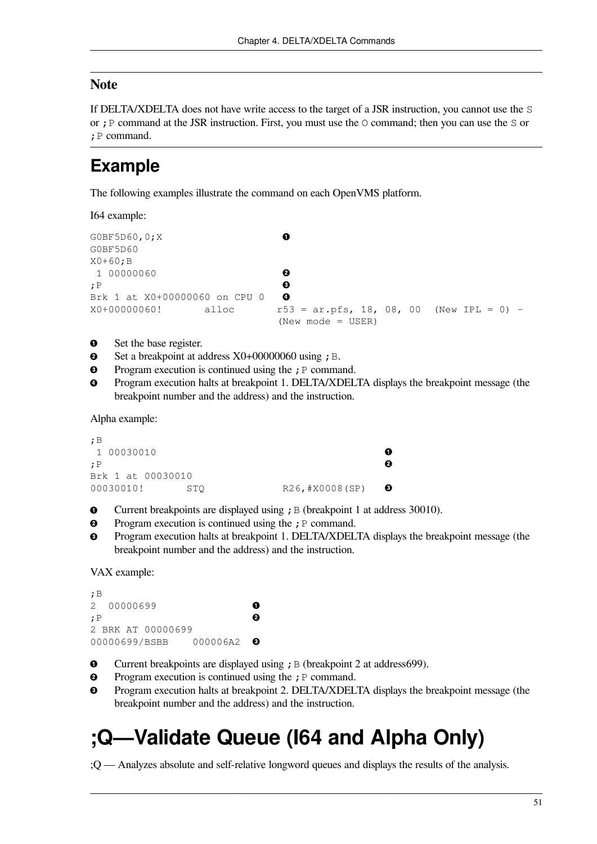#### **Note**

If DELTA/XDELTA does not have write access to the target of a JSR instruction, you cannot use the S or ; P command at the JSR instruction. First, you must use the  $\circ$  command; then you can use the  $\circ$  or ;P command.

#### **Example**

The following examples illustrate the command on each OpenVMS platform.

I64 example:

```
\bulletG0BF5D60,0;X 
G0BF5D60 
X0+60; BØ
  1 00000060 
                                      \mathbf{\Theta};P 
                                      \ddot{\mathbf{O}}Brk 1 at X0+00000060 on CPU 0 
X0+00000060! alloc r53 = ar.pfs, 18, 08, 00 (New IPL = 0) -
                                      (New mode = USER)
```
- $\bullet$ Set the base register.
- $\bullet$ Set a breakpoint at address  $X0+00000060$  using ; B.
- $\bullet$ Program execution is continued using the  $;P$  command.
- Program execution halts at breakpoint 1. DELTA/XDELTA displays the breakpoint message (the  $\bullet$ breakpoint number and the address) and the instruction.

Alpha example:

```
;B
  1 00030010 
                                                           \bullet;P 
                                                           \boldsymbol{\Theta}Brk 1 at 00030010
                                                           \bullet00030010! STQ R26, #X0008(SP)
```
- $\bullet$ Current breakpoints are displayed using  $;B$  (breakpoint 1 at address 30010).
- $\bullet$ Program execution is continued using the  $;P$  command.
- Program execution halts at breakpoint 1. DELTA/XDELTA displays the breakpoint message (the  $\mathbf{e}$ breakpoint number and the address) and the instruction.

VAX example:

```
;B 
2 00000699 
                                        \bullet\boldsymbol{\Omega};P 
2 BRK AT 00000699
00000699/BSBB 000006A2 
                                        \bullet
```
- $\bullet$ Current breakpoints are displayed using  $;B$  (breakpoint 2 at address699).
- $\boldsymbol{e}$ Program execution is continued using the  $;P$  command.
- $\bullet$ Program execution halts at breakpoint 2. DELTA/XDELTA displays the breakpoint message (the breakpoint number and the address) and the instruction.

## **;Q—Validate Queue (I64 and Alpha Only)**

;Q — Analyzes absolute and self-relative longword queues and displays the results of the analysis.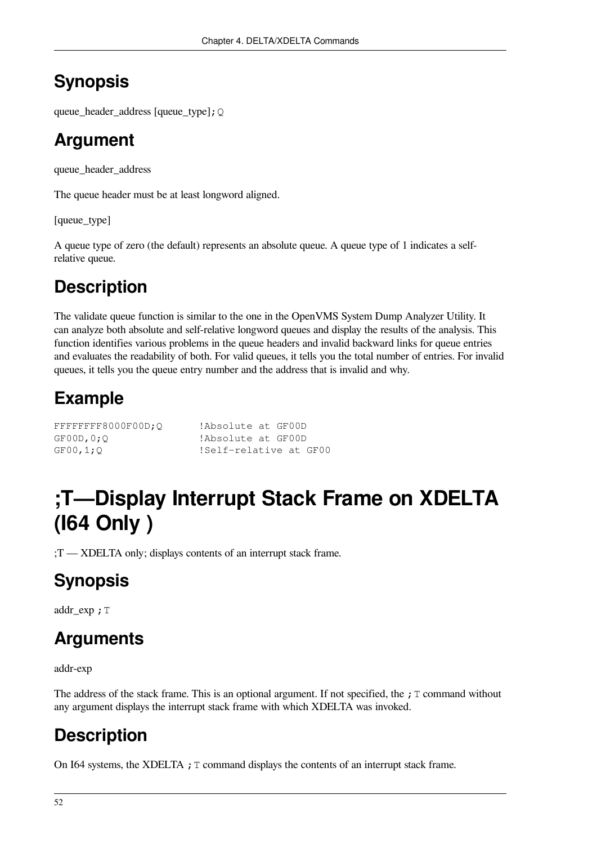## **Synopsis**

queue\_header\_address [queue\_type];Q

### **Argument**

queue\_header\_address

The queue header must be at least longword aligned.

[queue\_type]

A queue type of zero (the default) represents an absolute queue. A queue type of 1 indicates a selfrelative queue.

## **Description**

The validate queue function is similar to the one in the OpenVMS System Dump Analyzer Utility. It can analyze both absolute and self-relative longword queues and display the results of the analysis. This function identifies various problems in the queue headers and invalid backward links for queue entries and evaluates the readability of both. For valid queues, it tells you the total number of entries. For invalid queues, it tells you the queue entry number and the address that is invalid and why.

## **Example**

| FFFFFFFF8000F00D:O | !Absolute at GF00D     |
|--------------------|------------------------|
| GFOOD, 0:0         | !Absolute at GF00D     |
| GFOO,1;Q           | !Self-relative at GF00 |

## **;T—Display Interrupt Stack Frame on XDELTA (I64 Only )**

;T — XDELTA only; displays contents of an interrupt stack frame.

## **Synopsis**

addr exp ; T

## **Arguments**

addr-exp

The address of the stack frame. This is an optional argument. If not specified, the  $\tau$  command without any argument displays the interrupt stack frame with which XDELTA was invoked.

## **Description**

On I64 systems, the XDELTA  $\mathfrak{f}$  T command displays the contents of an interrupt stack frame.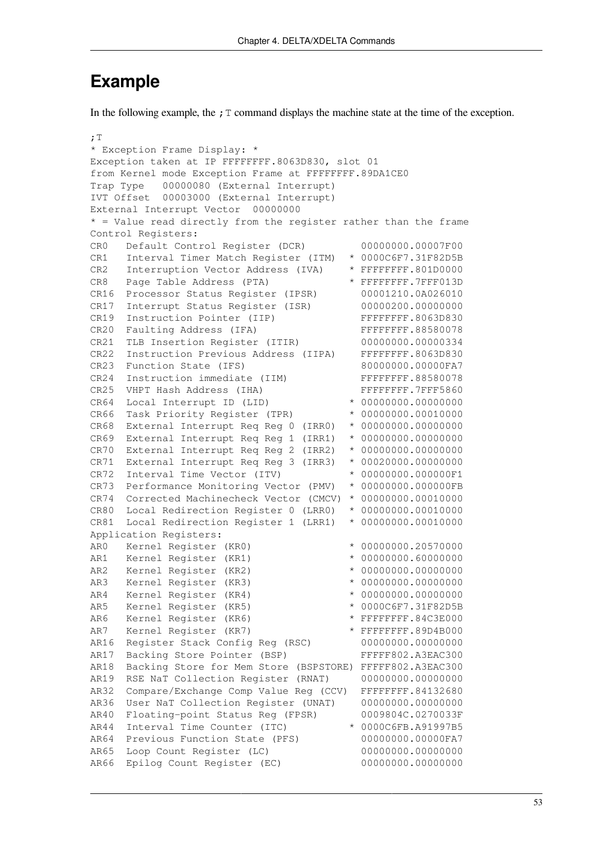#### **Example**

In the following example, the  $;T$  command displays the machine state at the time of the exception.

```
;T 
* Exception Frame Display: * 
Exception taken at IP FFFFFFFF.8063D830, slot 01 
from Kernel mode Exception Frame at FFFFFFFF.89DA1CE0
Trap Type 00000080 (External Interrupt)
IVT Offset 00003000 (External Interrupt)
External Interrupt Vector 00000000 
* = Value read directly from the register rather than the frame
Control Registers:
CR0 Default Control Register (DCR) 00000000.00007F00
CR1 Interval Timer Match Register (ITM) * 0000C6F7.31F82D5B
CR2 Interruption Vector Address (IVA) * FFFFFFFF.801D0000
CR8 Page Table Address (PTA) * FFFFFFFF.7FFF013D
CR16 Processor Status Register (IPSR) 00001210.0A026010
CR17 Interrupt Status Register (ISR) 00000200.00000000
CR19 Instruction Pointer (IIP) FFFFFFFFFFFFF.8063D830
CR20 Faulting Address (IFA) FFFFFFFFFFFFFFFFFFFF .88580078
CR21 TLB Insertion Register (ITIR) 00000000.00000334
CR22 Instruction Previous Address (IIPA) FFFFFFFF.8063D830
CR23 Function State (IFS) 80000000.00000FA7
CR24 Instruction immediate (IIM) FFFFFFFFF.88580078
CR25 VHPT Hash Address (IHA) FFFFFFFFFFFF.7FFF5860
CR64 Local Interrupt ID (LID) * 00000000.00000000
CR66 Task Priority Register (TPR) * 00000000.00010000
CR68 External Interrupt Req Reg 0 (IRR0) * 00000000.00000000 
CR69 External Interrupt Req Reg 1 (IRR1) * 00000000.00000000 
CR70 External Interrupt Req Reg 2 (IRR2) * 00000000.00000000
CR71 External Interrupt Req Reg 3 (IRR3) * 00020000.00000000
CR72 Interval Time Vector (ITV) * 00000000.000000F1
CR73 Performance Monitoring Vector (PMV) * 00000000.000000FB 
CR74 Corrected Machinecheck Vector (CMCV) * 00000000.00010000 
CR80 Local Redirection Register 0 (LRR0) * 00000000.00010000
CR81 Local Redirection Register 1 (LRR1) * 00000000.00010000 
Application Registers:
AR0 Kernel Register (KR0) * 00000000.20570000
AR1 Kernel Register (KR1) * 00000000.60000000
AR2 Kernel Register (KR2) * 00000000.00000000
AR3 Kernel Register (KR3) * 00000000.00000000
AR4 Kernel Register (KR4) * 00000000.00000000
AR5 Kernel Register (KR5) * 0000C6F7.31F82D5B
AR6 Kernel Register (KR6) * FFFFFFFF.84C3E000
AR7 Kernel Register (KR7) * FFFFFFFF.89D4B000
AR16 Register Stack Config Reg (RSC) 00000000.00000000
AR17 Backing Store Pointer (BSP) FFFFF802.A3EAC300
AR18 Backing Store for Mem Store (BSPSTORE) FFFFF802.A3EAC300
AR19 RSE NaT Collection Register (RNAT) 00000000.00000000
AR32 Compare/Exchange Comp Value Reg (CCV) FFFFFFFF.84132680
AR36 User NaT Collection Register (UNAT) 00000000.00000000
AR40 Floating-point Status Reg (FPSR) 0009804C.0270033F
AR44 Interval Time Counter (ITC) * 0000C6FB.A91997B5
AR64 Previous Function State (PFS) 00000000.00000FA7
AR65 Loop Count Register (LC) 00000000.00000000
AR66 Epilog Count Register (EC) 00000000.00000000
```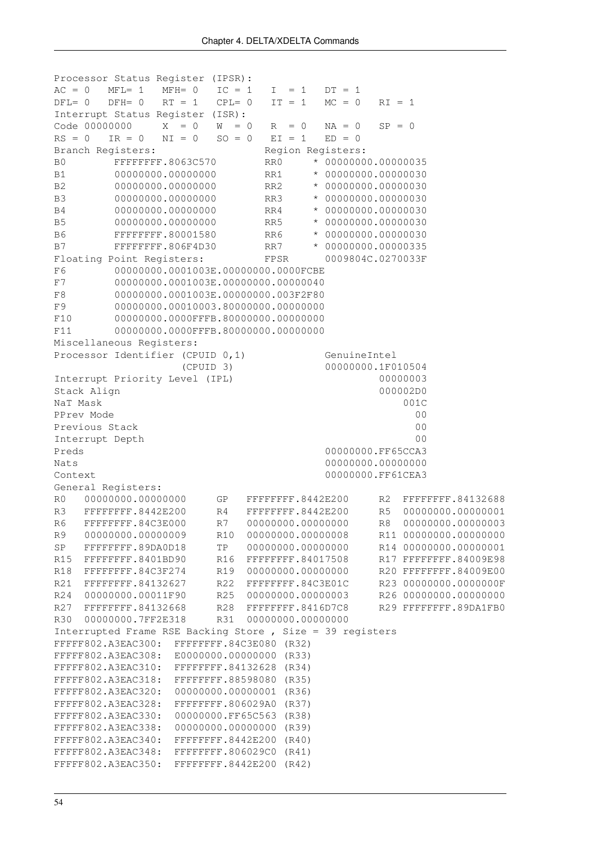```
Processor Status Register (IPSR):
AC = 0 MFL= 1 MFH= 0 IC = 1 I = 1 DT = 1
DFL= 0 DFH= 0 RT = 1 CPL= 0 IT = 1 MC = 0 RI = 1Interrupt Status Register (ISR):
Code 00000000 X = 0 W = 0 R = 0 NA = 0 SP = 0RS = 0 IR = 0 NI = 0 SO = 0 EI = 1 ED = 0Branch Registers: The Region Registers:
B0 FFFFFFFF.8063C570 RR0 * 00000000.00000035
B1 00000000.000000000 RR1 * 00000000.00000030
B2 00000000.000000000 RR2 * 00000000.00000030
B3 00000000.00000000 RR3 * 00000000.00000030
B4 00000000.00000000 RR4 * 00000000.00000030
B5 00000000.000000000 RR5 * 00000000.00000030
B6 FFFFFFFF.80001580 RR6 * 00000000.00000030
B7 FFFFFFFF.806F4D30 RR7 * 00000000.00000335 
Floating Point Registers: FPSR 0009804C.0270033F
F6 00000000.0001003E.00000000.0000FCBE
F7 00000000.0001003E.00000000.00000040
F8 00000000.0001003E.00000000.003F2F80
F9 00000000.00010003.80000000.00000000
F10 00000000.0000FFFB.80000000.00000000
F11 00000000.0000FFFB.80000000.00000000 
Miscellaneous Registers:
Processor Identifier (CPUID 0,1)    GenuineIntel
                 (CPUID 3) 00000000.1F010504
Interrupt Priority Level (IPL) 00000003
Stack Align 2000002D0 000002D0
NaT Mask 001C
PPrev Mode 00
Previous Stack 00
Interrupt Depth 00
Preds 00000000.FF65CCA3
Nats 00000000.00000000
Context 00000000.FF61CEA3 
General Registers:
R0 00000000.00000000 GP FFFFFFFF.8442E200 R2 FFFFFFFF.84132688
R3 FFFFFFFF.8442E200 R4 FFFFFFFF.8442E200 R5 00000000.00000001
R6 FFFFFFFF.84C3E000 R7 00000000.00000000 R8 00000000.00000003
R9 00000000.00000009 R10 00000000.00000008 R11 00000000.00000000
SP FFFFFFFF.89DA0D18 TP 00000000.00000000 R14 00000000.00000001
R15 FFFFFFFF.8401BD90 R16 FFFFFFFF.84017508 R17 FFFFFFFF.84009E98
R18 FFFFFFFF.84C3F274 R19 00000000.00000000 R20 FFFFFFFF.84009E00
R21 FFFFFFFF.84132627 R22 FFFFFFFF.84C3E01C R23 00000000.0000000F
R24 00000000.00011F90 R25 00000000.00000003 R26 00000000.00000000
R27 FFFFFFFF.84132668 R28 FFFFFFFF.8416D7C8 R29 FFFFFFFF.89DA1FB0
R30 00000000.7FF2E318 R31 00000000.00000000 
Interrupted Frame RSE Backing Store , Size = 39 registers 
FFFFF802.A3EAC300: FFFFFFFF.84C3E080 (R32) 
FFFFF802.A3EAC308: E0000000.00000000 (R33) 
FFFFF802.A3EAC310: FFFFFFFF.84132628 (R34) 
FFFFF802.A3EAC318: FFFFFFFF.88598080 (R35) 
FFFFF802.A3EAC320: 00000000.00000001 (R36) 
FFFFF802.A3EAC328: FFFFFFFF.806029A0 (R37) 
FFFFF802.A3EAC330: 00000000.FF65C563 (R38) 
FFFFF802.A3EAC338: 00000000.00000000 (R39) 
FFFFF802.A3EAC340: FFFFFFFF.8442E200 (R40) 
FFFFF802.A3EAC348: FFFFFFFF.806029C0 (R41) 
FFFFF802.A3EAC350: FFFFFFFF.8442E200 (R42)
```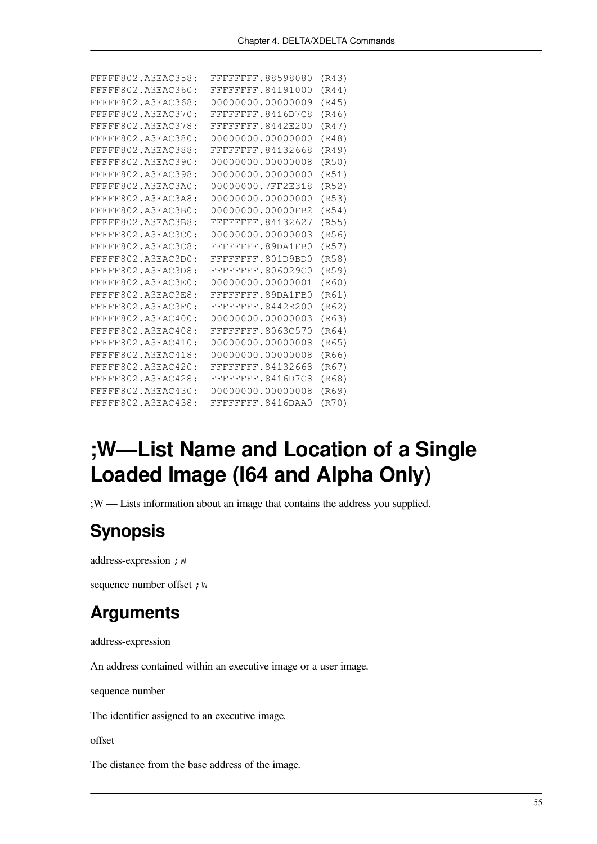| FFFFF802.A3EAC358: | FFFFFFFF.88598080  | (R43) |
|--------------------|--------------------|-------|
| FFFFF802.A3EAC360: | FFFFFFFF.84191000  | (R44) |
| FFFFF802.A3EAC368: | 00000000.00000009  | (R45) |
| FFFFF802.A3EAC370: | FFFFFFFF.8416D7C8  | (R46) |
| FFFFF802.A3EAC378: | FFFFFFFF.8442E200  | (R47) |
| FFFFF802.A3EAC380: | 00000000.00000000  | (R48) |
| FFFFF802.A3EAC388: | FFFFFFFF.84132668  | (R49) |
| FFFFF802.A3EAC390: | 00000000.00000008  | (R50) |
| FFFFF802.A3EAC398: | 00000000.00000000  | (R51) |
| FFFFF802.A3EAC3A0: | 00000000.7FF2E318  | (R52) |
| FFFFF802.A3EAC3A8: | 00000000.00000000  | (R53) |
| FFFFF802.A3EAC3B0: | 00000000.00000FB2  | (R54) |
| FFFFF802.A3EAC3B8: | FFFFFFFF.84132627  | (R55) |
| FFFFF802.A3EAC3C0: | 00000000.00000003  | (R56) |
| FFFFF802.A3EAC3C8: | FFFFFFFF, 89DA1FB0 | (R57) |
| FFFFF802.A3EAC3D0: | FFFFFFFF.801D9BD0  | (R58) |
| FFFFF802.A3EAC3D8: | FFFFFFFF.806029C0  | (R59) |
| FFFFF802.A3EAC3E0: | 00000000.00000001  | (R60) |
| FFFFF802.A3EAC3E8: | FFFFFFFF.89DA1FB0  | (R61) |
| FFFFF802.A3EAC3F0: | FFFFFFFF.8442E200  | (R62) |
| FFFFF802.A3EAC400: | 00000000.00000003  | (R63) |
| FFFFF802.A3EAC408: | FFFFFFFF.8063C570  | (R64) |
| FFFFF802.A3EAC410: | 00000000.00000008  | (R65) |
| FFFFF802.A3EAC418: | 00000000.00000008  | (R66) |
| FFFFF802.A3EAC420: | FFFFFFFF.84132668  | (R67) |
| FFFFF802.A3EAC428: | FFFFFFFF, 8416D7C8 | (R68) |
| FFFFF802.A3EAC430: | 00000000.00000008  | (R69) |
| FFFFF802.A3EAC438: | FFFFFFFF.8416DAA0  | (R70) |

## **;W—List Name and Location of a Single Loaded Image (I64 and Alpha Only)**

;W — Lists information about an image that contains the address you supplied.

### **Synopsis**

address-expression ; W

sequence number offset ; W

#### **Arguments**

address-expression

An address contained within an executive image or a user image.

sequence number

The identifier assigned to an executive image.

offset

The distance from the base address of the image.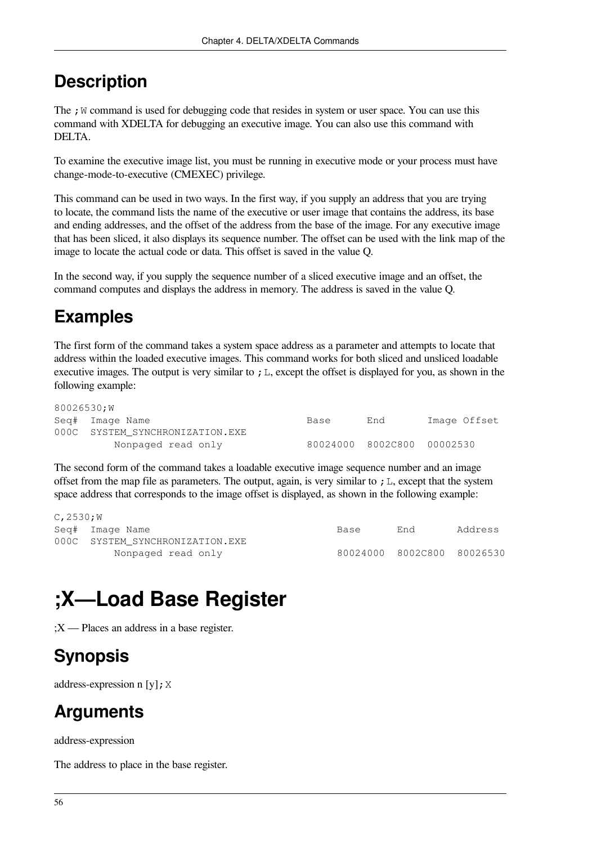The  $\chi$  W command is used for debugging code that resides in system or user space. You can use this command with XDELTA for debugging an executive image. You can also use this command with DELTA.

To examine the executive image list, you must be running in executive mode or your process must have change-mode-to-executive (CMEXEC) privilege.

This command can be used in two ways. In the first way, if you supply an address that you are trying to locate, the command lists the name of the executive or user image that contains the address, its base and ending addresses, and the offset of the address from the base of the image. For any executive image that has been sliced, it also displays its sequence number. The offset can be used with the link map of the image to locate the actual code or data. This offset is saved in the value Q.

In the second way, if you supply the sequence number of a sliced executive image and an offset, the command computes and displays the address in memory. The address is saved in the value Q.

## **Examples**

The first form of the command takes a system space address as a parameter and attempts to locate that address within the loaded executive images. This command works for both sliced and unsliced loadable executive images. The output is very similar to  $\chi$  L, except the offset is displayed for you, as shown in the following example:

| 80026530;W |                                 |      |                            |              |
|------------|---------------------------------|------|----------------------------|--------------|
|            | Seg# Image Name                 | Base | End                        | Image Offset |
|            | 000C SYSTEM SYNCHRONIZATION.EXE |      |                            |              |
|            | Nonpaged read only              |      | 80024000 8002C800 00002530 |              |

The second form of the command takes a loadable executive image sequence number and an image offset from the map file as parameters. The output, again, is very similar to  $\tau$ . E., except that the system space address that corresponds to the image offset is displayed, as shown in the following example:

| $C$ , 2530; W |                                 |      |                            |         |
|---------------|---------------------------------|------|----------------------------|---------|
|               | Seg# Image Name                 | Base | End                        | Address |
|               | 000C SYSTEM SYNCHRONIZATION.EXE |      |                            |         |
|               | Nonpaged read only              |      | 80024000 8002C800 80026530 |         |

# **;X—Load Base Register**

;X — Places an address in a base register.

## **Synopsis**

address-expression n [y];  $X$ 

### **Arguments**

address-expression

The address to place in the base register.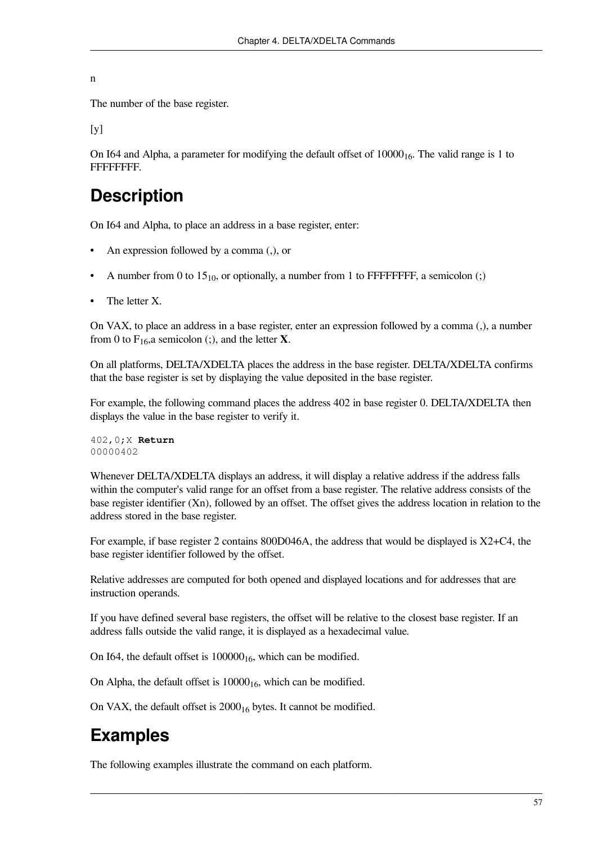n

The number of the base register.

 $[y]$ 

On I64 and Alpha, a parameter for modifying the default offset of  $10000<sub>16</sub>$ . The valid range is 1 to FFFFFFFF.

#### **Description**

On I64 and Alpha, to place an address in a base register, enter:

- An expression followed by a comma (,), or
- A number from 0 to  $15_{10}$ , or optionally, a number from 1 to FFFFFFFF, a semicolon (;)
- The letter X.

On VAX, to place an address in a base register, enter an expression followed by a comma (,), a number from 0 to  $F_{16}$ , a semicolon (;), and the letter **X**.

On all platforms, DELTA/XDELTA places the address in the base register. DELTA/XDELTA confirms that the base register is set by displaying the value deposited in the base register.

For example, the following command places the address 402 in base register 0. DELTA/XDELTA then displays the value in the base register to verify it.

402,0;X **Return** 00000402

Whenever DELTA/XDELTA displays an address, it will display a relative address if the address falls within the computer's valid range for an offset from a base register. The relative address consists of the base register identifier (Xn), followed by an offset. The offset gives the address location in relation to the address stored in the base register.

For example, if base register 2 contains 800D046A, the address that would be displayed is X2+C4, the base register identifier followed by the offset.

Relative addresses are computed for both opened and displayed locations and for addresses that are instruction operands.

If you have defined several base registers, the offset will be relative to the closest base register. If an address falls outside the valid range, it is displayed as a hexadecimal value.

On I64, the default offset is  $100000<sub>16</sub>$ , which can be modified.

On Alpha, the default offset is  $10000<sub>16</sub>$ , which can be modified.

On VAX, the default offset is  $2000_{16}$  bytes. It cannot be modified.

### **Examples**

The following examples illustrate the command on each platform.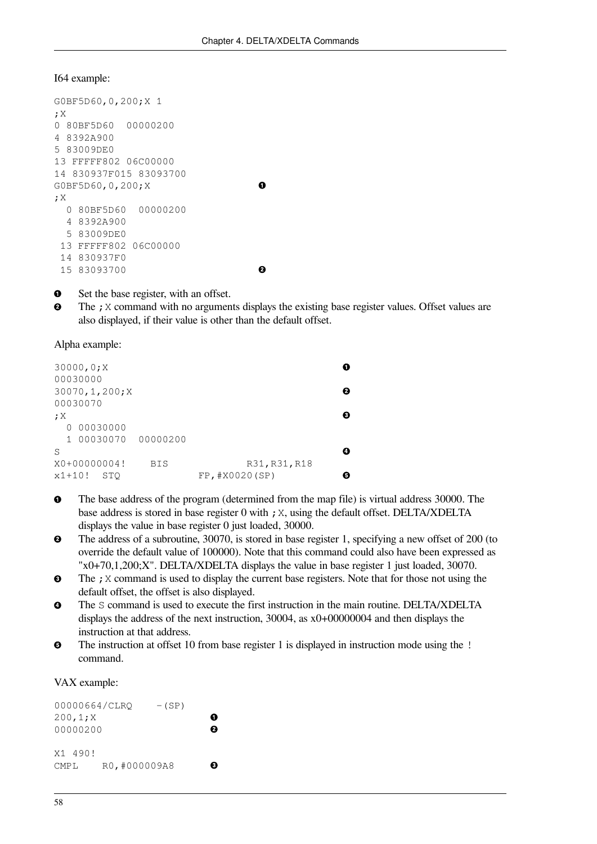```
I64 example:
```

```
G0BF5D60,0,200;X 1
;X
0 80BF5D60 00000200
4 8392A900
5 83009DE0
13 FFFFF802 06C00000
14 830937F015 83093700 
G0BF5D60,0,200;X 
;X
   0 80BF5D60 00000200
   4 8392A900
   5 83009DE0
  13 FFFFF802 06C00000
  14 830937F0
  15 83093700
```
 $\bullet$ Set the base register, with an offset.

 $\bullet$ The ; X command with no arguments displays the existing base register values. Offset values are also displayed, if their value is other than the default offset.

 $\bullet$ 

 $\ddot{\mathbf{e}}$ 

Alpha example:

|          | 30000, 0; X<br>00030000 |            |                |   |
|----------|-------------------------|------------|----------------|---|
|          | 30070, 1, 200; X        |            |                | ø |
|          | 00030070                |            |                |   |
| ;X       |                         |            |                | Θ |
| $\Omega$ | 00030000                |            |                |   |
|          | 1 00030070 00000200     |            |                |   |
| S        |                         |            |                | Œ |
|          | X0+00000004!            | <b>BIS</b> | R31, R31, R18  |   |
| $x1+10!$ | <b>STO</b>              |            | FP, #X0020(SP) | Θ |

- $\bullet$ The base address of the program (determined from the map file) is virtual address 30000. The base address is stored in base register 0 with ;X, using the default offset. DELTA/XDELTA displays the value in base register 0 just loaded, 30000.
- The address of a subroutine, 30070, is stored in base register 1, specifying a new offset of 200 (to  $\boldsymbol{\Theta}$ override the default value of 100000). Note that this command could also have been expressed as "x0+70,1,200;X". DELTA/XDELTA displays the value in base register 1 just loaded, 30070.
- The ; X command is used to display the current base registers. Note that for those not using the  $\bullet$ default offset, the offset is also displayed.
- $\bullet$ The S command is used to execute the first instruction in the main routine. DELTA/XDELTA displays the address of the next instruction, 30004, as x0+00000004 and then displays the instruction at that address.
- $\bullet$ The instruction at offset 10 from base register 1 is displayed in instruction mode using the ! command.

VAX example:

| 00000664/CLRO    |               | $-(SP)$ |   |
|------------------|---------------|---------|---|
| 200, 1; X        |               |         |   |
| 00000200         |               |         | А |
|                  |               |         |   |
| X1 490!          |               |         |   |
| CMP <sub>L</sub> | RO, #000009A8 |         | n |
|                  |               |         |   |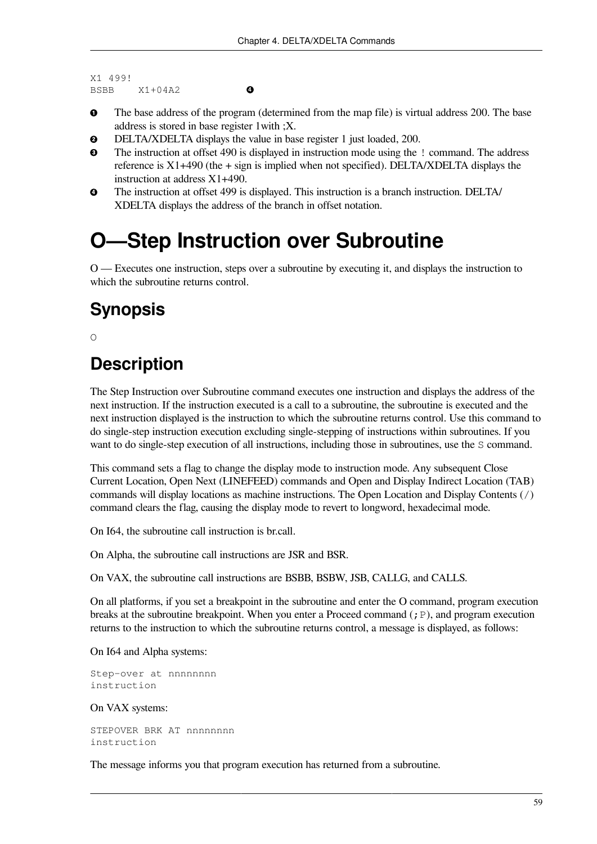```
X1 499!
BSBB X1+04A2
```
 $\bullet$ 

- $\bullet$ The base address of the program (determined from the map file) is virtual address 200. The base address is stored in base register 1with ;X.
- $\bullet$ DELTA/XDELTA displays the value in base register 1 just loaded, 200.
- $\boldsymbol{\Theta}$ The instruction at offset 490 is displayed in instruction mode using the ! command. The address reference is X1+490 (the + sign is implied when not specified). DELTA/XDELTA displays the instruction at address X1+490.
- The instruction at offset 499 is displayed. This instruction is a branch instruction. DELTA/  $\bullet$ XDELTA displays the address of the branch in offset notation.

## **O—Step Instruction over Subroutine**

O — Executes one instruction, steps over a subroutine by executing it, and displays the instruction to which the subroutine returns control.

### **Synopsis**

 $\bigcirc$ 

## **Description**

The Step Instruction over Subroutine command executes one instruction and displays the address of the next instruction. If the instruction executed is a call to a subroutine, the subroutine is executed and the next instruction displayed is the instruction to which the subroutine returns control. Use this command to do single-step instruction execution excluding single-stepping of instructions within subroutines. If you want to do single-step execution of all instructions, including those in subroutines, use the S command.

This command sets a flag to change the display mode to instruction mode. Any subsequent Close Current Location, Open Next (LINEFEED) commands and Open and Display Indirect Location (TAB) commands will display locations as machine instructions. The Open Location and Display Contents (/) command clears the flag, causing the display mode to revert to longword, hexadecimal mode.

On I64, the subroutine call instruction is br.call.

On Alpha, the subroutine call instructions are JSR and BSR.

On VAX, the subroutine call instructions are BSBB, BSBW, JSB, CALLG, and CALLS.

On all platforms, if you set a breakpoint in the subroutine and enter the O command, program execution breaks at the subroutine breakpoint. When you enter a Proceed command  $(j \text{P})$ , and program execution returns to the instruction to which the subroutine returns control, a message is displayed, as follows:

On I64 and Alpha systems:

```
Step-over at nnnnnnnn
instruction
```
#### On VAX systems:

STEPOVER BRK AT nnnnnnnn instruction

The message informs you that program execution has returned from a subroutine.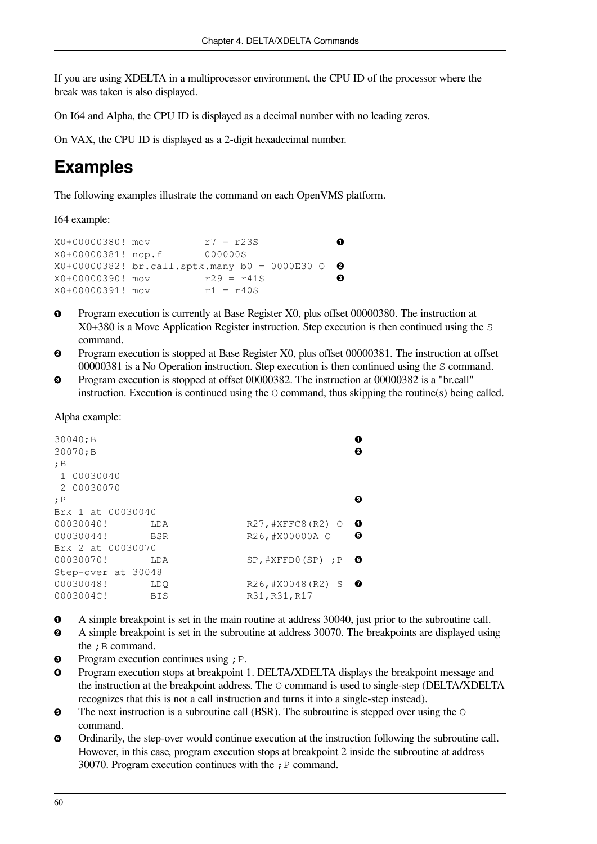If you are using XDELTA in a multiprocessor environment, the CPU ID of the processor where the break was taken is also displayed.

On I64 and Alpha, the CPU ID is displayed as a decimal number with no leading zeros.

On VAX, the CPU ID is displayed as a 2-digit hexadecimal number.

### **Examples**

The following examples illustrate the command on each OpenVMS platform.

I64 example:

```
X0+00000380! mov r7 = r23S 
                                                \bulletX0+00000381! nop.f 000000S
X0+00000382! br.call.sptk.many b0 = 0000E30 O 
                                                \boldsymbol{e}X0+00000390! mov r29 = r41S\boldsymbol{\Omega}X0+00000391! mov r1 = r40S
```
- Program execution is currently at Base Register X0, plus offset 00000380. The instruction at  $\bullet$ X0+380 is a Move Application Register instruction. Step execution is then continued using the S command.
- Program execution is stopped at Base Register X0, plus offset 00000381. The instruction at offset  $\boldsymbol{\Theta}$ 00000381 is a No Operation instruction. Step execution is then continued using the S command.
- Program execution is stopped at offset 00000382. The instruction at 00000382 is a "br.call"  $\bullet$ instruction. Execution is continued using the  $\circ$  command, thus skipping the routine(s) being called.

Alpha example:

| 30040; B<br>30070; B |            |                           | O<br>ø   |
|----------------------|------------|---------------------------|----------|
| ;B<br>1 00030040     |            |                           |          |
| 2 00030070           |            |                           |          |
| ;P                   |            |                           | 6        |
| Brk 1 at 00030040    |            |                           |          |
| 00030040!            | LDA        | R27, #XFFC8 (R2) 0        | $\bf{o}$ |
| 00030044!            | BSR        | R26, #X00000A O           | ❺        |
| Brk 2 at 00030070    |            |                           |          |
| 00030070!            | LDA        | $SP$ , $#XFFDO(SP)$ ; $P$ | ◶        |
| Step-over at 30048   |            |                           |          |
| 00030048!            | LDO        | R26, #X0048 (R2) S        | ◐        |
| 0003004C!            | <b>BIS</b> | R31, R31, R17             |          |
|                      |            |                           |          |

- A simple breakpoint is set in the main routine at address 30040, just prior to the subroutine call.  $\bullet$
- A simple breakpoint is set in the subroutine at address 30070. The breakpoints are displayed using  $\boldsymbol{e}$ the  $;B$  command.
- Program execution continues using ; P.  $\bullet$
- Program execution stops at breakpoint 1. DELTA/XDELTA displays the breakpoint message and  $\bullet$ the instruction at the breakpoint address. The O command is used to single-step (DELTA/XDELTA recognizes that this is not a call instruction and turns it into a single-step instead).
- $\bullet$ The next instruction is a subroutine call (BSR). The subroutine is stepped over using the  $\circ$ command.
- $\bullet$ Ordinarily, the step-over would continue execution at the instruction following the subroutine call. However, in this case, program execution stops at breakpoint 2 inside the subroutine at address 30070. Program execution continues with the  $; P$  command.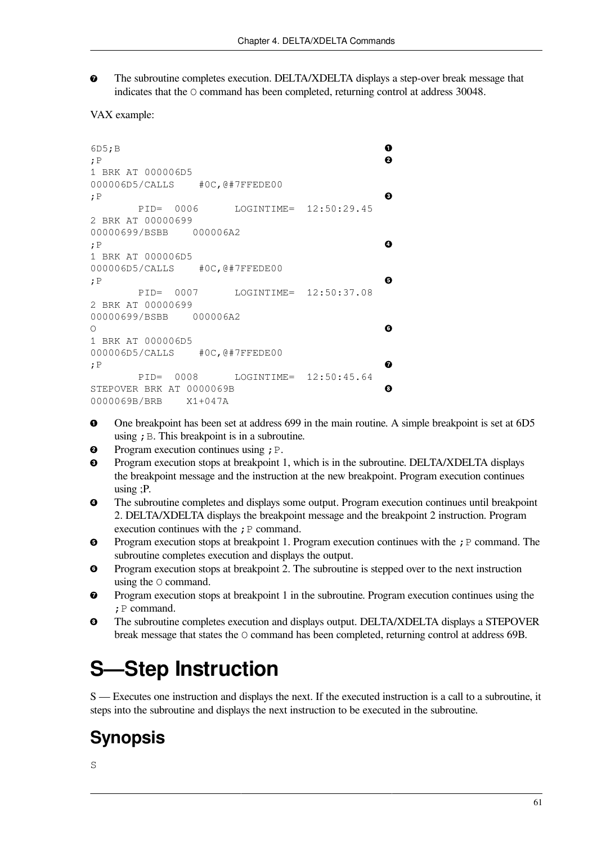The subroutine completes execution. DELTA/XDELTA displays a step-over break message that  $\bullet$ indicates that the O command has been completed, returning control at address 30048.

```
VAX example:
```

```
6D5;B 
                                                       \bullet\boldsymbol{e};P 
1 BRK AT 000006D5
000006D5/CALLS #0C,@#7FFEDE00 
                                                       \boldsymbol{\Theta};P 
         PID= 0006 LOGINTIME= 12:50:29.45
2 BRK AT 00000699
00000699/BSBB 000006A2 
;P 
                                                       \bullet1 BRK AT 000006D5
000006D5/CALLS #0C,@#7FFEDE00 
                                                       \bullet;P 
         PID= 0007 LOGINTIME= 12:50:37.08
2 BRK AT 00000699
00000699/BSBB 000006A2 
                                                       \bullet\bigcirc1 BRK AT 000006D5
000006D5/CALLS #0C,@#7FFEDE00 
                                                       \bullet;P 
         PID= 0008 LOGINTIME= 12:50:45.64
STEPOVER BRK AT 0000069B 
                                                       \bullet0000069B/BRB X1+047A
```
- One breakpoint has been set at address 699 in the main routine. A simple breakpoint is set at 6D5  $\bullet$ using  $;B$ . This breakpoint is in a subroutine.
- $\bullet$ Program execution continues using ; P.
- $\bullet$ Program execution stops at breakpoint 1, which is in the subroutine. DELTA/XDELTA displays the breakpoint message and the instruction at the new breakpoint. Program execution continues using ;P.
- The subroutine completes and displays some output. Program execution continues until breakpoint  $\bullet$ 2. DELTA/XDELTA displays the breakpoint message and the breakpoint 2 instruction. Program execution continues with the  $;P$  command.
- $\bullet$ Program execution stops at breakpoint 1. Program execution continues with the ; P command. The subroutine completes execution and displays the output.
- Program execution stops at breakpoint 2. The subroutine is stepped over to the next instruction  $\bullet$ using the O command.
- $\bullet$ Program execution stops at breakpoint 1 in the subroutine. Program execution continues using the ; P command.
- The subroutine completes execution and displays output. DELTA/XDELTA displays a STEPOVER  $\bullet$ break message that states the O command has been completed, returning control at address 69B.

# **S—Step Instruction**

S — Executes one instruction and displays the next. If the executed instruction is a call to a subroutine, it steps into the subroutine and displays the next instruction to be executed in the subroutine.

## **Synopsis**

S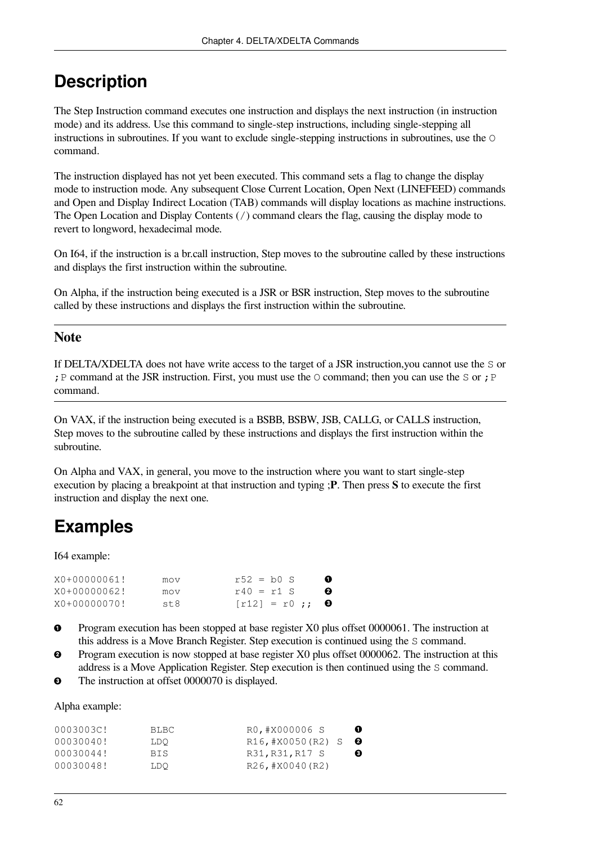The Step Instruction command executes one instruction and displays the next instruction (in instruction mode) and its address. Use this command to single-step instructions, including single-stepping all instructions in subroutines. If you want to exclude single-stepping instructions in subroutines, use the O command.

The instruction displayed has not yet been executed. This command sets a flag to change the display mode to instruction mode. Any subsequent Close Current Location, Open Next (LINEFEED) commands and Open and Display Indirect Location (TAB) commands will display locations as machine instructions. The Open Location and Display Contents (/) command clears the flag, causing the display mode to revert to longword, hexadecimal mode.

On I64, if the instruction is a br.call instruction, Step moves to the subroutine called by these instructions and displays the first instruction within the subroutine.

On Alpha, if the instruction being executed is a JSR or BSR instruction, Step moves to the subroutine called by these instructions and displays the first instruction within the subroutine.

#### **Note**

If DELTA/XDELTA does not have write access to the target of a JSR instruction,you cannot use the S or ; P command at the JSR instruction. First, you must use the  $\circ$  command; then you can use the  $\circ$  or ; P command.

On VAX, if the instruction being executed is a BSBB, BSBW, JSB, CALLG, or CALLS instruction, Step moves to the subroutine called by these instructions and displays the first instruction within the subroutine.

On Alpha and VAX, in general, you move to the instruction where you want to start single-step execution by placing a breakpoint at that instruction and typing ;**P**. Then press **S** to execute the first instruction and display the next one.

## **Examples**

I64 example:

| X0+00000061! | mov | $r52 = b0 S$  | o |
|--------------|-----|---------------|---|
| X0+00000062! | mov | $r40 = r1$ S  | ø |
| X0+00000070! | st8 | $[r12] = r0;$ |   |

- $\bullet$ Program execution has been stopped at base register X0 plus offset 0000061. The instruction at this address is a Move Branch Register. Step execution is continued using the S command.
- $\boldsymbol{e}$ Program execution is now stopped at base register X0 plus offset 0000062. The instruction at this address is a Move Application Register. Step execution is then continued using the S command.
- The instruction at offset 0000070 is displayed.  $\bullet$

Alpha example:

| 0003003C! | BLBC.      | $\bullet$<br>RO, #X000006 S |
|-----------|------------|-----------------------------|
| 00030040! | LDO        | R16,#X0050(R2) S<br>- 0     |
| 00030044! | <b>BTS</b> | ❸<br>R31, R31, R17 S        |
| 00030048! | LDO        | R26, #X0040 (R2)            |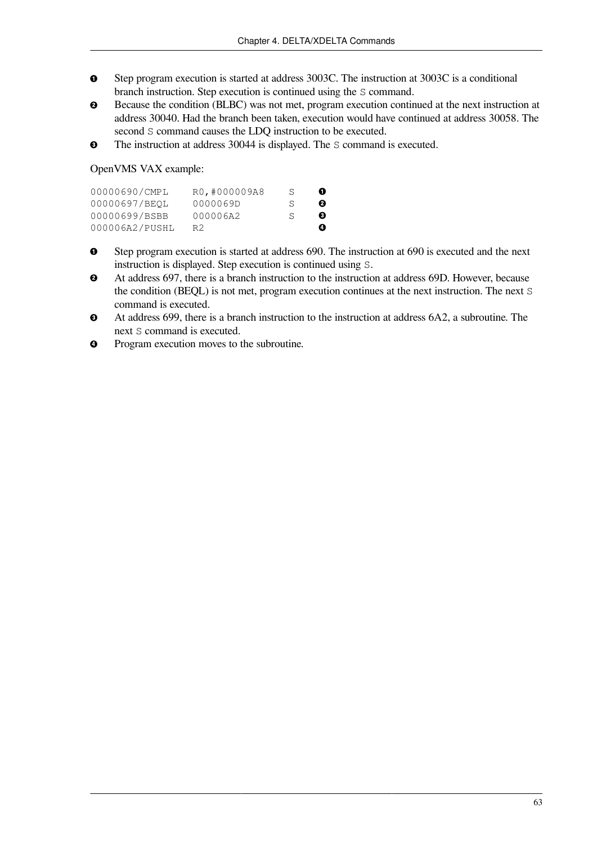- $\bullet$ Step program execution is started at address 3003C. The instruction at 3003C is a conditional branch instruction. Step execution is continued using the S command.
- $\bullet$ Because the condition (BLBC) was not met, program execution continued at the next instruction at address 30040. Had the branch been taken, execution would have continued at address 30058. The second S command causes the LDQ instruction to be executed.
- The instruction at address 30044 is displayed. The S command is executed.  $\bullet$

OpenVMS VAX example:

| 00000690/CMPL  | RO, #000009A8 | S      | o |
|----------------|---------------|--------|---|
| 00000697/BEOL  | 0000069D      | S.     | ø |
| 00000699/BSBB  | 000006A2      | $\leq$ | ❸ |
| 000006A2/PUSHL | R2            |        | ø |

- $\bullet$ Step program execution is started at address 690. The instruction at 690 is executed and the next instruction is displayed. Step execution is continued using S.
- At address 697, there is a branch instruction to the instruction at address 69D. However, because  $\bullet$ the condition (BEQL) is not met, program execution continues at the next instruction. The next S command is executed.
- At address 699, there is a branch instruction to the instruction at address 6A2, a subroutine. The  $\bullet$ next S command is executed.
- Program execution moves to the subroutine.  $\bullet$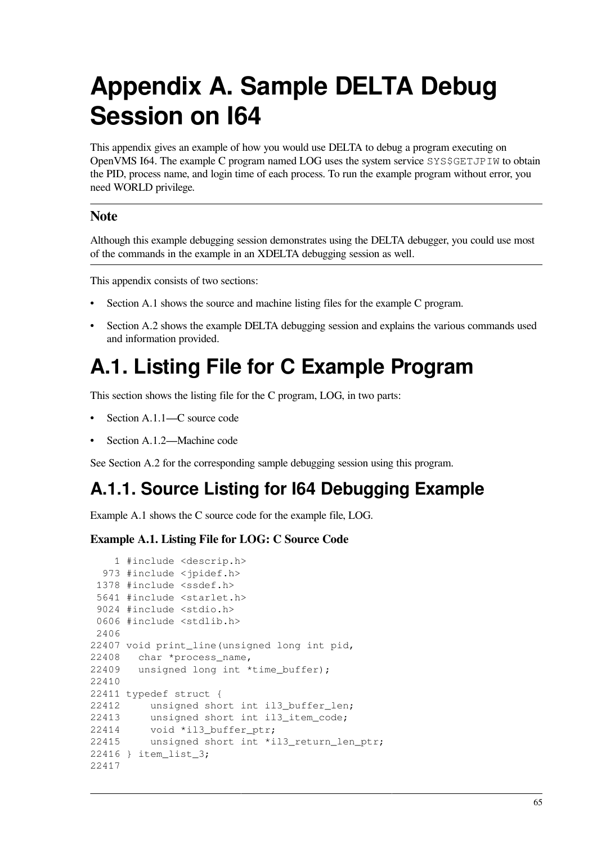# **Appendix A. Sample DELTA Debug Session on I64**

This appendix gives an example of how you would use DELTA to debug a program executing on OpenVMS I64. The example C program named LOG uses the system service SYS\$GETJPIW to obtain the PID, process name, and login time of each process. To run the example program without error, you need WORLD privilege.

#### **Note**

Although this example debugging session demonstrates using the DELTA debugger, you could use most of the commands in the example in an XDELTA debugging session as well.

This appendix consists of two sections:

- [Section](#page-70-0) A.1 shows the source and machine listing files for the example C program.
- [Section](#page-75-0) A.2 shows the example DELTA debugging session and explains the various commands used and information provided.

# <span id="page-70-0"></span>**A.1. Listing File for C Example Program**

This section shows the listing file for the C program, LOG, in two parts:

- [Section](#page-70-1) A.1.1—C source code
- [Section](#page-72-0) A.1.2—Machine code

See [Section](#page-75-0) A.2 for the corresponding sample debugging session using this program.

## <span id="page-70-1"></span>**A.1.1. Source Listing for I64 Debugging Example**

[Example](#page-70-2) A.1 shows the C source code for the example file, LOG.

#### <span id="page-70-2"></span>**Example A.1. Listing File for LOG: C Source Code**

```
 1 #include <descrip.h>
   973 #include <jpidef.h>
  1378 #include <ssdef.h>
  5641 #include <starlet.h>
  9024 #include <stdio.h>
  0606 #include <stdlib.h>
 2406
22407 void print_line(unsigned long int pid,
22408 char *process_name,
22409 unsigned long int *time_buffer);
22410
22411 typedef struct {
22412 unsigned short int il3_buffer_len;
22413 unsigned short int il3_item_code;
22414 void *il3_buffer_ptr;
22415 unsigned short int *il3_return_len_ptr;
22416 } item_list_3;
22417
```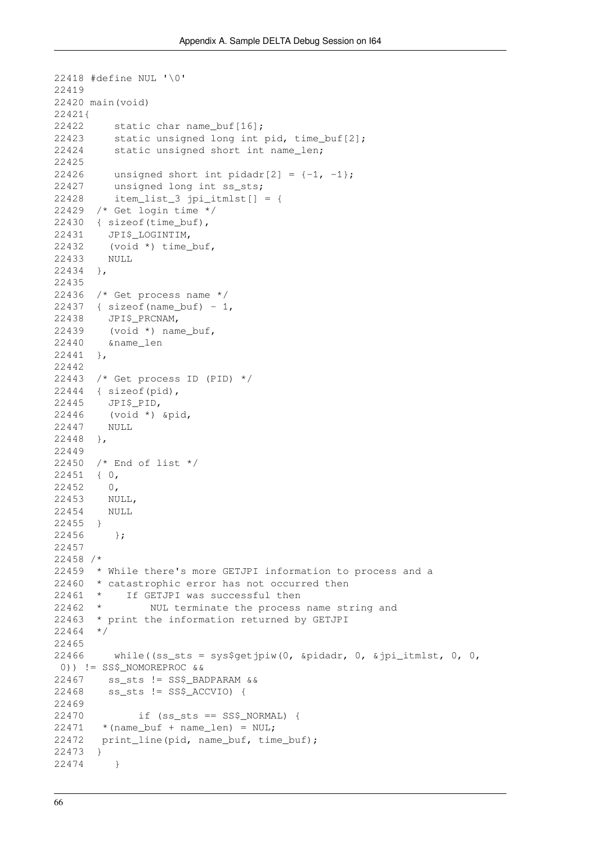```
22418 #define NUL '\0'
22419
22420 main(void)
22421{
22422 static char name_buf[16];
22423 static unsigned long int pid, time buf[2];
22424 static unsigned short int name_len;
22425
22426 unsigned short int pidadr[2] = \{-1, -1\};
22427 unsigned long int ss_sts;
22428 item_list_3 jpi_itmlst[] = {
22429 /* Get login time */
22430 { sizeof(time_buf),
22431 JPI$_LOGINTIM,
22432 (void *) time_buf,
22433 NULL
22434 },
22435
22436 /* Get process name */
22437 { sizeof(name buf) - 1,
22438 JPI$_PRCNAM,
22439 (void *) name_buf,
22440 &name_len
22441 },
22442
22443 /* Get process ID (PID) */
22444 { sizeof(pid),
22445 JPI$_PID,
22446 (void *) &pid,
22447 NULL
22448 },
22449
22450 /* End of list */
22451 { 0,
22452 0,
22453 NULL,
22454 NULL
22455 }
22456 };
22457
22458 /*
22459 * While there's more GETJPI information to process and a
22460 * catastrophic error has not occurred then<br>22461 * If GETJPI was successful then
22461 * If GETJPI was successful then<br>22462 * NUL terminate the process
               NUL terminate the process name string and
22463 * print the information returned by GETJPI
22464 */
22465
22466 while((ss sts = sys$getjpiw(0, &pidadr, 0, &jpi itmlst, 0, 0,
 0)) != SS$_NOMOREPROC &&
22467 ss_sts != SS$_BADPARAM &&
22468 ss_sts != SS$_ACCVIO) {
22469
22470 if (ss_sts == SS$_NORMAL) {
22471 * (name_buf + name_len) = NUL;
22472 print line(pid, name buf, time buf);
22473 }
22474 }
```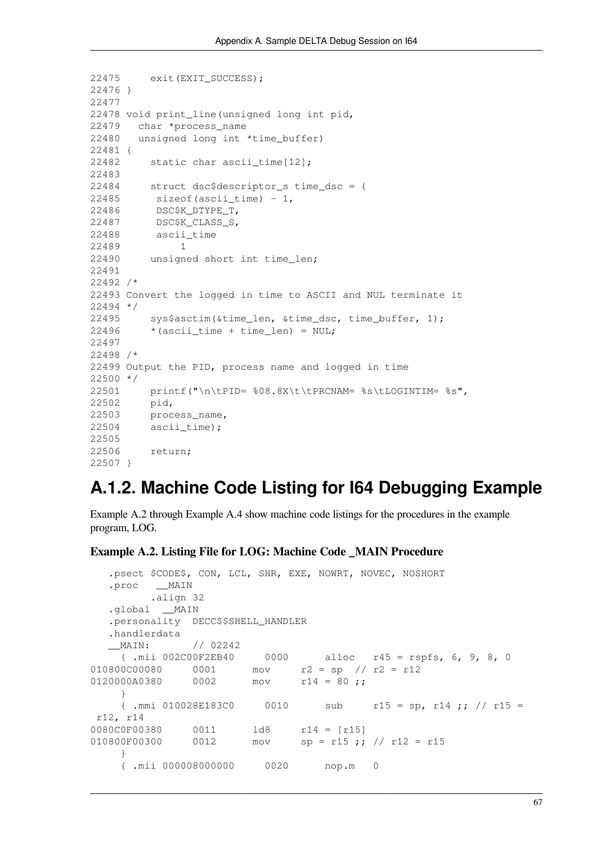```
22475 exit(EXIT_SUCCESS);
22476 }
22477
22478 void print_line(unsigned long int pid,
22479 char *process_name
22480 unsigned long int *time_buffer)
22481 {
22482 static char ascii_time[12];
22483
22484 struct dsc$descriptor_s time_dsc = {
22485 sizeof(ascii_time) - 1,
22486 DSC$K_DTYPE_T,
22487 DSC$K_CLASS_S,
22488 ascii_time
22489 1
22490 unsigned short int time_len;
22491
22492 /*
22493 Convert the logged in time to ASCII and NUL terminate it
22494 */
22495 sys$asctim(&time_len, &time_dsc, time_buffer, 1);
22496 * (ascii_time + time_len) = NUL;
22497
22498 /*
22499 Output the PID, process name and logged in time
22500 */
22501 printf("\n\tPID= %08.8X\t\tPRCNAM= %s\tLOGINTIM= %s",
22502 pid,
22503 process_name,
22504 ascii_time);
22505
22506 return;
22507 }
```
### **A.1.2. Machine Code Listing for I64 Debugging Example**

[Example](#page-72-0) A.2 through [Example](#page-74-0) A.4 show machine code listings for the procedures in the example program, LOG.

#### <span id="page-72-0"></span>**Example A.2. Listing File for LOG: Machine Code \_MAIN Procedure**

```
 .psect $CODE$, CON, LCL, SHR, EXE, NOWRT, NOVEC, NOSHORT
   .proc __MAIN
         .align 32
  .global MAIN
  .personality DECC$$SHELL HANDLER
   .handlerdata
   __MAIN: // 02242
     { .mii 002C00F2EB40 0000 alloc r45 = rspfs, 6, 9, 8, 0
010800C00080  0001  mov  r2 = sp  // r2 = r12
0120000A0380 0002 mov r14 = 80;
     }
    { .mmi 010028E183C0 0010 sub r15 = sp, r14 ;; // r15 =
 r12, r14
0080C0F00380  0011  1d8  r14 = [r15]
010800F00300 0012 mov sp = r15; // r12 = r15 }
     { .mii 000008000000 0020 nop.m 0
```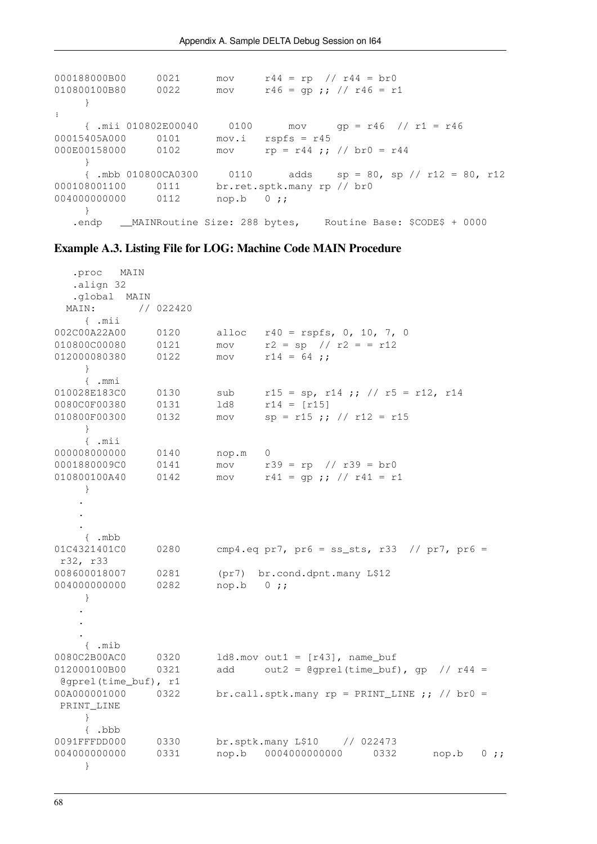```
000188000B00 0021 mov r44 = rp // r44 = br0<br>010800100B80 0022 mov r46 = qp ; // r46 = r2mov r46 = qp;; // r46 = r1 }
⋮
     { .mii 010802E00040 0100 mov gp = r46 // r1 = r46
00015405A000 0101 mov.i rspfs = r45
000E00158000 0102 mov rp = r44 ;; // br0 = r44
     }
     { .mbb 010800CA0300 0110 adds sp = 80, sp // r12 = 80, r12
000108001100 0111 br.ret.sptk.many rp // br0
004000000000 0112 nop.b 0;;
    }
  .endp __MAINRoutine Size: 288 bytes, Routine Base: $CODE$ + 0000
```
#### **Example A.3. Listing File for LOG: Machine Code MAIN Procedure**

| MAIN<br>.proc                             |           |       |                                                            |       |
|-------------------------------------------|-----------|-------|------------------------------------------------------------|-------|
| .align 32                                 |           |       |                                                            |       |
| .global<br>MAIN                           |           |       |                                                            |       |
| MAIN:                                     | // 022420 |       |                                                            |       |
| { .mii                                    |           |       |                                                            |       |
| 002C00A22A00                              | 0120      | alloc | $r40 = rspfs, 0, 10, 7, 0$                                 |       |
| 010800C00080                              | 0121      | mov   | $r2 = sp$ // $r2 = = r12$                                  |       |
| 012000080380                              | 0122      | mov   | $r14 = 64$ ;                                               |       |
| ł                                         |           |       |                                                            |       |
| $\{$ .mmi                                 |           |       |                                                            |       |
| 010028E183C0                              | 0130      | sub   | $r15 = sp, r14 ; // r5 = r12, r14$                         |       |
| 0080C0F00380                              | 0131      | ld8   | $r14 = [r15]$                                              |       |
| 010800F00300                              | 0132      | mov   | $sp = r15$ ;; // $r12 = r15$                               |       |
| }                                         |           |       |                                                            |       |
| $\{$ . $min$                              |           |       |                                                            |       |
| 000008000000                              | 0140      | nop.m | 0                                                          |       |
| 0001880009C0                              | 0141      | mov   | $r39 = rp$ // $r39 = br0$                                  |       |
| 010800100A40                              | 0142      | mov   | $r41 = gp ; // r41 = r1$                                   |       |
| $\}$                                      |           |       |                                                            |       |
|                                           |           |       |                                                            |       |
|                                           |           |       |                                                            |       |
|                                           |           |       |                                                            |       |
| $\{$ . mbb                                |           |       |                                                            |       |
| 01C4321401C0                              | 0280      |       | cmp4.eq pr7, pr6 = ss_sts, r33 // pr7, pr6 =               |       |
| r32, r33                                  |           |       |                                                            |       |
| 008600018007                              | 0281      | (pr7) | br.cond.dpnt.many L\$12                                    |       |
| 004000000000                              | 0282      | nop.b | $0$ ;;                                                     |       |
| $\}$                                      |           |       |                                                            |       |
|                                           |           |       |                                                            |       |
|                                           |           |       |                                                            |       |
|                                           |           |       |                                                            |       |
| $\{$ .mib                                 |           |       |                                                            |       |
| 0080C2B00AC0                              | 0320      |       | $1d8.mov out1 = [r43]$ , name_buf                          |       |
| 012000100B00                              | 0321      | add   | $out2 = \text{Qgprel}(\text{time\_buf}), gp$<br>// $r44 =$ |       |
| $\texttt{Qqprel}(\texttt{time\_buf}), r1$ |           |       |                                                            |       |
| 00A000001000                              | 0322      |       | br.call.sptk.many $rp = PRINT_LINE$ ; // $br0 =$           |       |
| PRINT_LINE                                |           |       |                                                            |       |
| $\mathcal{F}$                             |           |       |                                                            |       |
| $\{$ .bbb                                 |           |       |                                                            |       |
| 0091FFFDD000                              | 0330      |       | br.sptk.many L\$10<br>// 022473                            |       |
| 004000000000                              | 0331      | nop.b | 0004000000000<br>0332<br>nop.b                             | 0; j; |
| $\mathcal{F}$                             |           |       |                                                            |       |
|                                           |           |       |                                                            |       |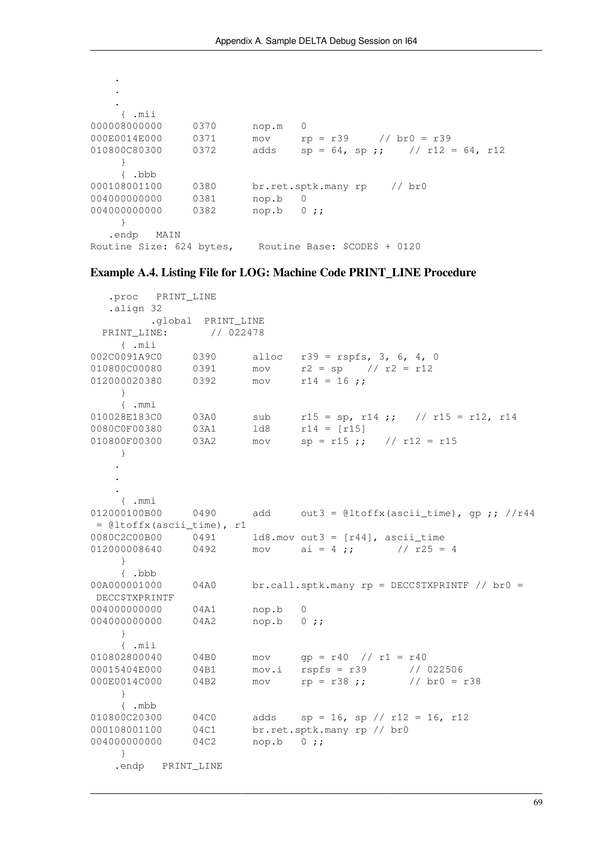. . { .mii 000008000000 0370 nop.m 0 000E0014E000 0371 mov rp = r39 // br0 = r39 010800C80300 0372 adds  $sp = 64$ ,  $sp$ ;; // r12 = 64, r12 } { .bbb 000108001100 0380 br.ret.sptk.many rp // br0 0040000000000 0381 nop.b 0 0040000000000 0382 nop.b 0;; } .endp MAIN Routine Size: 624 bytes, Routine Base: \$CODE\$ + 0120

.

#### <span id="page-74-0"></span>**Example A.4. Listing File for LOG: Machine Code PRINT\_LINE Procedure**

 .proc PRINT\_LINE .align 32 .global PRINT\_LINE PRINT\_LINE: // 022478 { .mii 002C0091A9C0 0390 alloc r39 = rspfs, 3, 6, 4, 0 010800C00080 0391 mov r2 = sp // r2 = r12  $012000020380$  0392 mov r14 = 16; } { .mmi  $r15 = sp, r14 ;;$  //  $r15 = r12, r14$ 0080C0F00380 03A1 ld8 r14 = [r15]  $010800F00300$   $03A2$  mov sp = r15 ;; // r12 = r15 } . . . { .mmi  $012000100B00$  0490 add out3 = @ltoffx(ascii\_time), gp;; //r44 = @ltoffx(ascii\_time), r1 0080C2C00B00 0491 ld8.mov out3 = [r44], ascii\_time 012000008640 0492 mov ai = 4 ;;  $\frac{1}{25} = 4$  } { .bbb 00A000001000 04A0 br.call.sptk.many rp = DECC\$TXPRINTF // br0 = DECC\$TXPRINTF 004000000000 04A1 nop.b 0 0040000000000 04A2 nop.b 0;; } { .mii 010802800040 04B0 mov qp = r40 // r1 = r40 00015404E000 04B1 mov.i rspfs = r39 // 022506 000E0014C000 04B2 mov rp = r38 ;; // br0 = r38 } { .mbb  $010800C20300$   $04C0$  adds  $sp = 16$ ,  $sp / r12 = 16$ ,  $r12$ 000108001100 04C1 br.ret.sptk.many rp // br0 004000000000 04C2 nop.b 0 ;; } .endp PRINT\_LINE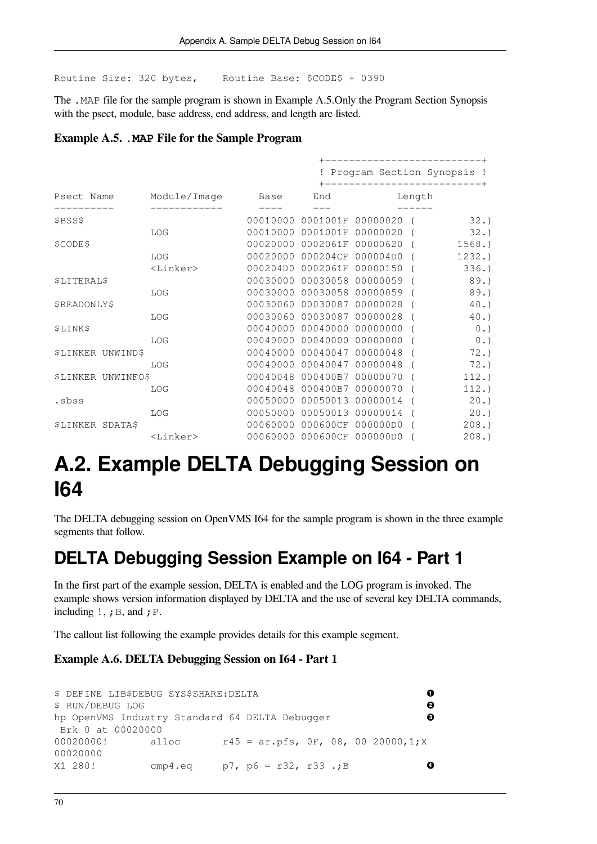Routine Size: 320 bytes, Routine Base: \$CODE\$ + 0390

The .MAP file for the sample program is shown in [Example](#page-75-0) A.5.Only the Program Section Synopsis with the psect, module, base address, end address, and length are listed.

<span id="page-75-0"></span>**Example A.5. .MAP File for the Sample Program**

|                                |             |          |                            | ------------------------+               |  |          |  |  |  |  |  |
|--------------------------------|-------------|----------|----------------------------|-----------------------------------------|--|----------|--|--|--|--|--|
|                                |             |          |                            | ! Program Section Synopsis !            |  |          |  |  |  |  |  |
| Psect Name Module/Image        |             | Base     | End                        | -----------------------------<br>Length |  |          |  |  |  |  |  |
| \$BSS\$                        |             |          |                            | 00010000 0001001F 00000020 (            |  | 32.      |  |  |  |  |  |
|                                | LOG         | 00010000 |                            | 0001001F 00000020 (                     |  | 32.      |  |  |  |  |  |
| \$CODE\$                       |             |          |                            | 00020000 0002061F 00000620 (            |  | 1568.    |  |  |  |  |  |
|                                | LOG         | 00020000 | 000204CF 000004D0          |                                         |  | 1232.    |  |  |  |  |  |
|                                | $<$ Linker> |          |                            | 000204D0 0002061F 00000150 (            |  | 336.     |  |  |  |  |  |
| <b>\$LITERAL\$</b>             |             | 00030000 |                            | 00030058 00000059 (                     |  | 89.      |  |  |  |  |  |
|                                | LOG         |          | 00030000 00030058 00000059 |                                         |  | 89.      |  |  |  |  |  |
| \$READONLY\$                   |             |          |                            | 00030060 00030087 00000028 (            |  | $40.$ )  |  |  |  |  |  |
|                                | LOG         |          | 00030060 00030087 00000028 |                                         |  | 40.      |  |  |  |  |  |
| \$LINK\$                       |             |          | 00040000 00040000 00000000 |                                         |  | 0.       |  |  |  |  |  |
|                                | LOG         |          | 00040000 00040000 00000000 |                                         |  | 0.       |  |  |  |  |  |
| <b><i>SLINKER UNWINDS</i></b>  |             |          | 00040000 00040047 00000048 |                                         |  | 72.      |  |  |  |  |  |
|                                | LOG         | 00040000 | 00040047 00000048          |                                         |  | 72.      |  |  |  |  |  |
| <b><i>SLINKER UNWINFOS</i></b> |             |          | 00040048 000400B7 00000070 |                                         |  | $112.$ ) |  |  |  |  |  |
|                                | LOG         |          | 00040048 000400B7 00000070 |                                         |  | 112.     |  |  |  |  |  |
| .sbss                          |             |          | 00050000 00050013 00000014 |                                         |  | 20.      |  |  |  |  |  |
|                                | LOG         |          | 00050000 00050013 00000014 |                                         |  | 20.)     |  |  |  |  |  |
| <b>\$LINKER SDATA\$</b>        |             |          | 00060000 000600CF 000000D0 |                                         |  | 208.     |  |  |  |  |  |
|                                | $<$ Linker> |          | 00060000 000600CF 000000D0 |                                         |  | 208.     |  |  |  |  |  |

## **A.2. Example DELTA Debugging Session on I64**

The DELTA debugging session on OpenVMS I64 for the sample program is shown in the three example segments that follow.

### **DELTA Debugging Session Example on I64 - Part 1**

In the first part of the example session, DELTA is enabled and the LOG program is invoked. The example shows version information displayed by DELTA and the use of several key DELTA commands, including  $!,$   $;$   $B$ , and  $;$   $P$ .

The callout list following the example provides details for this example segment.

#### **Example A.6. DELTA Debugging Session on I64 - Part 1**

```
$ DEFINE LIB$DEBUG SYS$SHARE:DELTA 
                                                                    \bullet$ RUN/DEBUG LOG 
                                                                    \boldsymbol{\Theta}hp OpenVMS Industry Standard 64 DELTA Debugger 
                                                                    \Omega Brk 0 at 00020000
00020000! alloc r45 = ar.pfs, 0F, 08, 00 20000,1;X
00020000
X1 280! cmp4.eq p7, p6 = r32, r33 .;B 
                                                                     \ddot{\mathbf{O}}
```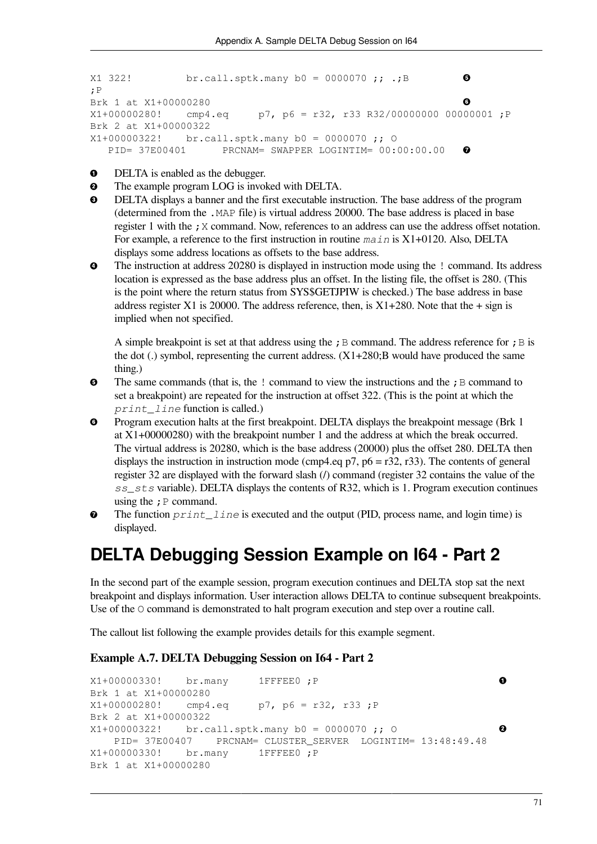```
X1 322! br.call.sptk.many b0 = 0000070 ;; .;B 
                                                                     \boldsymbol{\Theta};P
Brk 1 at X1+00000280 
                                                                     \ddot{\mathbf{G}}X1+00000280! cmp4.eq p7, p6 = r32, r33 R32/00000000 00000001;P
Brk 2 at X1+00000322
X1+00000322! br.call.sptk.many b0 = 0000070 ;; O
    PID= 37E00401 PRCNAM= SWAPPER LOGINTIM= 00:00:00.00 
                                                                     \ddot{\mathbf{o}}
```
- $\bullet$ DELTA is enabled as the debugger.
- The example program LOG is invoked with DELTA.  $\bullet$
- $\bullet$ DELTA displays a banner and the first executable instruction. The base address of the program (determined from the .MAP file) is virtual address 20000. The base address is placed in base register 1 with the ; X command. Now, references to an address can use the address offset notation. For example, a reference to the first instruction in routine *main* is X1+0120. Also, DELTA displays some address locations as offsets to the base address.
- $\bullet$ The instruction at address 20280 is displayed in instruction mode using the ! command. Its address location is expressed as the base address plus an offset. In the listing file, the offset is 280. (This is the point where the return status from SYS\$GETJPIW is checked.) The base address in base address register X1 is 20000. The address reference, then, is  $X1+280$ . Note that the + sign is implied when not specified.

A simple breakpoint is set at that address using the ; B command. The address reference for ; B is the dot (.) symbol, representing the current address.  $(X1+280;B)$  would have produced the same thing.)

- $\bullet$ The same commands (that is, the  $\,$ ! command to view the instructions and the  $\,$ ;  $\,$  B command to set a breakpoint) are repeated for the instruction at offset 322. (This is the point at which the *print\_line* function is called.)
- $\bullet$ Program execution halts at the first breakpoint. DELTA displays the breakpoint message (Brk 1 at X1+00000280) with the breakpoint number 1 and the address at which the break occurred. The virtual address is 20280, which is the base address (20000) plus the offset 280. DELTA then displays the instruction in instruction mode (cmp4.eq p7, p6 = r32, r33). The contents of general register 32 are displayed with the forward slash (/) command (register 32 contains the value of the *ss\_sts* variable). DELTA displays the contents of R32, which is 1. Program execution continues using the  $; P$  command.
- The function *print* line is executed and the output (PID, process name, and login time) is  $\bullet$ displayed.

### **DELTA Debugging Session Example on I64 - Part 2**

In the second part of the example session, program execution continues and DELTA stop sat the next breakpoint and displays information. User interaction allows DELTA to continue subsequent breakpoints. Use of the  $\circ$  command is demonstrated to halt program execution and step over a routine call.

The callout list following the example provides details for this example segment.

#### **Example A.7. DELTA Debugging Session on I64 - Part 2**

```
X1+00000330! br.many 1FFFEE0 ;P 
                                                                    \bulletBrk 1 at X1+00000280
X1+00000280! cmp4.eq p7, p6 = r32, r33; P
Brk 2 at X1+00000322
X1+00000322! br.call.sptk.many b0 = 0000070 ;; O 
                                                                    \boldsymbol{\Theta} PID= 37E00407 PRCNAM= CLUSTER_SERVER LOGINTIM= 13:48:49.48
X1+00000330! br.many 1FFFEE0 ;P
Brk 1 at X1+00000280
```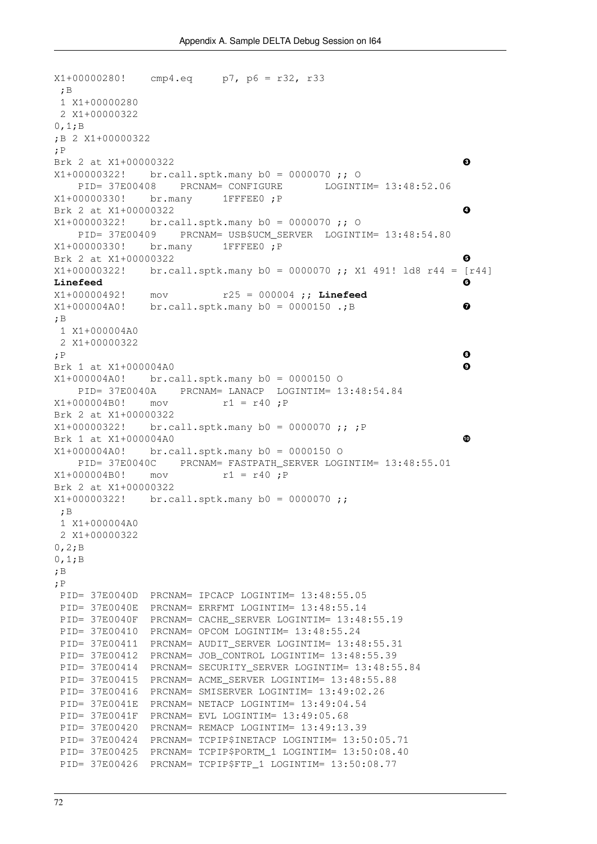```
X1+00000280! cmp4.eq p7, p6 = r32, r33
  ;B
  1 X1+00000280
  2 X1+00000322
0,1;B
;B 2 X1+00000322
;P
Brk 2 at X1+00000322 
                                                                    \bulletX1+00000322! br.call.sptk.many b0 = 0000070 ;; O
     PID= 37E00408 PRCNAM= CONFIGURE LOGINTIM= 13:48:52.06
X1+00000330! br.many 1FFFEE0 ;P
Brk 2 at X1+00000322 
                                                                    \bulletX1+00000322! br.call.sptk.many b0 = 0000070 ;; O
    PID= 37E00409 PRCNAM= USB$UCM_SERVER LOGINTIM= 13:48:54.80
X1+00000330! br.many 1FFFEE0 ;P
Brk 2 at X1+00000322 
                                                                    0
X1+00000322! br.call.sptk.many b0 = 0000070 ;; X1 491! ld8 r44 = [r44]
Linefeed 
                                                                    0
X1+00000492! mov r25 = 000004 ;; Linefeed
X1+000004A0! br.call.sptk.many b0 = 0000150 .;B 
                                                                    \bullet;B
 1 X1+000004A0
  2 X1+00000322
                                                                    \ddot{\mathbf{O}};P 
Brk 1 at X1+000004A0 
                                                                    \boldsymbol{\Theta}X1+000004A0! br.call.sptk.many b0 = 0000150 O
     PID= 37E0040A PRCNAM= LANACP LOGINTIM= 13:48:54.84
X1+000004B0! mov r1 = r40 ;P
Brk 2 at X1+00000322
X1+00000322! br.call.sptk.many b0 = 0000070 ;; ;P
Brk 1 at X1+000004A0 
                                                                    \PhiX1+000004A0! br.call.sptk.many b0 = 0000150 O
    PID= 37E0040C PRCNAM= FASTPATH_SERVER LOGINTIM= 13:48:55.01
X1+000004B0! mov r1 = r40 ;P
Brk 2 at X1+00000322
X1+00000322! br.call.sptk.many b0 = 0000070 ;;
 ;B
  1 X1+000004A0
 2 X1+00000322
0,2;B
0,1;B
;B
;P
 PID= 37E0040D PRCNAM= IPCACP LOGINTIM= 13:48:55.05
 PID= 37E0040E PRCNAM= ERRFMT LOGINTIM= 13:48:55.14
 PID= 37E0040F PRCNAM= CACHE_SERVER LOGINTIM= 13:48:55.19
 PID= 37E00410 PRCNAM= OPCOM LOGINTIM= 13:48:55.24
PID= 37E00411 PRCNAM= AUDIT SERVER LOGINTIM= 13:48:55.31
 PID= 37E00412 PRCNAM= JOB_CONTROL LOGINTIM= 13:48:55.39
PID= 37E00414 PRCNAM= SECURITY SERVER LOGINTIM= 13:48:55.84
 PID= 37E00415 PRCNAM= ACME_SERVER LOGINTIM= 13:48:55.88
 PID= 37E00416 PRCNAM= SMISERVER LOGINTIM= 13:49:02.26
 PID= 37E0041E PRCNAM= NETACP LOGINTIM= 13:49:04.54
 PID= 37E0041F PRCNAM= EVL LOGINTIM= 13:49:05.68
 PID= 37E00420 PRCNAM= REMACP LOGINTIM= 13:49:13.39
 PID= 37E00424 PRCNAM= TCPIP$INETACP LOGINTIM= 13:50:05.71
 PID= 37E00425 PRCNAM= TCPIP$PORTM_1 LOGINTIM= 13:50:08.40
PID= 37E00426 PRCNAM= TCPIP$FTP 1 LOGINTIM= 13:50:08.77
```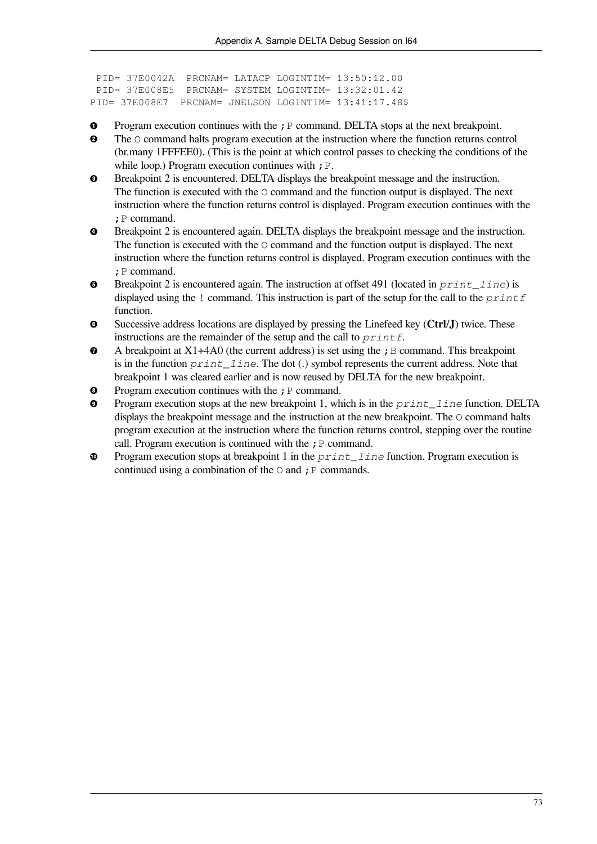```
 PID= 37E0042A PRCNAM= LATACP LOGINTIM= 13:50:12.00
  PID= 37E008E5 PRCNAM= SYSTEM LOGINTIM= 13:32:01.42
PID= 37E008E7 PRCNAM= JNELSON LOGINTIM= 13:41:17.48$
```
- $\bullet$ Program execution continues with the ; P command. DELTA stops at the next breakpoint.
- $\mathbf{a}$ The O command halts program execution at the instruction where the function returns control (br.many 1FFFEE0). (This is the point at which control passes to checking the conditions of the while loop.) Program execution continues with  $; P$ .
- Breakpoint 2 is encountered. DELTA displays the breakpoint message and the instruction.  $\bullet$ The function is executed with the O command and the function output is displayed. The next instruction where the function returns control is displayed. Program execution continues with the ;P command.
- Breakpoint 2 is encountered again. DELTA displays the breakpoint message and the instruction.  $\bullet$ The function is executed with the  $\circ$  command and the function output is displayed. The next instruction where the function returns control is displayed. Program execution continues with the ; P command.
- Breakpoint 2 is encountered again. The instruction at offset 491 (located in *print\_line*) is  $\bullet$ displayed using the ! command. This instruction is part of the setup for the call to the *printf* function.
- $\bullet$ Successive address locations are displayed by pressing the Linefeed key (**Ctrl**/**J**) twice. These instructions are the remainder of the setup and the call to *printf*.
- $\bullet$ A breakpoint at  $X1+4A0$  (the current address) is set using the ; B command. This breakpoint is in the function *print\_line*. The dot (.) symbol represents the current address. Note that breakpoint 1 was cleared earlier and is now reused by DELTA for the new breakpoint.
- Program execution continues with the  $;P$  command.  $\bullet$
- $\mathbf{o}$ Program execution stops at the new breakpoint 1, which is in the *print\_line* function. DELTA displays the breakpoint message and the instruction at the new breakpoint. The O command halts program execution at the instruction where the function returns control, stepping over the routine call. Program execution is continued with the  $; P$  command.
- Program execution stops at breakpoint 1 in the *print\_line* function. Program execution is  $\bf \Phi$ continued using a combination of the  $\circ$  and ; P commands.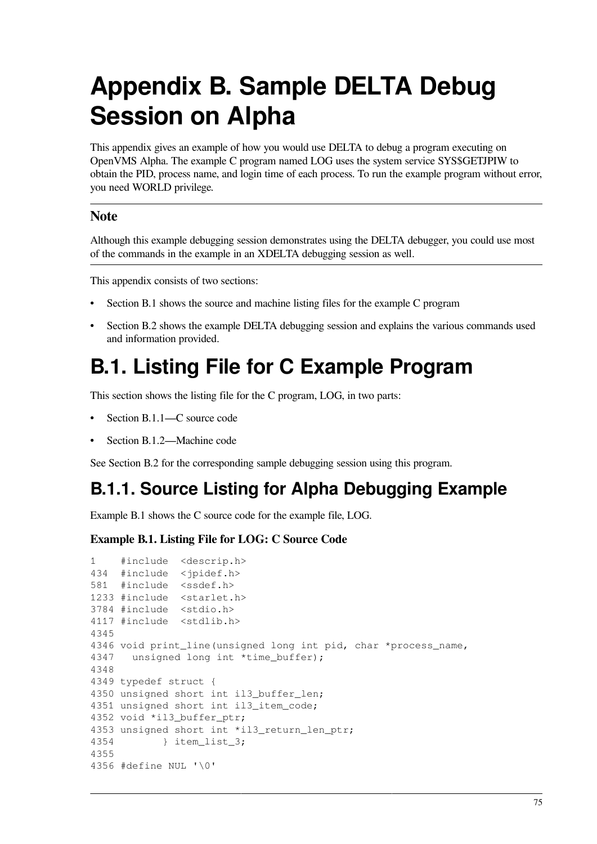# **Appendix B. Sample DELTA Debug Session on Alpha**

This appendix gives an example of how you would use DELTA to debug a program executing on OpenVMS Alpha. The example C program named LOG uses the system service SYS\$GETJPIW to obtain the PID, process name, and login time of each process. To run the example program without error, you need WORLD privilege.

#### **Note**

Although this example debugging session demonstrates using the DELTA debugger, you could use most of the commands in the example in an XDELTA debugging session as well.

This appendix consists of two sections:

- [Section](#page-80-0) B.1 shows the source and machine listing files for the example C program
- [Section](#page-86-0) B.2 shows the example DELTA debugging session and explains the various commands used and information provided.

## <span id="page-80-0"></span>**B.1. Listing File for C Example Program**

This section shows the listing file for the C program, LOG, in two parts:

- [Section](#page-80-1) B.1.1—C source code
- [Section](#page-82-0) B.1.2—Machine code

See [Section](#page-86-0) B.2 for the corresponding sample debugging session using this program.

### <span id="page-80-1"></span>**B.1.1. Source Listing for Alpha Debugging Example**

[Example](#page-80-2) B.1 shows the C source code for the example file, LOG.

#### <span id="page-80-2"></span>**Example B.1. Listing File for LOG: C Source Code**

```
1 #include <descrip.h>
434 #include <jpidef.h>
581 #include <ssdef.h>
1233 #include <starlet.h>
3784 #include <stdio.h>
4117 #include <stdlib.h>
4345
4346 void print_line(unsigned long int pid, char *process_name,
4347 unsigned long int *time_buffer);
4348
4349 typedef struct {
4350 unsigned short int il3_buffer_len;
4351 unsigned short int il3_item_code;
4352 void *il3_buffer_ptr;
4353 unsigned short int *il3_return_len_ptr;
4354 } item_list_3;
4355
4356 #define NUL '\0'
```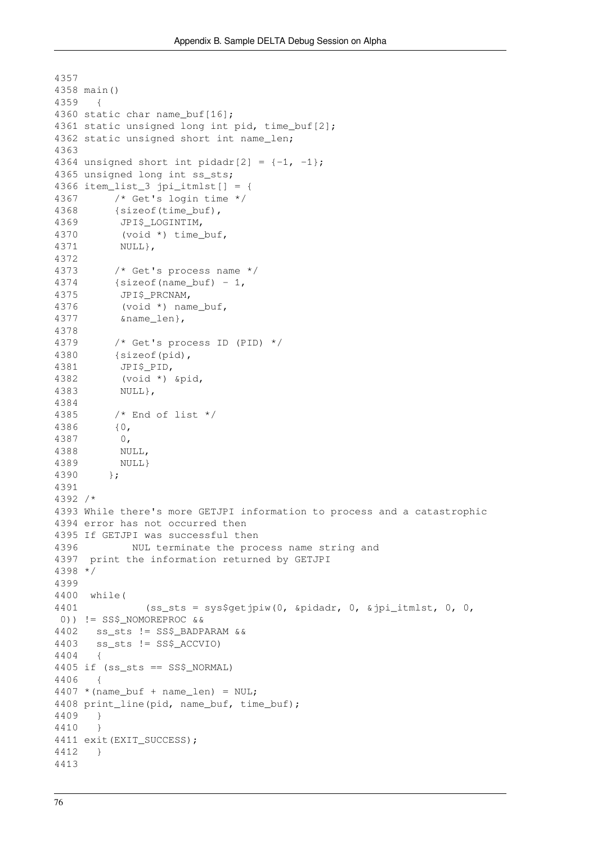```
4357
4358 main()
4359 {
4360 static char name_buf[16];
4361 static unsigned long int pid, time_buf[2];
4362 static unsigned short int name len;
4363
4364 unsigned short int pidadr[2] = \{-1, -1\};
4365 unsigned long int ss sts;
4366 item_list_3 jpi_itmlst[] = {
4367 /* Get's login time */
4368 {sizeof(time_buf),
4369 JPI$ LOGINTIM,
4370 (void *) time_buf,
4371 NULL},
4372
4373 /* Get's process name */
4374 {sizeof(name_buf) - 1,
4375 JPI$ PRCNAM,
4376 (void *) name buf,
4377 &name_len},
4378
4379 /* Get's process ID (PID) */
4380 {sizeof(pid),
4381 JPI$_PID,
4382 (void *) &pid,
4383 NULL},
4384
4385 /* End of list */
4386 {0,
4387 0,
4388 NULL,
4389 NULL}
4390 };
4391
4392 /*
4393 While there's more GETJPI information to process and a catastrophic
4394 error has not occurred then
4395 If GETJPI was successful then
4396 NUL terminate the process name string and
4397 print the information returned by GETJPI
4398 */
4399
4400 while(
4401 (ss sts = sys$qetjpiw(0, &pidadr, 0, &jpi itmlst, 0, 0,
 0)) != SS$_NOMOREPROC &&
4402 ss_sts != SS$_BADPARAM &&
4403 ss_sts != SS$_ACCVIO)
4404 {
4405 if (ss_sts == SS$_NORMAL)
4406 {
4407 * (name_buf + name_len) = NULL;4408 print line(pid, name buf, time buf);
4409 }
4410 }
4411 exit(EXIT SUCCESS);
4412 }
4413
```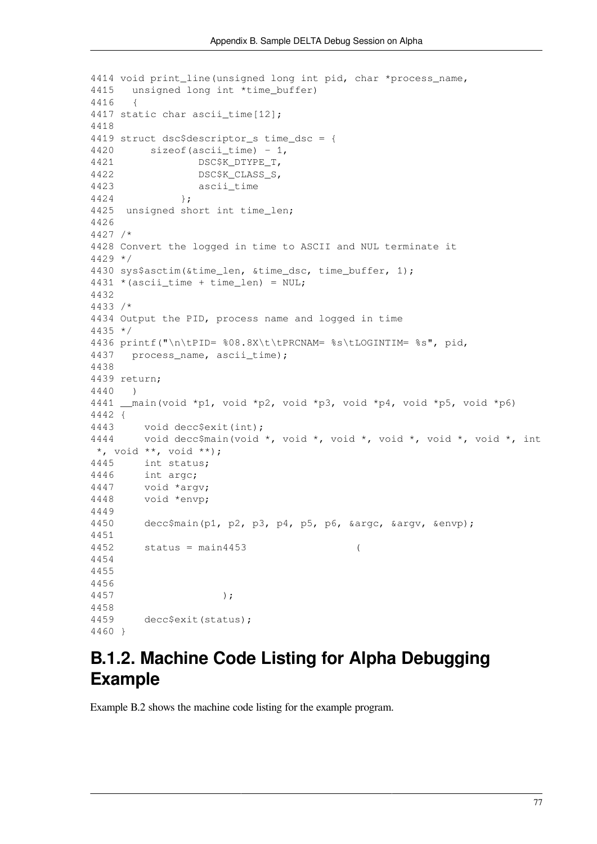```
4414 void print_line(unsigned long int pid, char *process_name,
4415 unsigned long int *time buffer)
4416 {
4417 static char ascii_time[12];
4418
4419 struct dsc$descriptor s time dsc = {
4420 sizeof(ascii time) - 1,
4421 DSC$K_DTYPE_T,
4422 DSC$K_CLASS_S,
4423 ascii_time
4424 };
4425 unsigned short int time_len;
4426
4427 /*
4428 Convert the logged in time to ASCII and NUL terminate it
4429 */
4430 sys$asctim(&time_len, &time_dsc, time_buffer, 1);
4431 * (ascii_time + time_length) = NULL;4432
4433 /*
4434 Output the PID, process name and logged in time
4435 */
4436 printf("\n\tPID= %08.8X\t\tPRCNAM= %s\tLOGINTIM= %s", pid,
4437 process_name, ascii_time);
4438
4439 return;
4440 )
4441 main(void *p1, void *p2, void *p3, void *p4, void *p5, void *p6)
4442 {
4443 void decc$exit(int);
4444 void decc$main(void *, void *, void *, void *, void *, void *, int
 *, void **, void **);
4445 int status;
4446 int argc;
4447 void *argv;
4448 void *envp;
4449
4450 decc$main(p1, p2, p3, p4, p5, p6, &argc, &argv, &envp);
4451
4452 status = main4453 (
4454
4455
4456
4457 );
4458
4459 decc$exit(status);
4460 }
```
### <span id="page-82-0"></span>**B.1.2. Machine Code Listing for Alpha Debugging Example**

[Example](#page-83-0) B.2 shows the machine code listing for the example program.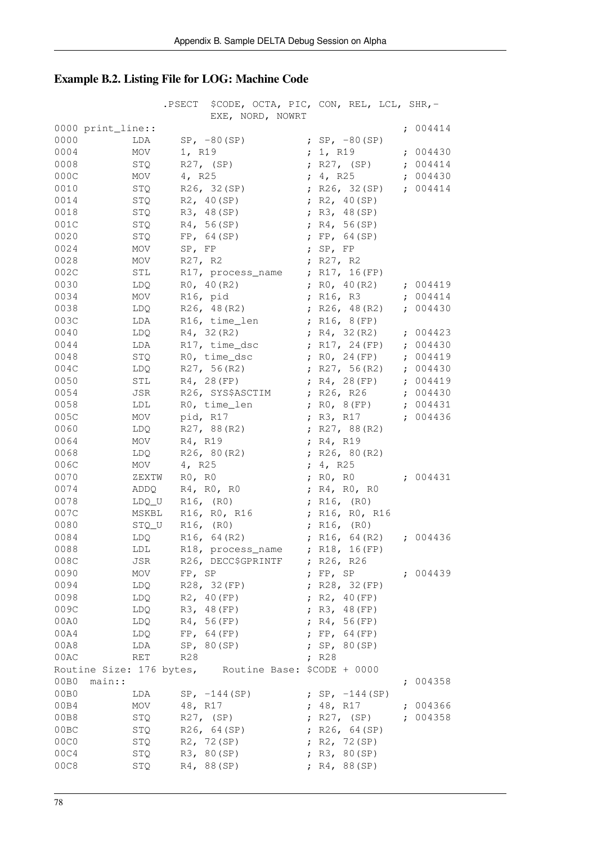### <span id="page-83-0"></span>**Example B.2. Listing File for LOG: Machine Code**

|              |                                                      | .PSECT   | \$CODE, OCTA, PIC, CON, REL, LCL, SHR,-<br>EXE, NORD, NOWRT |            |                  |                          |   |            |
|--------------|------------------------------------------------------|----------|-------------------------------------------------------------|------------|------------------|--------------------------|---|------------|
|              | 0000 print_line::                                    |          |                                                             |            |                  |                          |   | ; $004414$ |
| 0000         | LDA                                                  |          | $SP, -80(SP)$                                               |            |                  | ; $SP, -80(SP)$          |   |            |
| 0004         | MOV                                                  | 1, R19   |                                                             |            | ; 1, $R19$       |                          |   | : 004430   |
| 0008         | STQ                                                  |          | $R27$ , $(SP)$                                              |            |                  | ; R27, (SP)              |   | : 004414   |
| 000C         | MOV                                                  | 4, R25   |                                                             |            | ; 4, R25         |                          |   | : 004430   |
| 0010         | STQ                                                  |          | R26, 32(SP)                                                 |            |                  | ; $R26, 32(SP)$          |   | : 004414   |
| 0014         | STQ                                                  |          | R2, 40(SP)                                                  |            |                  | ; $R2, 40(SP)$           |   |            |
| 0018         | STQ                                                  |          | R3, 48(SP)                                                  |            |                  | ; R3, 48(SP)             |   |            |
| 001C         | STQ                                                  |          | R4, 56(SP)                                                  |            |                  | ; $R4, 56(SP)$           |   |            |
| 0020         | STQ                                                  |          | FP, 64(SP)                                                  |            |                  | ; $FP, 64(SP)$           |   |            |
| 0024         | MOV                                                  | SP, FP   |                                                             |            | ; $SP, FP$       |                          |   |            |
| 0028         | MOV                                                  | R27, R2  |                                                             |            | ; R27, R2        |                          |   |            |
| 002C         | $\mbox{STL}$                                         |          | R17, process_name                                           |            |                  | ; $R17, 16(FP)$          |   |            |
| 0030         | LDQ                                                  |          | R0, 40 (R2)                                                 |            |                  | ; $R0, 40 (R2)$          |   | : 004419   |
| 0034         | MOV                                                  | R16, pid |                                                             |            | ; R16, R3        |                          |   | : 004414   |
| 0038         | LDQ                                                  |          | R26, 48(R2)                                                 |            |                  | ; $R26, 48(R2)$          |   | : 004430   |
| 003C         | LDA                                                  |          | R16, time_len                                               |            |                  | ; $R16, 8(FP)$           |   |            |
| 0040         | LDQ                                                  |          | R4, 32(R2)                                                  |            |                  | ; $R4, 32(R2)$           |   | : 004423   |
| 0044         | LDA                                                  |          | R17, time_dsc                                               |            |                  | ; $R17, 24(FP)$          |   | : 004430   |
| 0048         | STQ                                                  |          | RO, time_dsc                                                |            |                  | ; RO, 24 (FP)            |   | : 004419   |
| 004C         | LDQ                                                  |          | R27, 56(R2)                                                 |            |                  | ; $R27, 56(R2)$          |   | : 004430   |
| 0050         | STL                                                  |          | R4, 28 (FP)                                                 |            |                  | ; $R4, 28(FP)$           |   | : 004419   |
| 0054         | JSR                                                  |          | R26, SYS\$ASCTIM                                            |            | ; R26, R26       |                          |   | : 004430   |
| 0058         | LDL                                                  |          | RO, time_len                                                |            | ; $R0, 8(FP)$    |                          |   | : 004431   |
| 005C         | MOV                                                  | pid, R17 |                                                             |            | ; R3, R17        |                          |   | : 004436   |
| 0060         | LDQ                                                  |          | R27, 88(R2)                                                 |            |                  | ; $R27, 88(R2)$          |   |            |
| 0064         | MOV                                                  | R4, R19  |                                                             |            | ; R4, R19        |                          |   |            |
| 0068         | LDQ                                                  |          | R26, 80(R2)                                                 |            |                  | ; $R26, 80(R2)$          |   |            |
| 006C         | MOV                                                  | 4, R25   |                                                             |            | ; $4, R25$       |                          |   |            |
| 0070         | ZEXTW                                                | R0, R0   |                                                             |            | ; RO, RO         |                          |   | : 004431   |
| 0074         | ADDQ                                                 |          | R4, R0, R0                                                  |            |                  | ; R4, R0, R0             |   |            |
| 0078         | LDQ_U                                                |          | R16, (R0)                                                   |            | ; $R16$ , $(R0)$ |                          |   |            |
| 007C         | MSKBL                                                |          | R16, R0, R16                                                |            |                  | ; R16, R0, R16           |   |            |
| 0080         | STQ U                                                |          | R16, (R0)                                                   |            | ; $R16$ , $(R0)$ |                          |   |            |
| 0084         | LDQ                                                  |          | R16, 64 (R2)                                                |            |                  | ; $R16, 64(R2)$          |   | : 004436   |
| 0088         | ${\tt LDL}$                                          |          | R18, process_name                                           |            |                  | ; $R18, 16(FP)$          |   |            |
| 008C         | JSR                                                  |          | R26, DECC\$GPRINTF                                          |            | ; R26, R26       |                          |   |            |
| 0090         | MOV                                                  | FP, SP   |                                                             |            | ; FP, SP         |                          |   | : 004439   |
| 0094         | LDQ                                                  |          | R28, 32 (FP)                                                |            |                  | ; R28, 32 (FP)           |   |            |
| 0098         | LDQ                                                  |          | R2, 40 (FP)                                                 | $\ddot{ }$ |                  | R2, 40 (FP)              |   |            |
| 009C         | LDQ                                                  |          | R3, 48 (FP)                                                 | $\ddot{ }$ |                  | R3, 48(FP)               |   |            |
| 00A0         | LDQ                                                  |          | R4, 56(FP)                                                  | ÷          |                  | R4, 56(FP)               |   |            |
| 00A4         | LDQ                                                  |          | FP, 64(FP)                                                  |            |                  | FP, 64(FP)               |   |            |
| 00A8         | LDA                                                  |          | SP, 80(SP)                                                  |            |                  | SP, 80(SP)               |   |            |
| 00AC         | RET                                                  | R28      |                                                             |            | ; R28            |                          |   |            |
|              | Routine Size: 176 bytes, Routine Base: \$CODE + 0000 |          |                                                             |            |                  |                          |   |            |
| 00B0         | main::                                               |          |                                                             |            |                  |                          | ÷ | 004358     |
| 00B0         | LDA                                                  |          | $SP, -144(SP)$                                              |            |                  | ; $SP, -144(SP)$         |   |            |
| 00B4         | MOV                                                  | 48, R17  |                                                             |            | ; 48, R17        |                          |   | : 004366   |
| 00B8         | STQ                                                  |          | $R27,$ (SP)                                                 |            | ; R27, (SP)      |                          |   | 004358     |
| 00BC         | STQ                                                  |          | R26, 64(SP)<br>R2, 72(SP)                                   |            |                  | R26, 64(SP)              |   |            |
| 00C0         | STQ                                                  |          | R3, 80(SP)                                                  |            |                  | R2, 72(SP)<br>R3, 80(SP) |   |            |
| 00C4<br>00C8 | STQ                                                  |          |                                                             |            |                  | R4, 88(SP)               |   |            |
|              | STQ                                                  |          | R4, 88(SP)                                                  |            |                  |                          |   |            |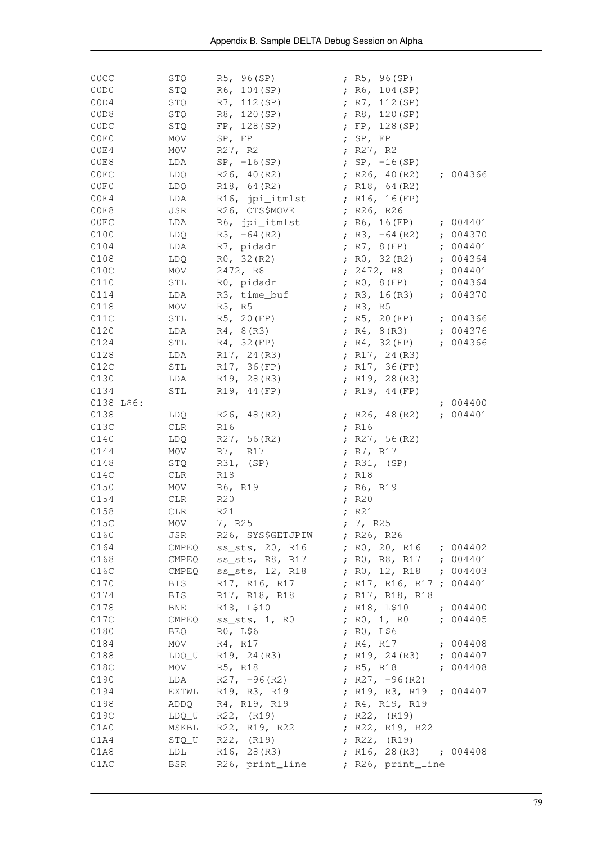| 00CC<br>00D0 | STQ        | R5, 96(SP)<br>$STQ$ R6, 104 (SP)       | ; $R5, 96(SP)$<br>; $R6, 104(SP)$         |          |
|--------------|------------|----------------------------------------|-------------------------------------------|----------|
| 00D4         | STQ        | R7, 112(SP)                            | ; $R7, 112(SP)$                           |          |
| 00D8<br>00DC | STQ        | R8, 120(SP)                            | ; $R8, 120(SP)$                           |          |
| 00E0         | STQ        | FP, 128(SP)                            | ; $FP, 128(SP)$                           |          |
| 00E4         | MOV        | SP, FP                                 | ; $SP, FP$                                |          |
| 00E8         | MOV        | R27, R2                                | ; $R27, R2$                               |          |
| 00EC         | LDA        | $SP, -16 (SP)$<br>R26, 40(R2)          | ; $SP, -16(SP)$<br>; R26, 40(R2) ; 004366 |          |
| 00F0         | LDQ        | $LDQ$ R18, 64(R2)                      | ; R18, $64(R2)$                           |          |
| 00F4         | LDA        | R16, jpi_itmlst                        | ; $R16, 16(FP)$                           |          |
| 00F8         | JSR        | R26, OTS\$MOVE                         | ; R26, R26                                |          |
| 00FC         |            | LDA R6, jpi_itmlst                     | ; R6, 16(FP) ; 004401                     |          |
| 0100         |            | LDQ $R3, -64 (R2)$                     | ; R3, $-64$ (R2) ; 004370                 |          |
| 0104         |            | LDA R7, pidadr                         | ; R7, 8 (FP) ; 004401                     |          |
| 0108         |            | $LDQ$ $R0, 32 (R2)$                    | ; RO, 32 (R2) ; 004364                    |          |
| 010C         | MOV        | 2472, R8                               | ; 2472, R8 ; 004401                       |          |
| 0110         | STL        | RO, pidadr                             | ; RO, 8(FP) ; 004364                      |          |
| 0114         | LDA        | R3, time_buf                           | ; R3, 16(R3) ; 004370                     |          |
| 0118         | MOV        | R3, R5                                 | ; $R3, R5$                                |          |
| 011C         | STL        | R5, 20 (FP)                            | ; R5, 20 (FP) ; 004366                    |          |
| 0120         |            | $LDA$ $R4, 8(R3)$                      | ; R4, 8(R3) ; 004376                      |          |
| 0124         |            | STL $R4, 32(FP)$                       | ; R4, 32 (FP) ; 004366                    |          |
| 0128         |            | LDA R17, 24 (R3)                       | ; $R17, 24(R3)$                           |          |
| 012C         |            | STL R17, 36 (FP)                       | ; $R17, 36(FP)$                           |          |
| 0130         |            | LDA R19, 28 (R3)                       | ; $R19, 28(R3)$                           |          |
| 0134         | STL        | R19, 44 (FP)                           | ; $R19, 44(FP)$                           |          |
| 0138 L\$6:   |            |                                        |                                           | : 004400 |
| 0138         | LDQ        | R26, 48(R2)                            | ; R26, 48(R2) ; 004401                    |          |
| 013C         | CLR        | R16                                    | ; $R16$                                   |          |
| 0140         | LDQ        | R27, 56(R2)                            | ; $R27, 56(R2)$                           |          |
| 0144         | MOV        | R7, R17                                | ; R7, R17                                 |          |
| 0148         | STQ        | R31, (SP)                              | ; $R31, (SP)$                             |          |
| 014C         | CLR        | R18                                    | ; R18                                     |          |
| 0150         | MOV        | R6, R19                                | ; R6, R19                                 |          |
| 0154         | CLR        | R20                                    | ; R20                                     |          |
| 0158         | CLR        | R21                                    | ; R21                                     |          |
| 015C         | MOV        | 7, R25                                 | ; 7, R25                                  |          |
| 0160         | JSR        | R26, SYS\$GETJPIW                      | ; $R26$ , $R26$                           |          |
| 0164         | CMPEQ      | ss_sts, 20, R16 ; R0, 20, R16 ; 004402 |                                           |          |
| 0168         | CMPEQ      | ss_sts, R8, R17                        | ; RO, R8, R17 ; 004401                    |          |
| 016C         | CMPEQ      | ss_sts, 12, R18 ; R0, 12, R18 ; 004403 |                                           |          |
| 0170         | <b>BIS</b> | R17, R16, R17                          | ; R17, R16, R17 ; 004401                  |          |
| 0174         | <b>BIS</b> | R17, R18, R18                          | ; R17, R18, R18                           |          |
| 0178         | <b>BNE</b> | R18, L\$10                             | ; R18, L\$10 ; 004400                     |          |
| 017C         |            | CMPEQ ss_sts, 1, RO                    | ; RO, 1, RO ; 004405                      |          |
| 0180         |            | BEQ RO, L\$6                           | ; RO, L\$6                                |          |
| 0184         |            | $MOV$ R4, R17                          | ; R4, R17 ; 004408                        |          |
| 0188         |            | LDQ_U R19, 24(R3)                      | ; R19, 24 (R3) ; 004407                   |          |
| 018C         | MOV        | R5, R18                                | ; R5, R18 ; 004408                        |          |
| 0190         | LDA        | $R27, -96(R2)$                         | ; $R27, -96(R2)$                          |          |
| 0194         |            | EXTWL R19, R3, R19                     | ; R19, R3, R19 ; 004407                   |          |
| 0198         |            | ADDQ R4, R19, R19                      | ; R4, R19, R19                            |          |
| 019C         |            | $LDQ_U$ R22, $(R19)$                   | ; $R22$ , $(R19)$                         |          |
| 01A0         |            | MSKBL R22, R19, R22                    | ; R22, R19, R22                           |          |
| 01A4         |            | $STQ_U$ R22, $(R19)$                   | ; $R22, (R19)$                            |          |
| 01A8         | LDL        | R16, 28(R3)                            | ; R16, 28(R3) ; 004408                    |          |
| 01AC         | <b>BSR</b> | R26, print_line                        | ; R26, print_line                         |          |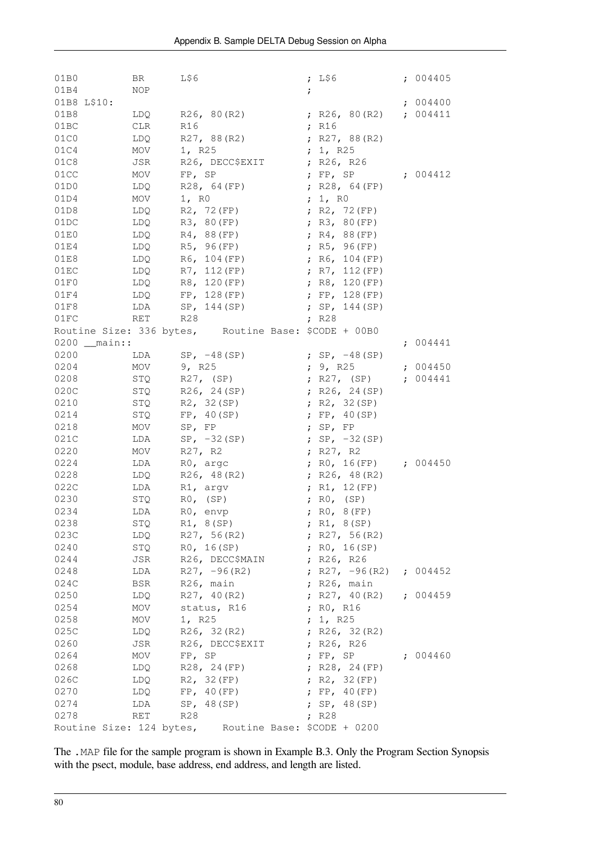| 01B0          | BR         | L\$6                                                 | ; $L$ \$6                 | : 004405 |
|---------------|------------|------------------------------------------------------|---------------------------|----------|
| 01B4          | NOP        |                                                      | $\ddot{ }$                |          |
| 01B8 L\$10:   |            |                                                      |                           | : 004400 |
| 01B8          |            | LDQ R26, 80(R2)                                      | ; R26, 80 (R2) ; 004411   |          |
| 01BC          | CLR        | R16                                                  | ; R16                     |          |
| 01C0          | LDQ        | R27, 88(R2)                                          | ; R27, 88(R2)             |          |
| 01C4          | MOV        | 1, R25                                               | ; 1, R25                  |          |
| 01C8          | JSR        | R26, DECC\$EXIT                                      | ; R26, R26                |          |
| 01CC          | MOV        | FP, SP                                               | ; $FP, SP$                | : 004412 |
| 01D0          | LDQ        | R28, 64 (FP)                                         | ; $R28, 64(FP)$           |          |
| 01D4          | MOV        | 1, RO                                                | ; 1, RO                   |          |
| 01D8          | LDQ        | R2, 72 (FP)                                          | ; R2, 72(FP)              |          |
| 01DC          | LDQ        | R3, 80 (FP)                                          | ; $R3, 80(FP)$            |          |
| 01E0          | LDQ        | R4, 88(FP)                                           | ; $R4, 88(FP)$            |          |
| 01E4          | LDQ        | R5, 96(FP)                                           | ; $R5, 96(FP)$            |          |
| 01E8          | LDQ        | R6, 104 (FP)                                         | ; $R6, 104(FP)$           |          |
| 01EC          | LDQ        | R7, 112 (FP)                                         | ; $R7, 112(FP)$           |          |
| 01F0          | LDQ        | R8, 120 (FP)                                         | ; $R8, 120(FP)$           |          |
| 01F4          |            | $LDQ$ FP, 128(FP)                                    | ; $FP, 128(FP)$           |          |
| 01F8          |            | LDA $SP, 144(SP)$                                    | ; $SP, 144(SP)$           |          |
| 01FC          | RET R28    |                                                      | ; $R28$                   |          |
|               |            | Routine Size: 336 bytes, Routine Base: \$CODE + 00B0 |                           |          |
| $0200$ main:: |            |                                                      |                           | ; 004441 |
| 0200          |            | LDA $SP, -48(SP)$                                    | ; $SP, -48(SP)$           |          |
| 0204          | MOV 9, R25 |                                                      | ; $9$ , R25               | : 004450 |
| 0208          | STQ        | R27, (SP)                                            | ; R27, (SP) ; 004441      |          |
| 020C          | STQ        | R26, 24(SP)                                          | ; $R26, 24(SP)$           |          |
| 0210          | STQ        | R2, 32(SP)                                           | ; $R2, 32(SP)$            |          |
| 0214          | STQ        | FP, 40(SP)                                           | ; $FP, 40(SP)$            |          |
| 0218          | MOV        | SP, FP                                               | ; $SP, FP$                |          |
| 021C          | LDA        | $SP, -32(SP)$                                        | ; $SP, -32(SP)$           |          |
| 0220          | MOV        | R27, R2                                              | ; $R27, R2$               |          |
| 0224          | LDA        | RO, argc                                             | ; RO, 16 (FP) ; 004450    |          |
| 0228          | LDQ        | R26, 48(R2)                                          | ; $R26, 48(R2)$           |          |
| 022C          | LDA        | R1, argv                                             | ; $R1, 12(FP)$            |          |
| 0230          | STQ        | $R0$ , $(SP)$                                        | ; $RO$ , $(SP)$           |          |
| 0234          | LDA        | $R0$ , envp                                          | R0, 8(FP)<br>$\ddot{ }$   |          |
| 0238          | STQ        | R1, 8(SP)                                            | ; $R1, 8(SP)$             |          |
| 023C          | LDQ        | R27, 56(R2)                                          | ; $R27, 56(R2)$           |          |
| 0240          | STQ        | RO, 16(SP)                                           | ; $R0, 16(SP)$            |          |
| 0244          | JSR        | R26, DECC\$MAIN                                      | ; $R26, R26$              |          |
| 0248          | LDA        | $R27, -96(R2)$                                       | ; R27, $-96(R2)$ ; 004452 |          |
| 024C          | BSR        | R26, main                                            | ; $R26$ , main            |          |
| 0250          | LDQ        | R27, 40(R2)                                          | ; $R27, 40(R2)$           | : 004459 |
| 0254          | MOV        | status, R16                                          | ; RO, R16                 |          |
| 0258          | MOV        | 1, R25                                               | ; 1, R25                  |          |
| 025C          | LDQ        | R26, 32(R2)                                          | ; R26, $32(R2)$           |          |
| 0260          | JSR        | R26, DECC\$EXIT                                      | ; R26, R26                |          |
| 0264          | MOV        | FP, SP                                               | ; $FP, SP$                | : 004460 |
| 0268          | LDQ        | R28, 24 (FP)                                         | ; $R28, 24(FP)$           |          |
| 026C          | LDQ        | R2, 32 (FP)                                          | R2, 32 (FP)<br>$\ddot{r}$ |          |
| 0270          | LDQ        | FP, 40 (FP)                                          | FP, 40(FP)<br>$\ddot{ }$  |          |
| 0274          | LDA        | SP, 48(SP)                                           | ; $SP, 48(SP)$            |          |
| 0278          | RET        | R28                                                  | R28<br>$\ddot{r}$         |          |
|               |            | Routine Size: 124 bytes, Routine Base: \$CODE + 0200 |                           |          |

The .MAP file for the sample program is shown in [Example](#page-86-1) B.3. Only the Program Section Synopsis with the psect, module, base address, end address, and length are listed.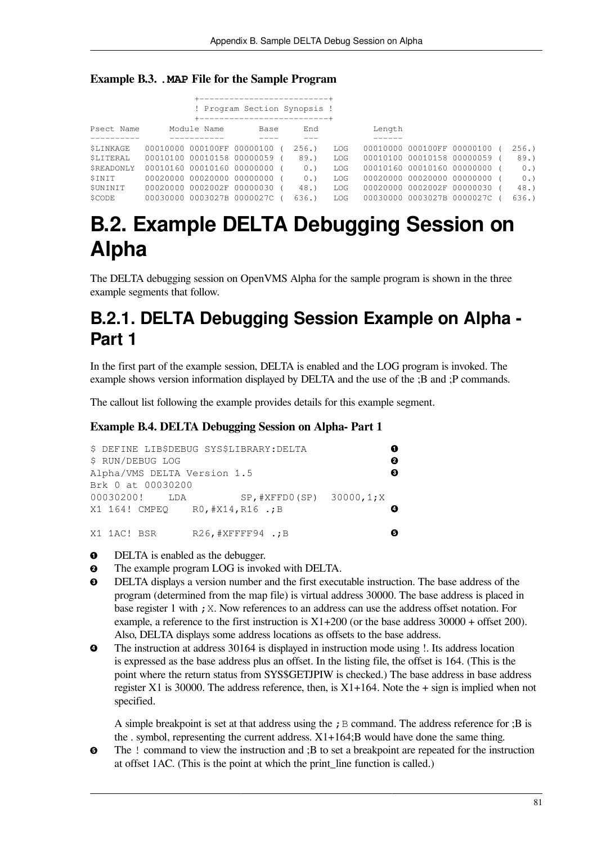<span id="page-86-1"></span>

| <b>Example B.3. . MAP File for the Sample Program</b> |  |  |  |  |  |  |
|-------------------------------------------------------|--|--|--|--|--|--|
|-------------------------------------------------------|--|--|--|--|--|--|

| ! Program Section Synopsis ! |                              |                            |      |  |      |     |        |  |                              |  |      |
|------------------------------|------------------------------|----------------------------|------|--|------|-----|--------|--|------------------------------|--|------|
|                              | +--------------------------- |                            |      |  |      |     |        |  |                              |  |      |
| Psect Name                   |                              | Module Name                | Base |  | End  |     | Length |  |                              |  |      |
|                              |                              |                            |      |  |      |     |        |  |                              |  |      |
| SLINKAGE                     |                              | 00010000 000100FF 00000100 |      |  | 256. | LOG |        |  | 00010000 000100FF 00000100 ( |  | 256. |
| SLITERAL                     |                              | 00010100 00010158 00000059 |      |  | 89.  | LOG |        |  | 00010100 00010158 00000059 ( |  | 89.  |
| SREADONLY                    |                              | 00010160 00010160 00000000 |      |  | 0.   | LOG |        |  | 00010160 00010160 00000000 ( |  | 0.   |
| SINIT                        |                              | 00020000 00020000 00000000 |      |  | 0.   | LOG |        |  | 00020000 00020000 00000000 ( |  | 0.   |
| SUNINIT                      |                              | 00020000 0002002F 00000030 |      |  | 48.  | LOG |        |  | 00020000 0002002F 00000030 ( |  | 48.) |
| SCODE                        |                              | 00030000 0003027B 0000027C |      |  | 636. | LOG |        |  | 00030000 0003027B 0000027C ( |  | 636. |

## <span id="page-86-0"></span>**B.2. Example DELTA Debugging Session on Alpha**

The DELTA debugging session on OpenVMS Alpha for the sample program is shown in the three example segments that follow.

### **B.2.1. DELTA Debugging Session Example on Alpha - Part 1**

In the first part of the example session, DELTA is enabled and the LOG program is invoked. The example shows version information displayed by DELTA and the use of the ;B and ;P commands.

The callout list following the example provides details for this example segment.

#### **Example B.4. DELTA Debugging Session on Alpha- Part 1**

```
\bullet$ DEFINE LIB$DEBUG SYS$LIBRARY:DELTA 
                                                             \boldsymbol{e}$ RUN/DEBUG LOG 
                                                             \boldsymbol{\Theta}Alpha/VMS DELTA Version 1.5 
Brk 0 at 00030200
00030200! LDA SP, #XFFD0(SP) 30000, 1; X
X1 164! CMPEQ R0,#X14,R16 .;B 
                                                             \bulletX1 1AC! BSR R26, #XFFFF94 .; B
                                                             \ddot{\mathbf{e}}
```
- $\bullet$ DELTA is enabled as the debugger.
- The example program LOG is invoked with DELTA.  $\bullet$
- $\mathbf{e}$ DELTA displays a version number and the first executable instruction. The base address of the program (determined from the map file) is virtual address 30000. The base address is placed in base register 1 with ; X. Now references to an address can use the address offset notation. For example, a reference to the first instruction is  $X1+200$  (or the base address 30000 + offset 200). Also, DELTA displays some address locations as offsets to the base address.
- $\bullet$ The instruction at address 30164 is displayed in instruction mode using !. Its address location is expressed as the base address plus an offset. In the listing file, the offset is 164. (This is the point where the return status from SYS\$GETJPIW is checked.) The base address in base address register X1 is 30000. The address reference, then, is  $X1+164$ . Note the  $+$  sign is implied when not specified.

A simple breakpoint is set at that address using the  $;B$  command. The address reference for  $;B$  is the . symbol, representing the current address.  $X1+164$ ; B would have done the same thing.

The ! command to view the instruction and ;B to set a breakpoint are repeated for the instruction  $\bullet$ at offset 1AC. (This is the point at which the print\_line function is called.)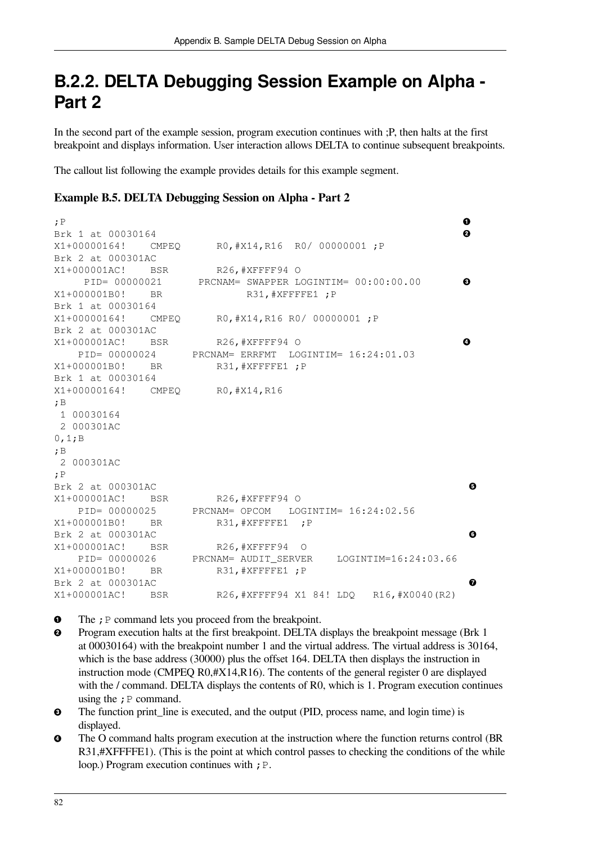### **B.2.2. DELTA Debugging Session Example on Alpha - Part 2**

In the second part of the example session, program execution continues with ;P, then halts at the first breakpoint and displays information. User interaction allows DELTA to continue subsequent breakpoints.

The callout list following the example provides details for this example segment.

#### **Example B.5. DELTA Debugging Session on Alpha - Part 2**

;P  $\bullet$ Brk 1 at 00030164  $\boldsymbol{e}$ X1+00000164! CMPEQ R0,#X14,R16 R0/ 00000001 ;P Brk 2 at 000301AC X1+000001AC! BSR R26,#XFFFF94 O PID= 00000021 PRCNAM= SWAPPER LOGINTIM= 00:00:00.00  $\mathbf{\Theta}$ X1+000001B0! BR R31, #XFFFFE1 :P Brk 1 at 00030164 X1+00000164! CMPEQ R0,#X14,R16 R0/ 00000001 ;P Brk 2 at 000301AC  $\bullet$ X1+000001AC! BSR R26, #XFFFF94 O PID= 00000024 PRCNAM= ERRFMT LOGINTIM= 16:24:01.03 X1+000001B0! BR R31, #XFFFFE1 ; P Brk 1 at 00030164 X1+00000164! CMPEQ R0,#X14,R16 ;B 1 00030164 2 000301AC 0,1;B ;B 2 000301AC ;P Brk 2 at 000301AC  $\ddot{\mathbf{e}}$ X1+000001AC! BSR R26, #XFFFF94 O PID= 00000025 PRCNAM= OPCOM LOGINTIM= 16:24:02.56 X1+000001B0! BR R31,#XFFFFE1 ;P  $\ddot{\mathbf{Q}}$ Brk 2 at 000301AC X1+000001AC! BSR R26, #XFFFF94 O PID= 00000026 PRCNAM= AUDIT SERVER LOGINTIM=16:24:03.66 X1+000001B0! BR R31, #XFFFFE1 ; P Brk 2 at 000301AC  $\bullet$ X1+000001AC! BSR R26,#XFFFF94 X1 84! LDQ R16,#X0040(R2)

- The  $;P$  command lets you proceed from the breakpoint.  $\bullet$
- Program execution halts at the first breakpoint. DELTA displays the breakpoint message (Brk 1  $\boldsymbol{e}$ at 00030164) with the breakpoint number 1 and the virtual address. The virtual address is 30164, which is the base address (30000) plus the offset 164. DELTA then displays the instruction in instruction mode (CMPEQ R0,#X14,R16). The contents of the general register 0 are displayed with the / command. DELTA displays the contents of R0, which is 1. Program execution continues using the  $; P$  command.
- $\bullet$ The function print\_line is executed, and the output (PID, process name, and login time) is displayed.
- $\bullet$ The O command halts program execution at the instruction where the function returns control (BR R31,#XFFFFE1). (This is the point at which control passes to checking the conditions of the while loop.) Program execution continues with ; P.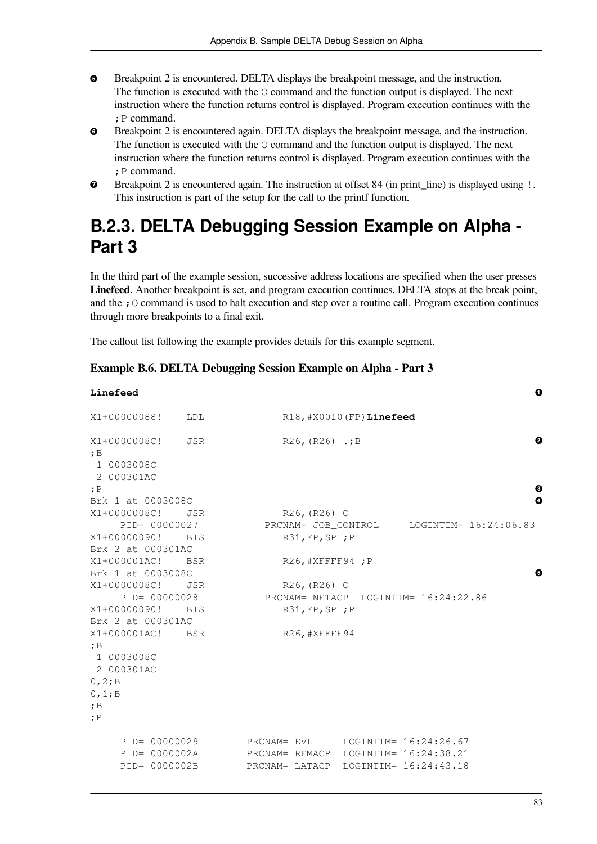- $\bullet$ Breakpoint 2 is encountered. DELTA displays the breakpoint message, and the instruction. The function is executed with the O command and the function output is displayed. The next instruction where the function returns control is displayed. Program execution continues with the ;P command.
- Breakpoint 2 is encountered again. DELTA displays the breakpoint message, and the instruction.  $\bullet$ The function is executed with the O command and the function output is displayed. The next instruction where the function returns control is displayed. Program execution continues with the ;P command.
- Breakpoint 2 is encountered again. The instruction at offset 84 (in print\_line) is displayed using !.  $\bullet$ This instruction is part of the setup for the call to the printf function.

### **B.2.3. DELTA Debugging Session Example on Alpha - Part 3**

In the third part of the example session, successive address locations are specified when the user presses **Linefeed**. Another breakpoint is set, and program execution continues. DELTA stops at the break point, and the  $\chi$  command is used to halt execution and step over a routine call. Program execution continues through more breakpoints to a final exit.

The callout list following the example provides details for this example segment.

#### **Example B.6. DELTA Debugging Session Example on Alpha - Part 3**

| Linefeed                                                                              |     |                                                 |                      |                           |                                                                         | 0      |
|---------------------------------------------------------------------------------------|-----|-------------------------------------------------|----------------------|---------------------------|-------------------------------------------------------------------------|--------|
| X1+00000088!                                                                          | LDL |                                                 |                      | R18, #X0010 (FP) Linefeed |                                                                         |        |
| X1+0000008C!<br>;B<br>1 0003008C<br>2 000301AC<br>; P                                 | JSR |                                                 | $R26$ , $(R26)$ .; B |                           |                                                                         | ø<br>€ |
| Brk 1 at 0003008C                                                                     |     |                                                 |                      |                           |                                                                         | Ø      |
| X1+0000008C!                                                                          | JSR |                                                 | $R26, (R26)$ O       |                           |                                                                         |        |
| PID= 00000027                                                                         |     |                                                 |                      |                           | PRCNAM= JOB CONTROL LOGINTIM= 16:24:06.83                               |        |
| X1+00000090! BIS<br>Brk 2 at 000301AC                                                 |     |                                                 | $R31, FP, SP$ ; $P$  |                           |                                                                         |        |
| X1+000001AC! BSR                                                                      |     |                                                 | R26, #XFFFF94; P     |                           |                                                                         |        |
| Brk 1 at 0003008C                                                                     |     |                                                 |                      |                           |                                                                         | Θ      |
| X1+0000008C!                                                                          | JSR |                                                 | $R26, (R26)$ O       |                           |                                                                         |        |
| PID= 00000028                                                                         |     |                                                 |                      |                           | PRCNAM= NETACP LOGINTIM= 16:24:22.86                                    |        |
| X1+00000090! BIS                                                                      |     |                                                 | $R31, FP, SP$ ; P    |                           |                                                                         |        |
| Brk 2 at 000301AC                                                                     |     |                                                 |                      |                           |                                                                         |        |
| X1+000001AC! BSR<br>;B<br>1 0003008C<br>2 000301AC<br>0, 2; B<br>0, 1; B<br>;B<br>; P |     |                                                 | R26, #XFFFF94        |                           |                                                                         |        |
| PID= 00000029<br>PID= 0000002A<br>PID= 0000002B                                       |     | PRCNAM= EVL<br>PRCNAM= REMACP<br>PRCNAM= LATACP |                      |                           | LOGINTIM= 16:24:26.67<br>LOGINTIM= 16:24:38.21<br>LOGINTIM= 16:24:43.18 |        |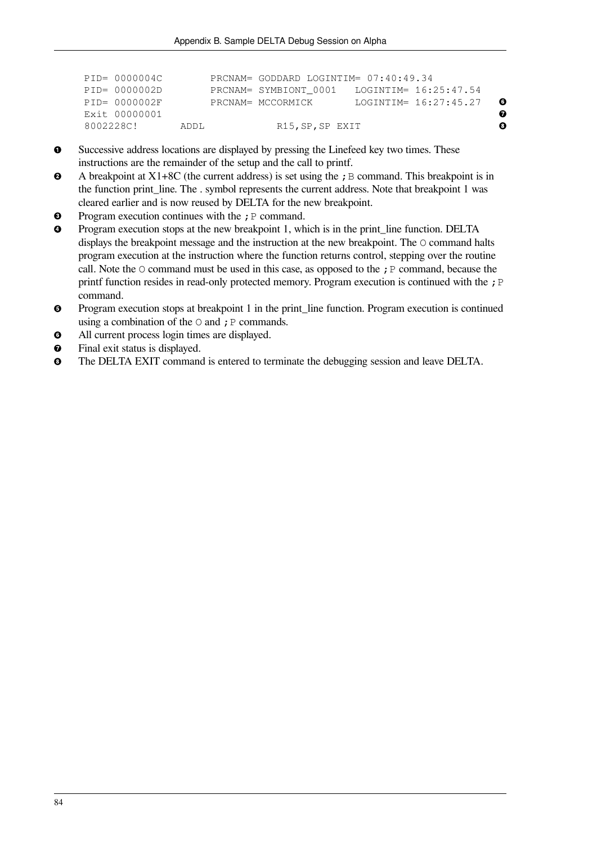| PID= 0000004C    |       | PRCNAM= GODDARD LOGINTIM= 07:40:49.34 |  |                       |   |
|------------------|-------|---------------------------------------|--|-----------------------|---|
| PID= 0000002D    |       | PRCNAM= SYMBIONT 0001                 |  | LOGINTIM= 16:25:47.54 |   |
| $PID = 0000002F$ |       | PRCNAM= MCCORMICK                     |  | LOGINTIM= 16:27:45.27 | 0 |
| Exit 00000001    |       |                                       |  |                       | ℯ |
| 8002228C!        | ADDI. | R15, SP, SP EXIT                      |  |                       | ⊕ |

- $\bullet$ Successive address locations are displayed by pressing the Linefeed key two times. These instructions are the remainder of the setup and the call to printf.
- $\boldsymbol{e}$ A breakpoint at  $X1+8C$  (the current address) is set using the ; B command. This breakpoint is in the function print\_line. The . symbol represents the current address. Note that breakpoint 1 was cleared earlier and is now reused by DELTA for the new breakpoint.
- Program execution continues with the  $; P$  command.  $\bullet$
- $\bullet$ Program execution stops at the new breakpoint 1, which is in the print\_line function. DELTA displays the breakpoint message and the instruction at the new breakpoint. The O command halts program execution at the instruction where the function returns control, stepping over the routine call. Note the  $\circ$  command must be used in this case, as opposed to the ; P command, because the printf function resides in read-only protected memory. Program execution is continued with the ; P command.
- Program execution stops at breakpoint 1 in the print\_line function. Program execution is continued  $\bullet$ using a combination of the  $\circ$  and ; P commands.
- All current process login times are displayed.  $\bullet$
- Final exit status is displayed.  $\bullet$
- $\bullet$ The DELTA EXIT command is entered to terminate the debugging session and leave DELTA.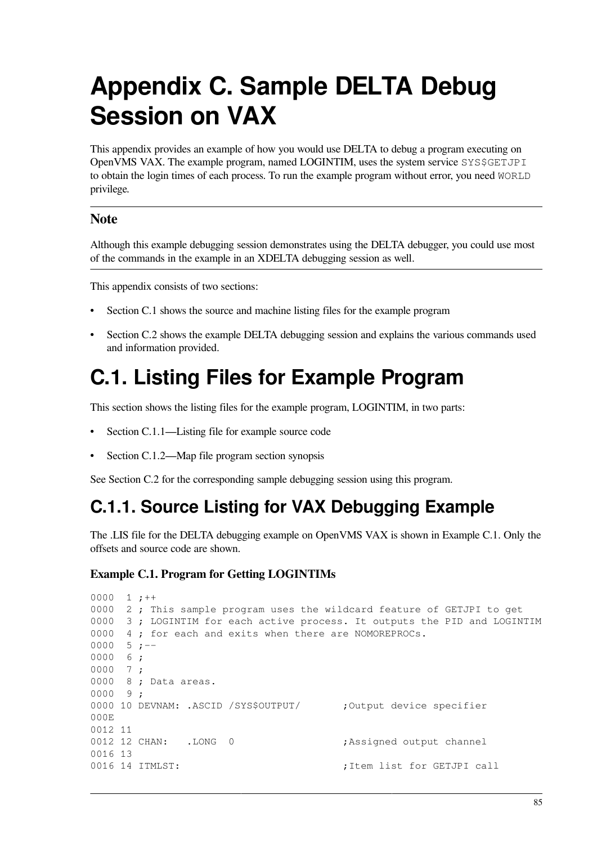# **Appendix C. Sample DELTA Debug Session on VAX**

This appendix provides an example of how you would use DELTA to debug a program executing on OpenVMS VAX. The example program, named LOGINTIM, uses the system service SYS\$GETJPI to obtain the login times of each process. To run the example program without error, you need WORLD privilege.

#### **Note**

Although this example debugging session demonstrates using the DELTA debugger, you could use most of the commands in the example in an XDELTA debugging session as well.

This appendix consists of two sections:

- [Section](#page-90-0) C.1 shows the source and machine listing files for the example program
- [Section](#page-92-0) C.2 shows the example DELTA debugging session and explains the various commands used and information provided.

## <span id="page-90-0"></span>**C.1. Listing Files for Example Program**

This section shows the listing files for the example program, LOGINTIM, in two parts:

- [Section](#page-90-1) C.1.1—Listing file for example source code
- [Section](#page-91-0) C.1.2—Map file program section synopsis

<span id="page-90-1"></span>See [Section](#page-92-0) C.2 for the corresponding sample debugging session using this program.

### **C.1.1. Source Listing for VAX Debugging Example**

The .LIS file for the DELTA debugging example on OpenVMS VAX is shown in [Example](#page-90-2) C.1. Only the offsets and source code are shown.

#### <span id="page-90-2"></span>**Example C.1. Program for Getting LOGINTIMs**

```
0000 1 ;++0000 2 ; This sample program uses the wildcard feature of GETJPI to get
0000 3 ; LOGINTIM for each active process. It outputs the PID and LOGINTIM
0000 4 ; for each and exits when there are NOMOREPROCs.
0000 5;--
0000 6 ;
0000 7 ;
0000 8 ; Data areas.
0000 9 ;
0000 10 DEVNAM: .ASCID /SYS$OUTPUT/ ;Output device specifier
000E
0012 11
0012 12 CHAN: .LONG 0 ;Assigned output channel
0016 13
0016 14 ITMLST: \qquad \qquad ;Item list for GETJPI call
```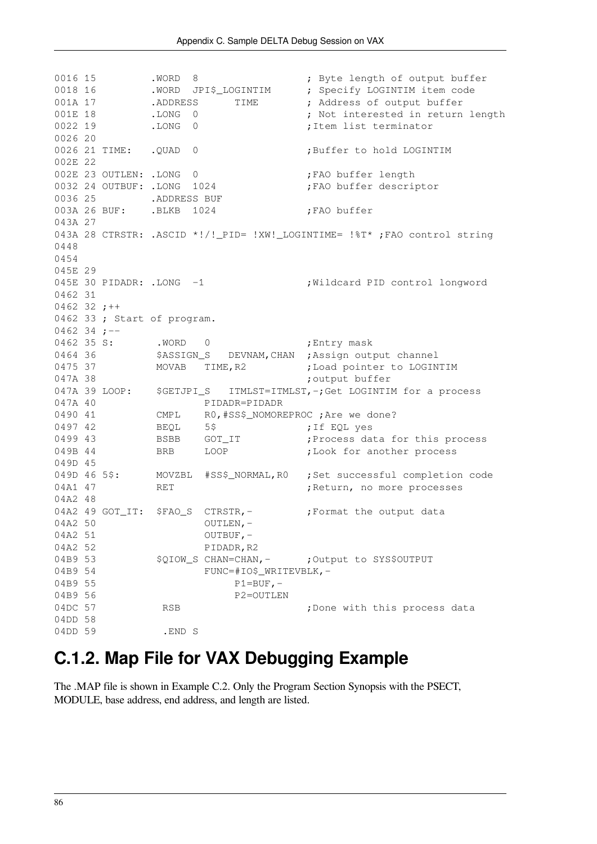0016 15 .WORD 8 ; Byte length of output buffer 0018 16 .WORD JPI\$\_LOGINTIM ; Specify LOGINTIM item code 001A 17 .ADDRESS TIME ; Address of output buffer 001E 18 .LONG 0 ; Not interested in return length 0022 19 .LONG 0 ;Item list terminator 0026 20 0026 21 TIME: . QUAD 0 ;Buffer to hold LOGINTIM 002E 22 002E 23 OUTLEN: .LONG 0 :FAO buffer length 0032 24 OUTBUF: .LONG 1024 ;FAO buffer descriptor 0036 25 .ADDRESS BUF 003A 26 BUF: .BLKB 1024 ;FAO buffer 043A 27 043A 28 CTRSTR: .ASCID \*!/!\_PID= !XW!\_LOGINTIME= !%T\* ;FAO control string 0448 0454 045E 29 045E 30 PIDADR: .LONG -1 ; Wildcard PID control longword 0462 31 0462 32  $;++$ 0462 33 ; Start of program. 0462 34 ;--0462 35 S: . WORD 0 ; Entry mask 0464 36 \$ASSIGN\_S DEVNAM, CHAN ; Assign output channel 0475 37 MOVAB TIME, R2 ; Load pointer to LOGINTIM 047A 38 **;** output buffer 047A 39 LOOP: \$GETJPI S ITMLST=ITMLST,-;Get LOGINTIM for a process 047A 40 PIDADR=PIDADR 0490 41 CMPL R0, #SS\$\_NOMOREPROC ; Are we done? 0497 42 BEQL 5\$ ;If EQL yes 0499 43 BSBB GOT\_IT ;Process data for this process 049B 44 BRB LOOP ;Look for another process 049D 45 049D 46 5\$: MOVZBL #SS\$\_NORMAL, R0 ; Set successful completion code 04A1 47 RET RET ;Return, no more processes 04A2 48 04A2 49 GOT IT: \$FAO S CTRSTR, - : Format the output data  $04A2 50$  OUTLEN,  $04A2 \quad 51$  OUTBUF,  $-$ 04A2 52 PIDADR, R2 04B9 53 \$QIOW S CHAN=CHAN, - ;Output to SYS\$OUTPUT 04B9 54 FUNC=#IO\$ WRITEVBLK.-04B9 55 P1=BUF,-04B9 56 P2=OUTLEN 04DC 57 RSB RSB ;Done with this process data 04DD 58 04DD 59 .END S

### <span id="page-91-0"></span>**C.1.2. Map File for VAX Debugging Example**

The .MAP file is shown in [Example](#page-92-1) C.2. Only the Program Section Synopsis with the PSECT, MODULE, base address, end address, and length are listed.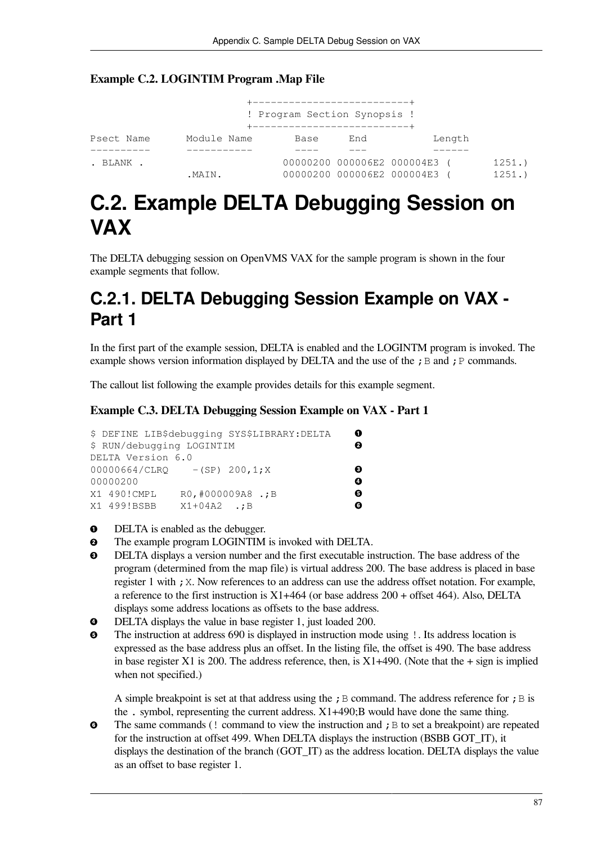#### <span id="page-92-1"></span>**Example C.2. LOGINTIM Program .Map File**

| +----------------------------<br>! Program Section Synopsis !<br>+---------------------------- |             |      |     |                              |        |       |  |  |  |
|------------------------------------------------------------------------------------------------|-------------|------|-----|------------------------------|--------|-------|--|--|--|
| Psect Name                                                                                     | Module Name | Base | End |                              | Length |       |  |  |  |
|                                                                                                |             |      |     |                              |        |       |  |  |  |
| . BLANK .                                                                                      |             |      |     | 00000200 000006E2 000004E3 ( |        | 1251. |  |  |  |
|                                                                                                | .MAIN.      |      |     | 00000200 000006E2 000004E3 ( |        | 1251. |  |  |  |

## <span id="page-92-0"></span>**C.2. Example DELTA Debugging Session on VAX**

The DELTA debugging session on OpenVMS VAX for the sample program is shown in the four example segments that follow.

### **C.2.1. DELTA Debugging Session Example on VAX - Part 1**

In the first part of the example session, DELTA is enabled and the LOGINTM program is invoked. The example shows version information displayed by DELTA and the use of the ; B and ; P commands.

The callout list following the example provides details for this example segment.

#### **Example C.3. DELTA Debugging Session Example on VAX - Part 1**

|                                  |                    | \$ DEFINE LIB\$debugging SYS\$LIBRARY: DELTA | 0 |
|----------------------------------|--------------------|----------------------------------------------|---|
| \$ RUN/debugging LOGINTIM        |                    |                                              | 0 |
| DELTA Version 6.0                |                    |                                              |   |
| $00000664/CLRQ$ - (SP) 200, 1; X |                    |                                              | ❸ |
| 00000200                         |                    |                                              | Ø |
| X1 490!CMPL                      | RO, #000009A8 .; B |                                              | ø |
| X1 499!BSBB                      | $X1+04A2$ .: B     |                                              | A |

- $\bullet$ DELTA is enabled as the debugger.
- $\bullet$ The example program LOGINTIM is invoked with DELTA.
- $\bullet$ DELTA displays a version number and the first executable instruction. The base address of the program (determined from the map file) is virtual address 200. The base address is placed in base register 1 with ; X. Now references to an address can use the address offset notation. For example, a reference to the first instruction is  $X1+464$  (or base address  $200 +$  offset 464). Also, DELTA displays some address locations as offsets to the base address.
- DELTA displays the value in base register 1, just loaded 200.  $\bullet$
- The instruction at address 690 is displayed in instruction mode using !. Its address location is  $\boldsymbol{\Theta}$ expressed as the base address plus an offset. In the listing file, the offset is 490. The base address in base register X1 is 200. The address reference, then, is  $X1+490$ . (Note that the  $+$  sign is implied when not specified.)

A simple breakpoint is set at that address using the ; B command. The address reference for ; B is the . symbol, representing the current address. X1+490;B would have done the same thing.

The same commands (! command to view the instruction and  $\epsilon$  B to set a breakpoint) are repeated  $\bullet$ for the instruction at offset 499. When DELTA displays the instruction (BSBB GOT\_IT), it displays the destination of the branch (GOT\_IT) as the address location. DELTA displays the value as an offset to base register 1.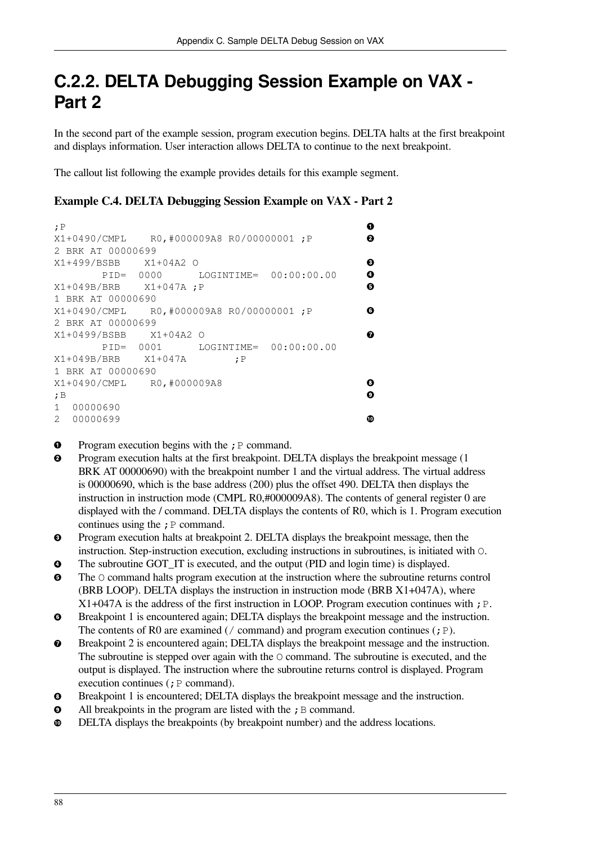### **C.2.2. DELTA Debugging Session Example on VAX - Part 2**

In the second part of the example session, program execution begins. DELTA halts at the first breakpoint and displays information. User interaction allows DELTA to continue to the next breakpoint.

The callout list following the example provides details for this example segment.

#### **Example C.4. DELTA Debugging Session Example on VAX - Part 2**

| ;P                                       | ß |
|------------------------------------------|---|
| X1+0490/CMPL R0,#000009A8 R0/00000001 ;P | ø |
| 2 BRK AT 00000699                        |   |
| X1+499/BSBB X1+04A2 O                    | ❸ |
| PID= 0000 LOGINTIME= 00:00:00.00         | Ø |
| $X1+049B/BRB$ $X1+047A$ ; P              | ❺ |
| 1 BRK AT 00000690                        |   |
| X1+0490/CMPL R0,#000009A8 R0/00000001;P  | G |
| 2 BRK AT 00000699                        |   |
| X1+0499/BSBB X1+04A2 O                   | ⋒ |
| PID= 0001 LOGINTIME= 00:00:00.00         |   |
| $X1+049B/BRB$ $X1+047A$<br>;P            |   |
| 1 BRK AT 00000690                        |   |
| X1+0490/CMPL R0,#000009A8                | Θ |
| ;B                                       | ø |
| 1<br>00000690                            |   |
| 2 00000699                               | ጠ |

- Program execution begins with the  $;P$  command.  $\bullet$
- Program execution halts at the first breakpoint. DELTA displays the breakpoint message (1  $\boldsymbol{\Theta}$ BRK AT 00000690) with the breakpoint number 1 and the virtual address. The virtual address is 00000690, which is the base address (200) plus the offset 490. DELTA then displays the instruction in instruction mode (CMPL R0,#000009A8). The contents of general register 0 are displayed with the / command. DELTA displays the contents of R0, which is 1. Program execution continues using the  $;P$  command.
- $\bullet$ Program execution halts at breakpoint 2. DELTA displays the breakpoint message, then the instruction. Step-instruction execution, excluding instructions in subroutines, is initiated with O.
- The subroutine GOT\_IT is executed, and the output (PID and login time) is displayed.  $\bullet$
- $\bullet$ The O command halts program execution at the instruction where the subroutine returns control (BRB LOOP). DELTA displays the instruction in instruction mode (BRB X1+047A), where  $X1+047A$  is the address of the first instruction in LOOP. Program execution continues with ; P.
- Breakpoint 1 is encountered again; DELTA displays the breakpoint message and the instruction.  $\bullet$ The contents of R0 are examined (/ command) and program execution continues ( $;P$ ).
- $\bullet$ Breakpoint 2 is encountered again; DELTA displays the breakpoint message and the instruction. The subroutine is stepped over again with the O command. The subroutine is executed, and the output is displayed. The instruction where the subroutine returns control is displayed. Program execution continues  $($ ;  $P$  command).
- $\bullet$ Breakpoint 1 is encountered; DELTA displays the breakpoint message and the instruction.
- All breakpoints in the program are listed with the  $;B$  command.  $\boldsymbol{\Theta}$
- DELTA displays the breakpoints (by breakpoint number) and the address locations.  $\bullet$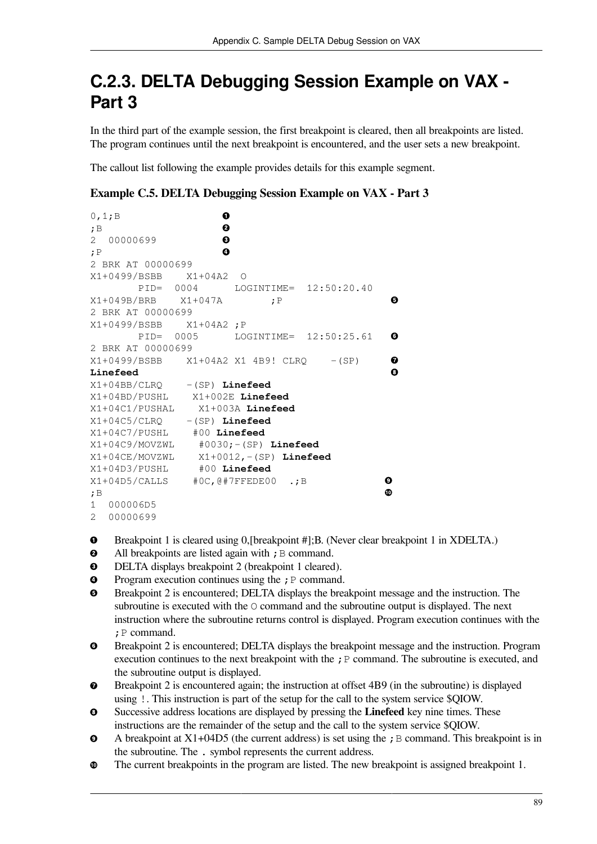### **C.2.3. DELTA Debugging Session Example on VAX - Part 3**

In the third part of the example session, the first breakpoint is cleared, then all breakpoints are listed. The program continues until the next breakpoint is encountered, and the user sets a new breakpoint.

The callout list following the example provides details for this example segment.

**Example C.5. DELTA Debugging Session Example on VAX - Part 3**

```
\bullet0,1;B 
;B 
                       \mathbf{e}2 00000699 
                       \mathbf{\Theta}\bullet;P 
2 BRK AT 00000699
X1+0499/BSBB X1+04A2 O
         PID= 0004 LOGINTIME= 12:50:20.40
                                                    A
X1+049B/BRB X1+047A ;P 
2 BRK AT 00000699
X1+0499/BSBB X1+04A2 ;P
         PID= 0005 LOGINTIME= 12:50:25.61 
                                                    Q
2 BRK AT 00000699
                                                    \mathbf oX1+0499/BSBB X1+04A2 X1 4B9! CLR0 - (SP)
                                                    \ddot{\mathbf{O}}Linefeed 
X1+04BB/CLRQ -(SP) Linefeed
X1+04BD/PUSHL X1+002E Linefeed
X1+04C1/PUSHAL X1+003A Linefeed
X1+04C5/CLRQ -(SP) Linefeed
X1+04C7/PUSHL #00 Linefeed
X1+04C9/MOVZWL #0030;-(SP) Linefeed
X1+04CE/MOVZWL X1+0012,-(SP) Linefeed 
X1+04D3/PUSHL #00 Linefeed
X1+04D5/CALLS #0C,@#7FFEDE00 .;B 
                                                   \boldsymbol{\Theta}\Phi;B 
1 000006D5
```
- 2 00000699
- Breakpoint 1 is cleared using 0,[breakpoint #];B. (Never clear breakpoint 1 in XDELTA.)  $\bullet$
- $\bullet$ All breakpoints are listed again with  $;B$  command.
- DELTA displays breakpoint 2 (breakpoint 1 cleared).  $\bullet$
- $\bullet$ Program execution continues using the  $;P$  command.
- $\mathbf{\Theta}$ Breakpoint 2 is encountered; DELTA displays the breakpoint message and the instruction. The subroutine is executed with the O command and the subroutine output is displayed. The next instruction where the subroutine returns control is displayed. Program execution continues with the ;P command.
- $\bullet$ Breakpoint 2 is encountered; DELTA displays the breakpoint message and the instruction. Program execution continues to the next breakpoint with the ; P command. The subroutine is executed, and the subroutine output is displayed.
- Breakpoint 2 is encountered again; the instruction at offset 4B9 (in the subroutine) is displayed  $\bullet$ using !. This instruction is part of the setup for the call to the system service \$QIOW.
- $\bullet$ Successive address locations are displayed by pressing the **Linefeed** key nine times. These instructions are the remainder of the setup and the call to the system service \$QIOW.
- $\bullet$ A breakpoint at  $X1+04D5$  (the current address) is set using the ; B command. This breakpoint is in the subroutine. The . symbol represents the current address.
- The current breakpoints in the program are listed. The new breakpoint is assigned breakpoint 1.  $\Phi$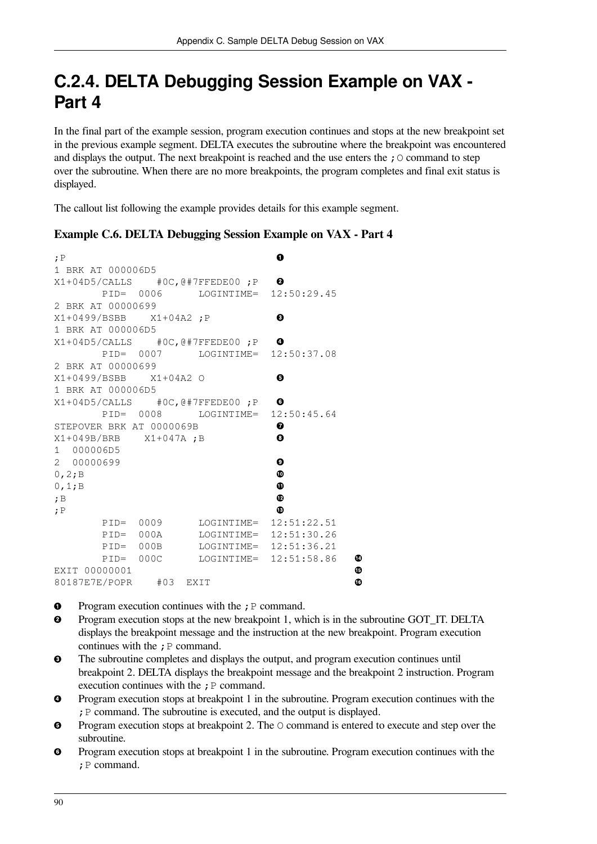### **C.2.4. DELTA Debugging Session Example on VAX - Part 4**

In the final part of the example session, program execution continues and stops at the new breakpoint set in the previous example segment. DELTA executes the subroutine where the breakpoint was encountered and displays the output. The next breakpoint is reached and the use enters the  $\chi$  command to step over the subroutine. When there are no more breakpoints, the program completes and final exit status is displayed.

The callout list following the example provides details for this example segment.

#### **Example C.6. DELTA Debugging Session Example on VAX - Part 4**

| : P                   |  |                          |                                              | 0                     |   |
|-----------------------|--|--------------------------|----------------------------------------------|-----------------------|---|
| 1 BRK AT 000006D5     |  |                          |                                              |                       |   |
|                       |  |                          | $X1+04D5/CALLS$ #0C, @#7FFEDE00; P $\Theta$  |                       |   |
|                       |  |                          | PID= 0006 LOGINTIME= 12:50:29.45             |                       |   |
| 2 BRK AT 00000699     |  |                          |                                              |                       |   |
|                       |  |                          |                                              | ❸                     |   |
| 1 BRK AT 000006D5     |  |                          |                                              |                       |   |
|                       |  |                          | $X1+04D5/CALLS$ #0C, @#7FFEDE00; P $\bullet$ |                       |   |
|                       |  |                          | PID= 0007 LOGINTIME= 12:50:37.08             |                       |   |
| 2 BRK AT 00000699     |  |                          |                                              |                       |   |
|                       |  | X1+0499/BSBB X1+04A2 O   |                                              | Θ                     |   |
| 1 BRK AT 000006D5     |  |                          |                                              |                       |   |
|                       |  |                          | $X1+04D5/CALLS$ #0C, @#7FFEDE00; P $\bullet$ |                       |   |
|                       |  |                          | PID= 0008 LOGINTIME= 12:50:45.64             |                       |   |
|                       |  | STEPOVER BRK AT 0000069B |                                              | ❼                     |   |
| X1+049B/BRB X1+047A;B |  |                          |                                              | $\boldsymbol{\Theta}$ |   |
| 1 000006D5            |  |                          |                                              |                       |   |
| 2 00000699            |  |                          |                                              | ◉                     |   |
| 0, 2; B               |  |                          |                                              |                       |   |
| 0, 1; B               |  |                          |                                              | ⊕                     |   |
| ;B                    |  |                          |                                              | ⊕                     |   |
| ;P                    |  |                          |                                              | ⊕                     |   |
|                       |  |                          | PID= 0009 LOGINTIME= 12:51:22.51             |                       |   |
|                       |  |                          | PID= 000A LOGINTIME= 12:51:30.26             |                       |   |
|                       |  |                          | PID= 000B LOGINTIME= 12:51:36.21             |                       |   |
|                       |  |                          | PID= 000C LOGINTIME= 12:51:58.86             |                       | ◍ |
| EXIT 00000001         |  |                          |                                              |                       | ⊕ |
|                       |  |                          |                                              |                       |   |
|                       |  | 80187E7E/POPR #03 EXIT   |                                              |                       | ⊕ |

- Program execution continues with the  $; P$  command.  $\bullet$
- Program execution stops at the new breakpoint 1, which is in the subroutine GOT\_IT. DELTA  $\boldsymbol{\Theta}$ displays the breakpoint message and the instruction at the new breakpoint. Program execution continues with the  $; P$  command.
- The subroutine completes and displays the output, and program execution continues until  $\mathbf{e}$ breakpoint 2. DELTA displays the breakpoint message and the breakpoint 2 instruction. Program execution continues with the  $;P$  command.
- Program execution stops at breakpoint 1 in the subroutine. Program execution continues with the  $\bullet$ ;P command. The subroutine is executed, and the output is displayed.
- Program execution stops at breakpoint 2. The  $\circ$  command is entered to execute and step over the  $\bullet$ subroutine.
- Program execution stops at breakpoint 1 in the subroutine. Program execution continues with the  $\bullet$ ;P command.